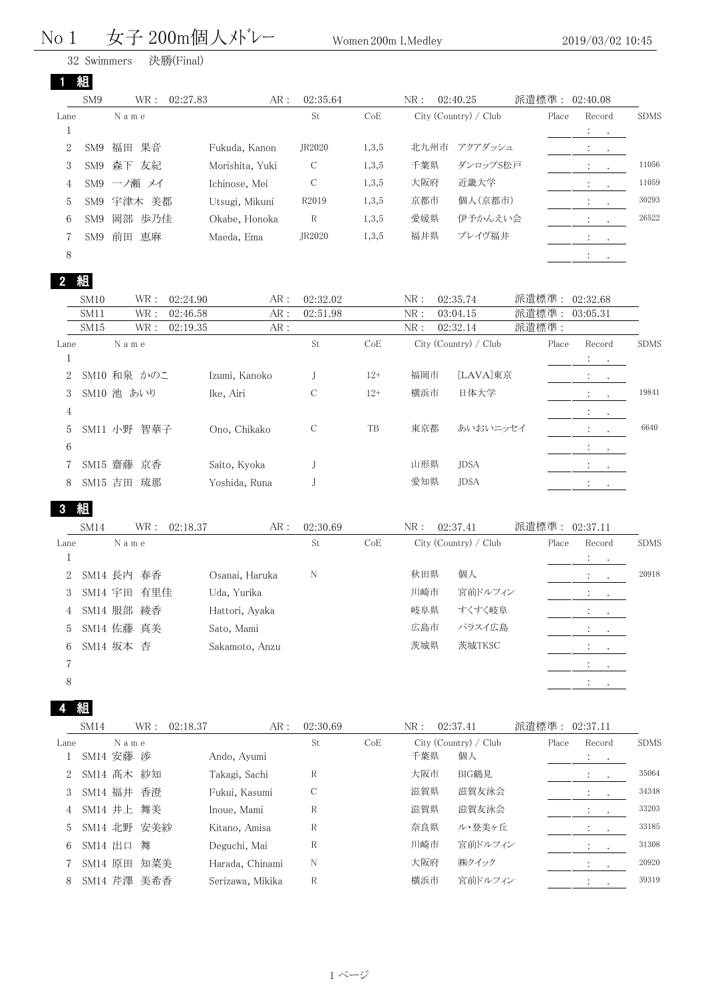#### 女子 200m個人メドレー women No 1 女子 200m個人メドレー women 200m I.Medley 2019/03/02 10:45

Swimmers 決勝(Final)

|                | 組               |                  |                 |               |       |      |                       |        |                                                                                         |             |
|----------------|-----------------|------------------|-----------------|---------------|-------|------|-----------------------|--------|-----------------------------------------------------------------------------------------|-------------|
|                | SM <sub>9</sub> | WR :<br>02:27.83 | AR:             | 02:35.64      |       | NR:  | 02:40.25              | 派遣標準 : | 02:40.08                                                                                |             |
| Lane           |                 | Name             |                 | St            | CoE   |      | City (Country) / Club | Place  | Record                                                                                  | <b>SDMS</b> |
| <b>I</b>       |                 |                  |                 |               |       |      |                       |        | $\mathcal{L} = \mathcal{L}$                                                             |             |
| $\overline{2}$ | SM9             | 福田<br>果音         | Fukuda, Kanon   | JR2020        | 1,3,5 | 北九州市 | アクアダッシュ               |        | $\mathbf{A} = \mathbf{A} \mathbf{A}$                                                    |             |
| 3              |                 | SM9 森下 友紀        | Morishita, Yuki | $\mathcal{C}$ | 1,3,5 | 千葉県  | ダンロップS松戸              |        | <b>Contract</b><br>$\cdot$                                                              | 11056       |
| $\overline{4}$ |                 | SM9 一ノ瀬 メイ       | Ichinose, Mei   | $\mathcal{C}$ | 1,3,5 | 大阪府  | 近畿大学                  |        | $\ddot{\cdot}$                                                                          | 11059       |
| 5              | SM9             | 宇津木 美都           | Utsugi, Mikuni  | R2019         | 1,3,5 | 京都市  | 個人(京都市)               |        | $\cdot$<br>$\sim$                                                                       | 30293       |
| 6              | SM <sub>9</sub> | 岡部 歩乃佳           | Okabe, Honoka   | R             | 1,3,5 | 愛媛県  | 伊予かんえい会               |        | $\ddot{\cdot}$                                                                          | 26522       |
|                | SM <sub>9</sub> | 前田<br>恵麻         | Maeda, Ema      | JR2020        | 1,3,5 | 福井県  | ブレイヴ福井                |        | $\mathcal{I}^{\mathcal{I}}$ , $\mathcal{I}^{\mathcal{I}}$ , $\mathcal{I}^{\mathcal{I}}$ |             |
| 8              |                 |                  |                 |               |       |      |                       |        | $\cdot$                                                                                 |             |

|      | <b>SM10</b>      | WR:         | 02:24.90 | AR:           | 02:32.02      |       | NR: | 02:35.74              | 派遣標準: | 02:32.68                                                    |             |
|------|------------------|-------------|----------|---------------|---------------|-------|-----|-----------------------|-------|-------------------------------------------------------------|-------------|
|      | SM <sub>11</sub> | WR:         | 02:46.58 | AR:           | 02:51.98      |       | NR: | 03:04.15              | 派遣標準: | 03:05.31                                                    |             |
|      | SM15             | WR:         | 02:19.35 | AR:           |               |       | NR: | 02:32.14              | 派遣標準: |                                                             |             |
| Lane |                  | Name        |          |               | St            | CoE   |     | City (Country) / Club | Place | Record                                                      | <b>SDMS</b> |
|      |                  |             |          |               |               |       |     |                       |       | $\mathcal{I}^{\mathcal{I}}$ , $\mathcal{I}^{\mathcal{I}}$ , |             |
| 2    |                  | SM10 和泉 かのこ |          | Izumi, Kanoko |               | $12+$ | 福岡市 | [LAVA]東京              |       | $\Delta \sim 100$                                           |             |
| 3    |                  | SM10 池 あいり  |          | Ike, Airi     | C             | $12+$ | 横浜市 | 日体大学                  |       | $\mathcal{I}^{\mathcal{I}}$ , $\mathcal{I}^{\mathcal{I}}$ , | 19841       |
| 4    |                  |             |          |               |               |       |     |                       |       | $\mathcal{I}^{\mathcal{I}}$ , $\mathcal{I}^{\mathcal{I}}$ , |             |
| 5    | SM11 小野          | 智華子         |          | Ono, Chikako  | $\mathcal{C}$ | TB    | 東京都 | あいおいニッセイ              |       |                                                             | 6640        |
| 6    |                  |             |          |               |               |       |     |                       |       | $\mathcal{L}_{\rm{max}}$                                    |             |
|      |                  | SM15 齋藤 京香  |          | Saito, Kyoka  |               |       | 山形県 | <b>JDSA</b>           |       | $\mathbb{Z}^n \times \mathbb{Z}^n$                          |             |
| 8    | SM15 吉田          | 琉那          |          | Yoshida, Runa |               |       | 愛知県 | <b>JDSA</b>           |       | $\ddot{\cdot}$<br>$\sim$                                    |             |

## 組

|      | SM14 | WR :         | 02:18.37 | AR:            | 02:30.69 |     | NR: | 02:37.41              | 派遣標準: 02:37.11 |                         |             |
|------|------|--------------|----------|----------------|----------|-----|-----|-----------------------|----------------|-------------------------|-------------|
| Lane |      | Name         |          |                | St       | CoE |     | City (Country) / Club | Place          | Record                  | <b>SDMS</b> |
|      |      |              |          |                |          |     |     |                       |                | $\ddot{\cdot}$          |             |
|      |      | 2 SM14 長内 春香 |          | Osanai, Haruka | N        |     | 秋田県 | 個人                    |                |                         | 20918       |
| 3    |      | SM14 宇田 有里佳  |          | Uda, Yurika    |          |     | 川崎市 | 宮前ドルフィン               |                | $\sim 100$ km s $^{-1}$ |             |
| 4    |      | SM14 服部 綾香   |          | Hattori, Ayaka |          |     | 岐阜県 | すくすく岐阜                |                | $\sim$ $\sim$           |             |
|      |      | 5 SM14 佐藤 真美 |          | Sato, Mami     |          |     | 広島市 | パラスイ広島                |                | $\sim$ $\sim$           |             |
| 6    |      | SM14 坂本 杏    |          | Sakamoto, Anzu |          |     | 茨城県 | 茨城TKSC                |                |                         |             |
|      |      |              |          |                |          |     |     |                       |                |                         |             |
| 8    |      |              |          |                |          |     |     |                       |                |                         |             |

|      | SM <sub>14</sub>     |      | WR: | 02:18.37        | AR :             | 02:30.69     |     | NR: | 02:37.41              | 派遣標準: 02:37.11 |                                           |             |
|------|----------------------|------|-----|-----------------|------------------|--------------|-----|-----|-----------------------|----------------|-------------------------------------------|-------------|
| Lane |                      | Name |     |                 |                  | St           | CoE |     | City (Country) / Club | Place          | Record                                    | <b>SDMS</b> |
|      | SM14 安藤 渉            |      |     | Ando, Ayumi     |                  |              |     | 千葉県 | 個人                    |                | $\ddot{\cdot}$<br>$\sim 100$ km s $^{-1}$ |             |
|      | 2 SM14 髙木 紗知         |      |     | Takagi, Sachi   |                  | R            |     | 大阪市 | <b>BIG鶴見</b>          |                | $\mathbb{R}^n$ and $\mathbb{R}^n$         | 35064       |
| 3    | SM14 福井 香澄           |      |     | Fukui, Kasumi   |                  | C            |     | 滋賀県 | 滋賀友泳会                 |                | $\mathbb{R}^n$                            | 34348       |
|      | 4 SM14 井上 舞美         |      |     | Inoue, Mami     |                  | R            |     | 滋賀県 | 滋賀友泳会                 |                |                                           | 33203       |
|      | 5 SM14 北野 安美紗        |      |     | Kitano, Amisa   |                  | R            |     | 奈良県 | ル・登美ヶ丘                |                |                                           | 33185       |
| 6    | SM14 $\boxplus \Box$ |      | 舞   | Deguchi, Mai    |                  | $\mathbb{R}$ |     | 川崎市 | 宮前ドルフィン               |                |                                           | 31308       |
|      | SM14 原田 知菜美          |      |     | Harada, Chinami |                  | N            |     | 大阪府 | ㈱クイック                 |                |                                           | 20920       |
| 8    | SM14 芹澤 美希香          |      |     |                 | Serizawa, Mikika | R            |     | 横浜市 | 宮前ドルフィン               |                |                                           | 39319       |
|      |                      |      |     |                 |                  |              |     |     |                       |                |                                           |             |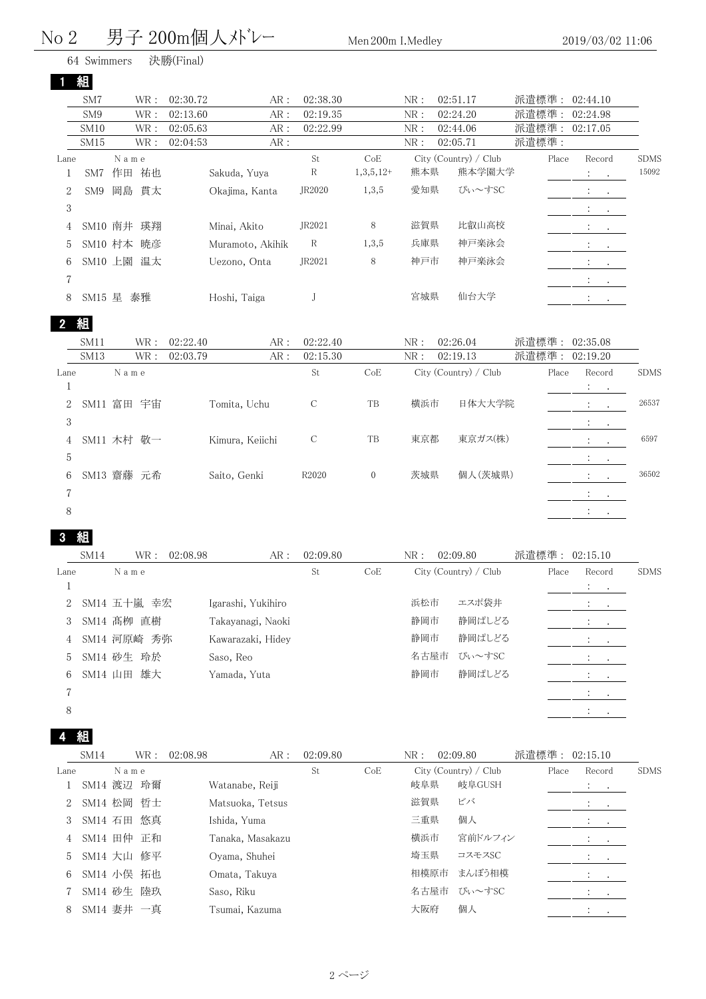|                | 男子 200m個人メドレー<br>No <sub>2</sub> |         |      |           |                  |          | Men 200m I.Medley |     |                       |       |                            | 2019/03/02 11:06 |             |  |
|----------------|----------------------------------|---------|------|-----------|------------------|----------|-------------------|-----|-----------------------|-------|----------------------------|------------------|-------------|--|
|                | 64 Swimmers                      |         |      | 決勝(Final) |                  |          |                   |     |                       |       |                            |                  |             |  |
|                | 組                                |         |      |           |                  |          |                   |     |                       |       |                            |                  |             |  |
|                | SM7                              |         | WR : | 02:30.72  | AR:              | 02:38.30 |                   | NR: | 02:51.17              | 派遣標準: | 02:44.10                   |                  |             |  |
|                | SM <sub>9</sub>                  |         | WR:  | 02:13.60  | AR :             | 02:19.35 |                   | NR: | 02:24.20              | 派遣標準: | 02:24.98                   |                  |             |  |
|                | SM <sub>10</sub>                 |         | WR:  | 02:05.63  | AR:              | 02:22.99 |                   | NR: | 02:44.06              | 派遣標準: | 02:17.05                   |                  |             |  |
|                | SM <sub>15</sub>                 |         | WR : | 02:04:53  | AR:              |          |                   | NR: | 02:05.71              | 派遣標準: |                            |                  |             |  |
| Lane           |                                  | N a m e |      |           |                  | St       | CoE               |     | City (Country) / Club | Place | Record                     |                  | <b>SDMS</b> |  |
|                | SM7                              | 作田      | 祐也   |           | Sakuda, Yuya     | R        | $1,3,5,12+$       | 熊本県 | 熊本学園大学                |       | $1 - 1$                    |                  | 15092       |  |
| 2              | SM <sub>9</sub>                  | 岡島 貫太   |      |           | Okajima, Kanta   | JR2020   | 1,3,5             | 愛知県 | ぴぃ~すSC                |       | $\mathcal{L}_{\rm{max}}$ . |                  |             |  |
| 3              |                                  |         |      |           |                  |          |                   |     |                       |       | $\ddot{\phantom{0}}$       | $\bullet$        |             |  |
| 4              |                                  | SM10 南井 | 瑛翔   |           | Minai, Akito     | JR2021   | 8                 | 滋賀県 | 比叡山高校                 |       |                            |                  |             |  |
| 5              |                                  | SM10 村本 | 暁彦   |           | Muramoto, Akihik | R        | 1,3,5             | 兵庫県 | 神戸楽泳会                 |       |                            |                  |             |  |
| 6              | SM10 上園                          |         | 温太   |           | Uezono, Onta     | JR2021   | 8                 | 神戸市 | 神戸楽泳会                 |       |                            | 2.0011           |             |  |
| $\overline{7}$ |                                  |         |      |           |                  |          |                   |     |                       |       | $\ddot{\phantom{0}}$       | $\bullet$        |             |  |
| 8              | SM15 星                           |         | 泰雅   |           | Hoshi, Taiga     |          |                   | 宮城県 | 仙台大学                  |       | $\bullet$                  |                  |             |  |

## 組

|                | SM11       |      | WR: | 02:22.40 | AR:             | 02:22.40          |              | NR: | 02:26.04              | 派遣標準: 02:35.08 |                              |             |
|----------------|------------|------|-----|----------|-----------------|-------------------|--------------|-----|-----------------------|----------------|------------------------------|-------------|
|                | SM13       |      | WR: | 02:03.79 | AR:             | 02:15.30          |              | NR: | 02:19.13              | 派遣標準:          | 02:19.20                     |             |
| Lane           |            | Name |     |          |                 | St                | CoE          |     | City (Country) / Club | Place          | Record                       | <b>SDMS</b> |
|                |            |      |     |          |                 |                   |              |     |                       |                | $\mathcal{L}^{\text{max}}$   |             |
| $2^{\circ}$    | SM11 富田 宇宙 |      |     |          | Tomita, Uchu    | C                 | TB           | 横浜市 | 日体大大学院                |                | $\mathcal{L}^{\text{max}}$ . | 26537       |
| 3              |            |      |     |          |                 |                   |              |     |                       |                | $\mathcal{L} = \mathcal{L}$  |             |
| $\overline{4}$ | SM11 木村 敬一 |      |     |          | Kimura, Keiichi | C                 | TB           | 東京都 | 東京ガス(株)               |                |                              | 6597        |
| 5              |            |      |     |          |                 |                   |              |     |                       |                |                              |             |
| 6              | SM13 齋藤 元希 |      |     |          | Saito, Genki    | R <sub>2020</sub> | $\mathbf{0}$ | 茨城県 | 個人(茨城県)               |                | $\mathbb{R}$ .               | 36502       |
|                |            |      |     |          |                 |                   |              |     |                       |                |                              |             |
| 8              |            |      |     |          |                 |                   |              |     |                       |                |                              |             |

## 組

|             | SM14 | WR :          | 02:08.98 | AR:                | 02:09.80 |     | NR:  | 02:09.80              | 派遣標準: 02:15.10 |                                                           |             |
|-------------|------|---------------|----------|--------------------|----------|-----|------|-----------------------|----------------|-----------------------------------------------------------|-------------|
| Lane        |      | Name          |          |                    | St       | CoE |      | City (Country) / Club | Place          | Record                                                    | <b>SDMS</b> |
|             |      |               |          |                    |          |     |      |                       |                | All Card                                                  |             |
| $2^{\circ}$ |      | SM14 五十嵐 幸宏   |          | Igarashi, Yukihiro |          |     | 浜松市  | エスポ袋井                 |                | Andrew Card                                               |             |
| 3           |      | SM14 髙栁 直樹    |          | Takayanagi, Naoki  |          |     | 静岡市  | 静岡ぱしどる                |                | $\mathcal{L}_{\text{max}}$ and $\mathcal{L}_{\text{max}}$ |             |
|             |      | 4 SM14 河原崎 秀弥 |          | Kawarazaki, Hidey  |          |     | 静岡市  | 静岡ぱしどる                |                | $\mathcal{L} = \{1, \ldots, n\}$                          |             |
| $5^{\circ}$ |      | SM14 砂生 玲於    |          | Saso, Reo          |          |     | 名古屋市 | ぴぃ〜すSC                |                | $\sim$ 100 $\pm$                                          |             |
| 6           |      | SM14 山田 雄大    |          | Yamada, Yuta       |          |     | 静岡市  | 静岡ぱしどる                |                |                                                           |             |
|             |      |               |          |                    |          |     |      |                       |                |                                                           |             |
| 8           |      |               |          |                    |          |     |      |                       |                | $\cdot$                                                   |             |

|      | SM <sub>14</sub> | WR :       | 02:08.98   | AR:              | 02:09.80 |     | NR:  | 02:09.80              | 派遣標準: 02:15.10 |                                       |             |
|------|------------------|------------|------------|------------------|----------|-----|------|-----------------------|----------------|---------------------------------------|-------------|
| Lane |                  | Name       |            |                  | St       | CoE |      | City (Country) / Club | Place          | Record                                | <b>SDMS</b> |
|      |                  | SM14 渡辺 玲爾 |            | Watanabe, Reiji  |          |     | 岐阜県  | 岐阜GUSH                |                |                                       |             |
|      | SM14 松岡          | 哲士         |            | Matsuoka, Tetsus |          |     | 滋賀県  | ビバ                    |                | $\cdot$<br>$\sim$ 100 $\pm$           |             |
|      | SM14 石田          | 悠真         |            | Ishida, Yuma     |          |     | 三重県  | 個人                    |                | $\sim 100$ km s $^{-1}$               |             |
| 4    |                  | SM14 田仲 正和 |            | Tanaka, Masakazu |          |     | 横浜市  | 宮前ドルフィン               |                |                                       |             |
| 5    |                  | SM14 大山 修平 |            | Oyama, Shuhei    |          |     | 埼玉県  | コスモスSC                |                | $\cdot$<br>$\sim$ $\sim$              |             |
| 6.   |                  | SM14 小俣 拓也 |            | Omata, Takuya    |          |     | 相模原市 | まんぼう相模                |                | $\ddot{\phantom{a}}$<br>$\sim$ $\sim$ |             |
|      | SM14 砂生          | 陸玖         | Saso, Riku |                  |          |     | 名古屋市 | ぴぃ~すSC                |                | $\sim$                                |             |
|      |                  | SM14 妻井 一真 |            | Tsumai, Kazuma   |          |     | 大阪府  | 個人                    |                |                                       |             |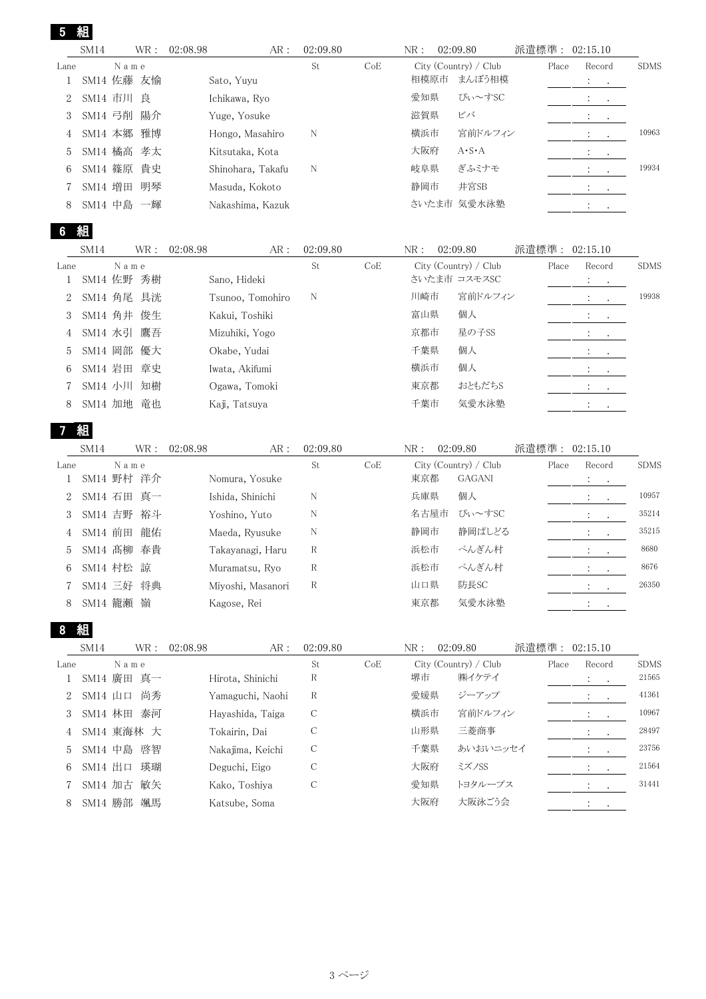| 5         | 組<br>SM14            | WR :                  | 02:08.98<br>AR:   | 02:09.80 |     | NR:          | 02:09.80                       | 派遣標準:          | 02:15.10       |                      |
|-----------|----------------------|-----------------------|-------------------|----------|-----|--------------|--------------------------------|----------------|----------------|----------------------|
| Lane      |                      | N a m e               |                   | St       | CoE |              | City (Country) / Club          | Place          | Record         | <b>SDMS</b>          |
| 1         |                      | SM14 佐藤 友愉            | Sato, Yuyu        |          |     | 相模原市         | まんぼう相模                         |                | ÷<br>$\cdot$   |                      |
| 2         | SM14 市川              | 良                     | Ichikawa, Ryo     |          |     | 愛知県          | ぴぃ〜すSC                         |                |                |                      |
| 3         | SM14 弓削              | 陽介                    | Yuge, Yosuke      |          |     | 滋賀県          | ビバ                             |                |                |                      |
| 4         | SM14 本郷              | 雅博                    | Hongo, Masahiro   | N        |     | 横浜市          | 宮前ドルフィン                        |                |                | 10963                |
| 5         | SM14 橘高              | 孝太                    | Kitsutaka, Kota   |          |     | 大阪府          | $A \cdot S \cdot A$            |                |                |                      |
| 6         |                      | SM14 篠原<br>貴史         | Shinohara, Takafu | N        |     | 岐阜県          | ぎふミナモ                          |                |                | 19934                |
| 7         | SM14 増田              | 明琴                    | Masuda, Kokoto    |          |     | 静岡市          | 井宮SB                           |                |                |                      |
| 8         |                      | SM14 中島 一輝            | Nakashima, Kazuk  |          |     |              | さいたま市 気愛水泳塾                    |                |                |                      |
| 6         | 組                    |                       |                   |          |     |              |                                |                |                |                      |
|           | SM14                 | WR :                  | 02:08.98<br>AR:   | 02:09.80 |     | NR:          | 02:09.80                       | 派遣標準:          | 02:15.10       |                      |
| Lane      |                      | N a m e               |                   | St       | CoE |              | City (Country) / Club          | Place          | Record         | <b>SDMS</b>          |
| 1         |                      | SM14 佐野 秀樹            | Sano, Hideki      |          |     | さいたま市 コスモスSC |                                |                |                |                      |
| 2         |                      | SM14 角尾<br>具洸         | Tsunoo, Tomohiro  | N        |     | 川崎市          | 宮前ドルフィン                        |                |                | 19938                |
| 3         | SM14 角井              | 俊生                    | Kakui, Toshiki    |          |     | 富山県          | 個人                             |                |                |                      |
| 4         | SM14 水引              | 鷹吾                    | Mizuhiki, Yogo    |          |     | 京都市          | 星の子SS                          |                |                |                      |
| 5         | SM14 岡部              | 優大                    | Okabe, Yudai      |          |     | 千葉県          | 個人                             |                |                |                      |
| 6         | SM14 岩田              | 章史                    | Iwata, Akifumi    |          |     | 横浜市          | 個人                             |                |                |                      |
| 7         | SM14 小川              | 知樹                    | Ogawa, Tomoki     |          |     | 東京都<br>千葉市   | おともだちS<br>気愛水泳塾                |                |                |                      |
| 8         | SM14 加地              | 竜也                    | Kaji, Tatsuya     |          |     |              |                                |                |                |                      |
|           |                      |                       |                   |          |     |              |                                |                |                |                      |
| 7         | 組                    |                       |                   |          |     |              |                                |                |                |                      |
|           | SM14                 | WR :                  | 02:08.98<br>AR:   | 02:09.80 |     | NR:          | 02:09.80                       | 派遣標準:          | 02:15.10       |                      |
| Lane      |                      | N a m e               |                   | St       | CoE |              | City (Country) / Club          | Place          | Record         | <b>SDMS</b>          |
| 1         |                      | SM14 野村 洋介            | Nomura, Yosuke    |          |     | 東京都          | <b>GAGANI</b>                  |                | $\ddot{\cdot}$ |                      |
| 2         | SM14 石田              | 真一                    | Ishida, Shinichi  | N        |     | 兵庫県          | 個人                             |                |                | 10957                |
| 3         | SM14 吉野              | 裕斗                    | Yoshino, Yuto     | N        |     | 名古屋市         | ぴぃ~すSC                         |                | $\ddot{\cdot}$ | 35214                |
| 4         | SM14 前田              | 龍佑                    | Maeda, Ryusuke    | N        |     | 静岡市          | 静岡ぱしどる                         |                |                | 35215                |
| ხ         |                      | SM14 髙柳 春貴            | Takayanagi, Haru  | R        |     | 浜松市          | ぺんぎん村                          |                |                | 8680                 |
| 6         | SM14 村松              | 諒                     | Muramatsu, Ryo    | R        |     | 浜松市          | ぺんぎん村                          |                |                | 8676                 |
|           |                      | SM14 三好 将典            | Miyoshi, Masanori | R        |     | 山口県          | 防長SC                           |                |                | 26350                |
| 8         |                      | SM14 籠瀬 嶺             | Kagose, Rei       |          |     | 東京都          | 気愛水泳塾                          |                |                |                      |
| 8         | 組                    |                       |                   |          |     |              |                                |                |                |                      |
|           | SM14                 | WR :                  | AR:<br>02:08.98   | 02:09.80 |     | NR:          | 02:09.80                       | 派遣標準: 02:15.10 |                |                      |
| Lane<br>1 |                      | N a m e<br>SM14 廣田 真一 | Hirota, Shinichi  | St<br>R  | CoE | 堺市           | City (Country) / Club<br>㈱イケテイ | Place          | Record<br>÷    | <b>SDMS</b><br>21565 |
| 2         | SM14 $\uplus$ $\Box$ | 尚秀                    | Yamaguchi, Naohi  | R        |     | 愛媛県          | ジーアップ                          |                |                | 41361                |
| 3         |                      | SM14 林田 泰河            | Hayashida, Taiga  | С        |     | 横浜市          | 宮前ドルフィン                        |                |                | 10967                |
| 4         |                      | SM14 東海林 大            | Tokairin, Dai     | С        |     | 山形県          | 三菱商事                           |                |                | 28497                |
| 5         |                      | SM14 中島 啓智            | Nakajima, Keichi  | С        |     | 千葉県          | あいおいニッセイ                       |                |                | 23756                |
| 6         | SM14 出口              | 瑛瑚                    | Deguchi, Eigo     | С        |     | 大阪府          | ミズノSS                          |                |                | 21564                |
|           |                      | SM14 加古 敏矢            | Kako, Toshiya     | С        |     | 愛知県          | トヨタループス                        |                |                | 31441                |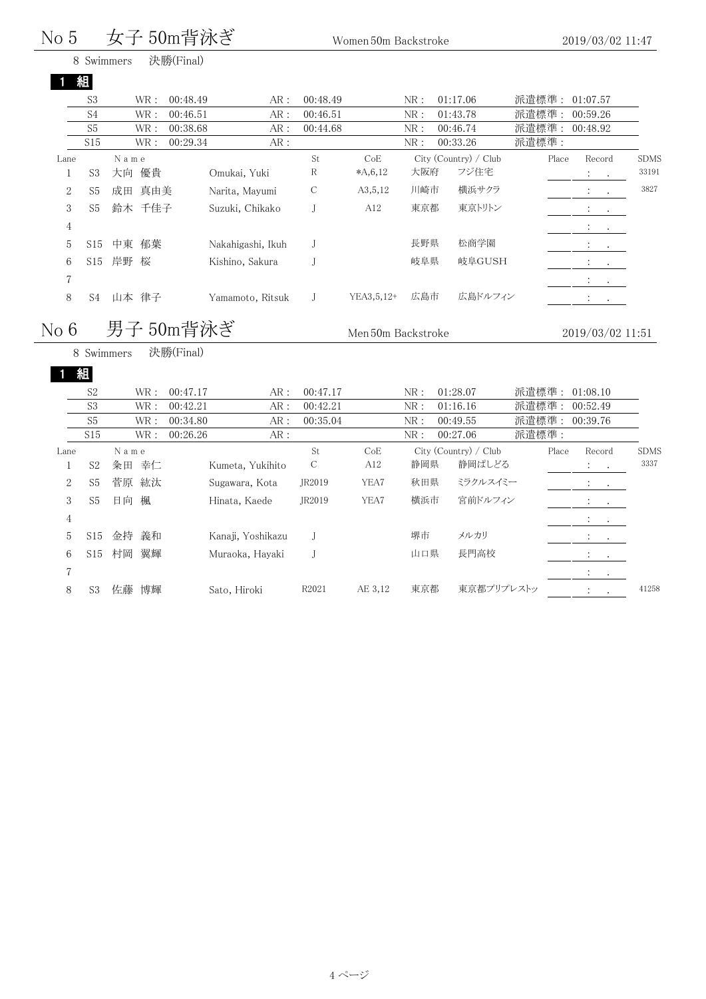#### $\overline{\mathcal{F}}$ 子 50m背泳ぎ  $_{\text{Women}}$  $\rm No~5$  女子 5 $\rm 0m$ 背泳ぎ women 50m Backstroke 2019/03/02 11:47

|                | 8 Swimmers      |       |        | 決勝(Final) |                   |             |             |     |                       |       |       |                             |                             |             |
|----------------|-----------------|-------|--------|-----------|-------------------|-------------|-------------|-----|-----------------------|-------|-------|-----------------------------|-----------------------------|-------------|
|                | 組               |       |        |           |                   |             |             |     |                       |       |       |                             |                             |             |
|                | S <sub>3</sub>  |       | WR :   | 00:48.49  | AR :              | 00:48.49    |             | NR: | 01:17.06              | 派遣標準: |       | 01:07.57                    |                             |             |
|                | S <sub>4</sub>  |       | WR:    | 00:46.51  | AR:               | 00:46.51    |             | NR: | 01:43.78              | 派遣標準: |       | 00:59.26                    |                             |             |
|                | S <sub>5</sub>  |       | WR :   | 00:38.68  | AR:               | 00:44.68    |             | NR: | 00:46.74              | 派遣標準: |       | 00:48.92                    |                             |             |
|                | S <sub>15</sub> |       | WR :   | 00:29.34  | AR:               |             |             | NR: | 00:33.26              | 派遣標準: |       |                             |                             |             |
| Lane           |                 | Name  |        |           |                   | St          | CoE         |     | City (Country) / Club |       | Place |                             | Record                      | <b>SDMS</b> |
|                | S <sub>3</sub>  | 大向    | 優貴     |           | Omukai, Yuki      | R           | $*A, 6, 12$ | 大阪府 | フジ住宅                  |       |       |                             | $\mathcal{L} = \mathcal{L}$ | 33191       |
| $\overline{2}$ | S <sub>5</sub>  | 成田    | 真由美    |           | Narita, Mayumi    | $\mathsf C$ | A3,5,12     | 川崎市 | 横浜サクラ                 |       |       |                             |                             | 3827        |
| 3              | S5              |       | 鈴木 千佳子 |           | Suzuki, Chikako   |             | A12         | 東京都 | 東京トリトン                |       |       |                             | $\mathbb{Z}^n$ . Let        |             |
| $\overline{4}$ |                 |       |        |           |                   |             |             |     |                       |       |       | $\mathcal{L} = \mathcal{L}$ |                             |             |
| 5              | S15             | 中東 郁葉 |        |           | Nakahigashi, Ikuh |             |             | 長野県 | 松商学園                  |       |       |                             | <b>Contract</b>             |             |
| 6              | S15             | 岸野    | 桜      |           | Kishino, Sakura   |             |             | 岐阜県 | 岐阜GUSH                |       |       |                             |                             |             |
| $\overline{7}$ |                 |       |        |           |                   |             |             |     |                       |       |       |                             | <b>Contract Contract</b>    |             |
| 8              | S4              | 山本    | 律子     |           | Yamamoto, Ritsuk  | J           | YEA3,5,12+  | 広島市 | 広島ドルフィン               |       |       |                             | $\mathcal{L} = \mathcal{L}$ |             |
|                |                 |       |        |           |                   |             |             |     |                       |       |       |                             |                             |             |

### No  $6$  男子 50m背泳ぎ <sub>Men</sub>50m Backstroke 2019/03/02 11:51

```
8 Swimmers
              決勝(Final)
1 組
```

|      | S <sub>2</sub>  | WR:      | 00:47.17 | AR:               | 00:47.17          |         | NR: | 01:28.07              | 派遣標準: | 01:08.10                                                |             |
|------|-----------------|----------|----------|-------------------|-------------------|---------|-----|-----------------------|-------|---------------------------------------------------------|-------------|
|      | S <sub>3</sub>  | WR:      | 00:42.21 | AR:               | 00:42.21          |         | NR: | 01:16.16              | 派遣標準: | 00:52.49                                                |             |
|      | S <sub>5</sub>  | WR:      | 00:34.80 | AR:               | 00:35.04          |         | NR: | 00:49.55              | 派遣標準: | 00:39.76                                                |             |
|      | S15             | WR:      | 00:26.26 | AR:               |                   |         | NR: | 00:27.06              | 派遣標準: |                                                         |             |
| Lane |                 | Name     |          |                   | St                | CoE     |     | City (Country) / Club | Place | Record                                                  | <b>SDMS</b> |
|      | S <sub>2</sub>  | 粂田 幸仁    |          | Kumeta, Yukihito  | С                 | A12     | 静岡県 | 静岡ぱしどる                |       | $1 - 1$                                                 | 3337        |
| 2    | S <sub>5</sub>  | 菅原<br>紘汰 |          | Sugawara, Kota    | JR2019            | YEA7    | 秋田県 | ミラクルスイミー              |       | $\mathcal{F} = \mathcal{F}$                             |             |
| 3    | S <sub>5</sub>  | 楓<br>日向  |          | Hinata, Kaede     | JR2019            | YEA7    | 横浜市 | 宮前ドルフィン               |       | $\mathcal{L} = \{1, \ldots, n\}$                        |             |
| 4    |                 |          |          |                   |                   |         |     |                       |       | <b>Contractor</b>                                       |             |
| 5    | S <sub>15</sub> | 金持<br>義和 |          | Kanaji, Yoshikazu |                   |         | 堺市  | メルカリ                  |       | <b>Dealers</b>                                          |             |
| 6    | S <sub>15</sub> | 翼輝<br>村岡 |          | Muraoka, Hayaki   |                   |         | 山口県 | 長門高校                  |       | $\mathcal{X}=\underline{\mathcal{X}}$                   |             |
| 7    |                 |          |          |                   |                   |         |     |                       |       | $\mathcal{L}_{\text{max}}$ , $\mathcal{L}_{\text{max}}$ |             |
| 8    | S <sub>3</sub>  | 佐藤<br>博輝 |          | Sato, Hiroki      | R <sub>2021</sub> | AE 3,12 | 東京都 | 東京都プリプレストッ            |       | $\ddot{\cdot}$<br>$\cdot$                               | 41258       |
|      |                 |          |          |                   |                   |         |     |                       |       |                                                         |             |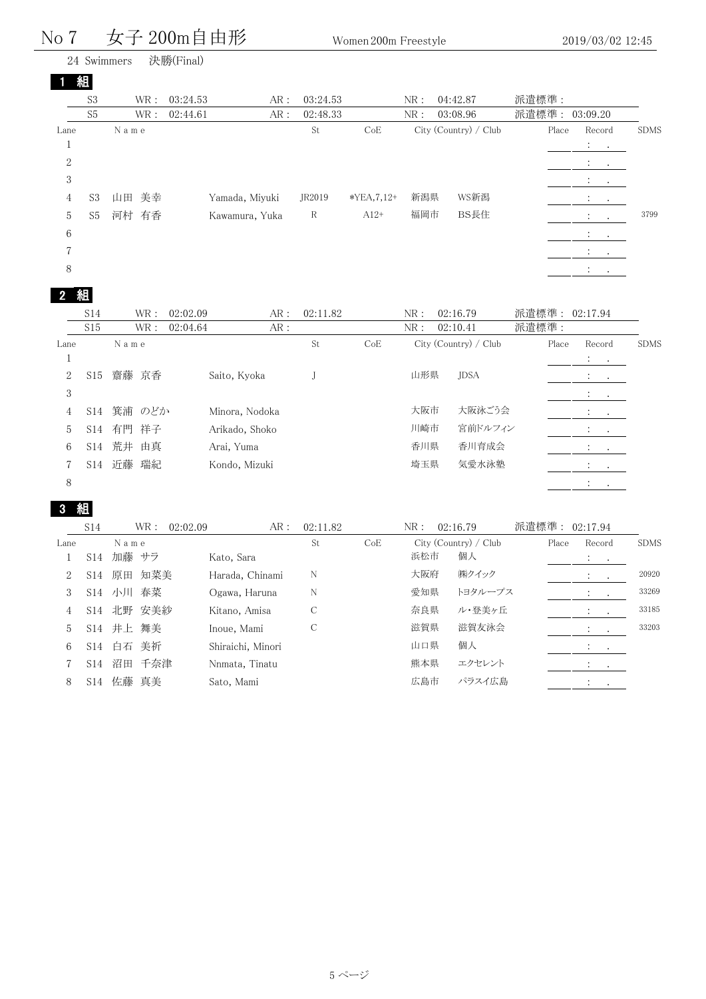## No 7 女子 200m自由形 <sub>Women 200m</sub> Freestyle 2019/03/02 12:45

Swimmers 決勝(Final)

|                | 組              |          |          |                |              |                |     |                       |       |                                                             |             |
|----------------|----------------|----------|----------|----------------|--------------|----------------|-----|-----------------------|-------|-------------------------------------------------------------|-------------|
|                | S <sub>3</sub> | WR:      | 03:24.53 | AR:            | 03:24.53     |                | NR: | 04:42.87              | 派遣標準: |                                                             |             |
|                | S <sub>5</sub> | WR :     | 02:44.61 | AR:            | 02:48.33     |                | NR: | 03:08.96              | 派遣標準: | 03:09.20                                                    |             |
| Lane           |                | N a m e  |          |                | St           | CoE            |     | City (Country) / Club | Place | Record                                                      | <b>SDMS</b> |
|                |                |          |          |                |              |                |     |                       |       | $\mathcal{I}^{\mathcal{I}}$ , $\mathcal{I}^{\mathcal{I}}$ , |             |
| $\overline{2}$ |                |          |          |                |              |                |     |                       |       | $\mathcal{L}_{\text{max}}$ , $\mathcal{L}_{\text{max}}$     |             |
| 3              |                |          |          |                |              |                |     |                       |       | $\mathcal{L}^{\text{max}}$                                  |             |
| 4              | S <sub>3</sub> | 美幸<br>山田 |          | Yamada, Miyuki | JR2019       | $*YEA, 7, 12+$ | 新潟県 | WS新潟                  |       | $\cdot$<br>$\sim 100$                                       |             |
| 5              | S <sub>5</sub> | 河村 有香    |          | Kawamura, Yuka | $\mathbb{R}$ | $A12+$         | 福岡市 | BS長住                  |       | $\mathcal{L} = \mathcal{L}$<br>$\cdot$                      | 3799        |
| 6              |                |          |          |                |              |                |     |                       |       | $\mathcal{L} = \mathcal{L}$                                 |             |
| 7              |                |          |          |                |              |                |     |                       |       | $\cdot$<br>$\bullet$                                        |             |
| 8              |                |          |          |                |              |                |     |                       |       | $\ddot{\phantom{0}}$<br>$\bullet$                           |             |

## 組

|      | S14             | WR:       | 02:02.09 | AR:            | 02:11.82 |     | NR: | 02:16.79              | 派遣標準: 02:17.94 |                                                             |             |
|------|-----------------|-----------|----------|----------------|----------|-----|-----|-----------------------|----------------|-------------------------------------------------------------|-------------|
|      | S15             | WR:       | 02:04.64 | AR:            |          |     | NR: | 02:10.41              | 派遣標準:          |                                                             |             |
| Lane |                 | Name      |          |                | St       | CoE |     | City (Country) / Club | Place          | Record<br>$\mathcal{L}_{\rm{max}}$                          | <b>SDMS</b> |
| 2    | S15             | 齋藤 京香     |          | Saito, Kyoka   |          |     | 山形県 | <b>JDSA</b>           |                | $\mathcal{I}^{\mathcal{I}}$ , $\mathcal{I}^{\mathcal{I}}$ , |             |
| 3    |                 |           |          |                |          |     |     |                       |                | $\mathcal{L} = \{1,2,3,4,5\}$                               |             |
| 4    | S <sub>14</sub> | 箕浦 のどか    |          | Minora, Nodoka |          |     | 大阪市 | 大阪泳ごう会                |                | $\ddot{\cdot}$<br>$\sim$                                    |             |
| 5    | S14             | 有門 祥子     |          | Arikado, Shoko |          |     | 川崎市 | 宮前ドルフィン               |                | All Card                                                    |             |
| 6    |                 | S14 荒井 由真 |          | Arai, Yuma     |          |     | 香川県 | 香川育成会                 |                | All Card                                                    |             |
|      | S14             | 近藤<br>瑞紀  |          | Kondo, Mizuki  |          |     | 埼玉県 | 気愛水泳塾                 |                | $\mathcal{L}^{\text{max}}$                                  |             |
| 8    |                 |           |          |                |          |     |     |                       |                | $\ddot{\cdot}$                                              |             |

|      | S <sub>14</sub> | WR :         | 02:02.09          | AR: | 02:11.82 |     | NR: | 02:16.79              | 派遣標準: 02:17.94 |                             |             |
|------|-----------------|--------------|-------------------|-----|----------|-----|-----|-----------------------|----------------|-----------------------------|-------------|
| Lane |                 | Name         |                   |     | St       | CoE |     | City (Country) / Club | Place          | Record                      | <b>SDMS</b> |
|      | S <sub>14</sub> | 加藤 サラ        | Kato, Sara        |     |          |     | 浜松市 | 個人                    |                | $\cdot$<br>$\sim$ 100 $\pm$ |             |
| 2    | S14             | 原田 知菜美       | Harada, Chinami   |     | N        |     | 大阪府 | ㈱クイック                 |                | $\mathbb{Z}$<br>$\sim$      | 20920       |
| 3    |                 | 春菜<br>S14 小川 | Ogawa, Haruna     |     | N        |     | 愛知県 | トヨタループス               |                | $\mathcal{L}^{\text{max}}$  | 33269       |
| 4    | S <sub>14</sub> | 北野 安美紗       | Kitano, Amisa     |     | C        |     | 奈良県 | ル・登美ヶ丘                |                | $\bullet$                   | 33185       |
| 5    | S14             | 井上 舞美        | Inoue, Mami       |     | С        |     | 滋賀県 | 滋賀友泳会                 |                |                             | 33203       |
| 6    | S <sub>14</sub> | 白石<br>美祈     | Shiraichi, Minori |     |          |     | 山口県 | 個人                    |                | $\sim$ $\sim$               |             |
|      | S <sub>14</sub> | 千奈津<br>沼田    | Nnmata, Tinatu    |     |          |     | 熊本県 | エクセレント                |                | $\sim$                      |             |
| 8    | S <sub>14</sub> | 佐藤 真美        | Sato, Mami        |     |          |     | 広島市 | パラスイ広島                |                | $\cdot$<br>$\bullet$        |             |
|      |                 |              |                   |     |          |     |     |                       |                |                             |             |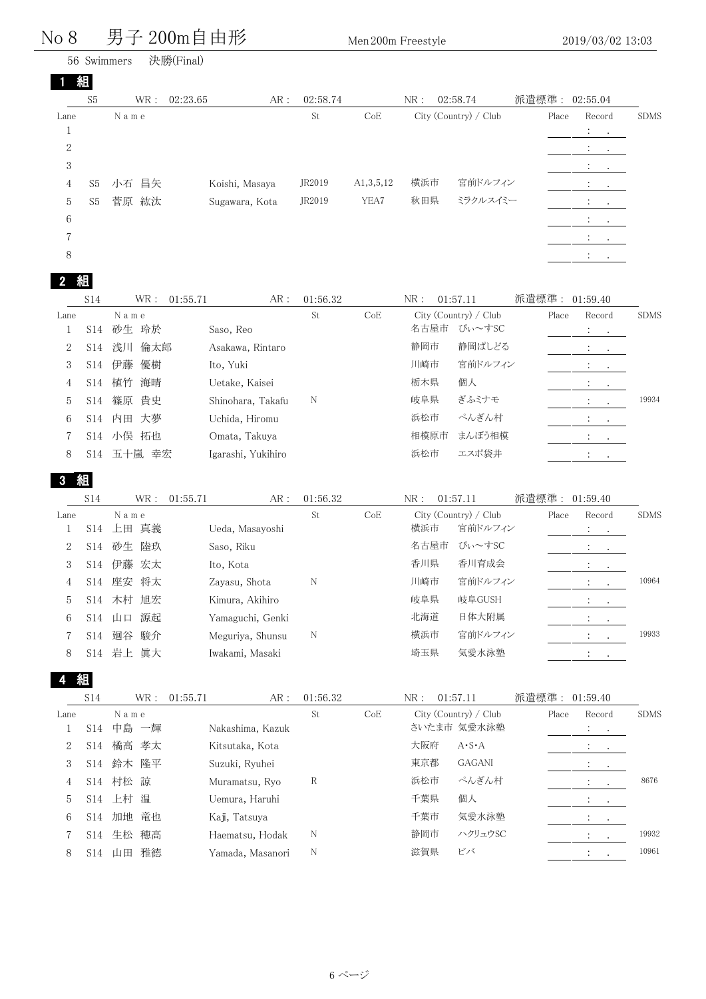## 里子 200m 白 山 形

| No 8           |                | 男           | $200$ m自由形 |                    |          | Men 200m Freestyle |              |                       |                | 2019/03/02 13:03          |             |
|----------------|----------------|-------------|------------|--------------------|----------|--------------------|--------------|-----------------------|----------------|---------------------------|-------------|
|                |                | 56 Swimmers | 決勝(Final)  |                    |          |                    |              |                       |                |                           |             |
| 11             | 組              |             |            |                    |          |                    |              |                       |                |                           |             |
|                | S <sub>5</sub> | WR :        | 02:23.65   | AR:                | 02:58.74 |                    | NR:          | 02:58.74              | 派遣標準: 02:55.04 |                           |             |
| Lane           |                | N a m e     |            |                    | St       | CoE                |              | City (Country) / Club | Place          | Record                    | <b>SDMS</b> |
| $\mathbf{1}$   |                |             |            |                    |          |                    |              |                       |                | ÷<br>$\bullet$            |             |
| $\sqrt{2}$     |                |             |            |                    |          |                    |              |                       |                |                           |             |
| 3              |                |             |            |                    |          |                    |              |                       |                |                           |             |
| 4              | S5             | 小石 昌矢       |            | Koishi, Masaya     | JR2019   | A1,3,5,12          | 横浜市          | 宮前ドルフィン               |                |                           |             |
| 5              | S <sub>5</sub> | 菅原 紘汰       |            | Sugawara, Kota     | JR2019   | YEA7               | 秋田県          | ミラクルスイミー              |                |                           |             |
| 6              |                |             |            |                    |          |                    |              |                       |                |                           |             |
| 7              |                |             |            |                    |          |                    |              |                       |                | $\ddot{\cdot}$            |             |
| $8\,$          |                |             |            |                    |          |                    |              |                       |                |                           |             |
| 2              | 組              |             |            |                    |          |                    |              |                       |                |                           |             |
|                | <b>S14</b>     | WR :        | 01:55.71   | AR:                | 01:56.32 |                    | NR:          | 01:57.11              | 派遣標準: 01:59.40 |                           |             |
| Lane           |                | N a m e     |            |                    | St       | CoE                |              | City (Country) / Club | Place          | Record                    | <b>SDMS</b> |
| $\mathbf{1}$   | S14            | 砂生 玲於       |            | Saso, Reo          |          |                    |              | 名古屋市 ぴぃ~すSC           |                | ÷                         |             |
| $\mathbf{2}$   | <b>S14</b>     | 浅川 倫太郎      |            | Asakawa, Rintaro   |          |                    | 静岡市          | 静岡ぱしどる                |                |                           |             |
| 3              | <b>S14</b>     | 伊藤<br>優樹    |            | Ito, Yuki          |          |                    | 川崎市          | 宮前ドルフィン               |                | $\ddot{\cdot}$            |             |
| $\overline{4}$ | S14            | 植竹<br>海晴    |            | Uetake, Kaisei     |          |                    | 栃木県          | 個人                    |                |                           |             |
| 5              | <b>S14</b>     | 篠原 貴史       |            | Shinohara, Takafu  | N        |                    | 岐阜県          | ぎふミナモ                 |                |                           | 19934       |
| 6              | S14            | 内田 大夢       |            | Uchida, Hiromu     |          |                    | 浜松市          | ぺんぎん村                 |                |                           |             |
| 7              | S14            | 小俣 拓也       |            | Omata, Takuya      |          |                    | 相模原市         | まんぼう相模                |                | $\ddot{\cdot}$            |             |
| 8              | S14            | 五十嵐 幸宏      |            | Igarashi, Yukihiro |          |                    | 浜松市          | エスポ袋井                 |                |                           |             |
| 3              | 組              |             |            |                    |          |                    |              |                       |                |                           |             |
|                | <b>S14</b>     | WR :        | 01:55.71   | AR:                | 01:56.32 |                    | NR:          | 01:57.11              | 派遣標準: 01:59.40 |                           |             |
| Lane           |                | Name        |            |                    | St       | CoE                |              | City (Country) / Club | Place          | Record                    | <b>SDMS</b> |
| 1              | S14            | 上田 真義       |            | Ueda, Masayoshi    |          |                    | 横浜市          | 宮前ドルフィン               |                | $\ddot{\cdot}$            |             |
| $\overline{2}$ | S14            | 砂生 陸玖       |            | Saso, Riku         |          |                    |              | 名古屋市 ぴぃ~すSC           |                | $\ddot{\cdot}$            |             |
| 3              | S14            | 伊藤 宏太       |            | Ito, Kota          |          |                    | 香川県          | 香川育成会                 |                | ÷<br>$\cdot$              |             |
| 4              | S14            | 座安 将太       |            | Zayasu, Shota      | N        |                    | 川崎市          | 宮前ドルフィン               |                |                           | 10964       |
| 5              | S14            | 木村 旭宏       |            | Kimura, Akihiro    |          |                    | 岐阜県          | 岐阜GUSH                |                | $\ddot{\cdot}$            |             |
| 6              | S14            | 源起<br>山口    |            | Yamaguchi, Genki   |          |                    | 北海道          | 日体大附属                 |                |                           |             |
| 7              | S14            | 廻谷 駿介       |            | Meguriya, Shunsu   | N        |                    | 横浜市          | 宮前ドルフィン               |                |                           | 19933       |
| 8              | S14            | 岩上 眞大       |            | Iwakami, Masaki    |          |                    | 埼玉県          | 気愛水泳塾                 |                |                           |             |
| 4              | 組              |             |            |                    |          |                    |              |                       |                |                           |             |
|                | S14            | WR :        | 01:55.71   | AR:                | 01:56.32 |                    | ${\rm NR}$ : | 01:57.11              | 派遣標準: 01:59.40 |                           |             |
| Lane           |                | N a m e     |            |                    | St       | CoE                |              | City (Country) / Club | Place          | Record                    | <b>SDMS</b> |
| $\mathbf{1}$   | <b>S14</b>     | 中島 一輝       |            | Nakashima, Kazuk   |          |                    |              | さいたま市 気愛水泳塾           |                | $\ddot{\cdot}$            |             |
| 2              | S14            | 橘高 孝太       |            | Kitsutaka, Kota    |          |                    | 大阪府          | $A \cdot S \cdot A$   |                |                           |             |
| 3              | S14            | 鈴木 隆平       |            | Suzuki, Ryuhei     |          |                    | 東京都          | GAGANI                |                | $\ddot{\cdot}$            |             |
| 4              | S14            | 村松<br>諒     |            | Muramatsu, Ryo     | R        |                    | 浜松市          | ぺんぎん村                 |                |                           | 8676        |
| 5              | S14            | 上村 温        |            | Uemura, Haruhi     |          |                    | 千葉県          | 個人                    |                | $\ddot{\cdot}$<br>$\cdot$ |             |
| 6              | S14            | 加地<br>竜也    |            | Kaji, Tatsuya      |          |                    | 千葉市          | 気愛水泳塾                 |                |                           |             |
| 7              | S14            | 生松 穂高       |            | Haematsu, Hodak    | N        |                    | 静岡市          | ハクリュウSC               |                |                           | 19932       |
| 8              |                | S14 山田 雅徳   |            | Yamada, Masanori   | N        |                    | 滋賀県          | ビバ                    |                |                           | 10961       |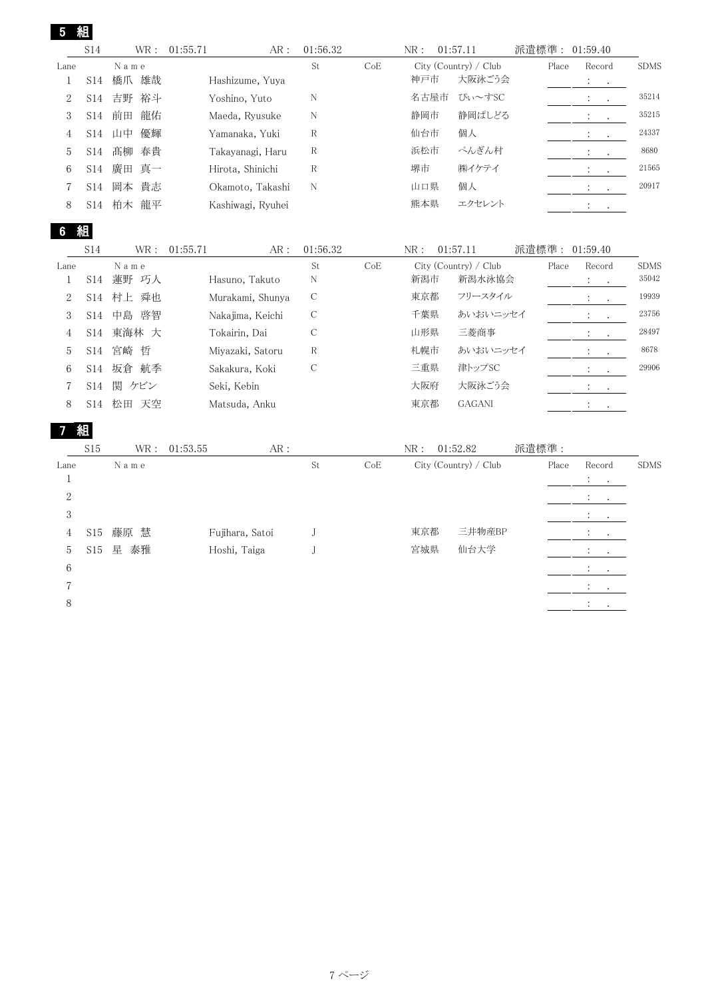|                  | 組               |          |                   |                         |     |              |                       |                |                                                       |             |
|------------------|-----------------|----------|-------------------|-------------------------|-----|--------------|-----------------------|----------------|-------------------------------------------------------|-------------|
|                  | S14             | WR:      | 01:55.71<br>AR:   | 01:56.32                |     | NR:          | 01:57.11              | 派遣標準: 01:59.40 |                                                       |             |
| Lane             |                 | N a m e  |                   | St                      | CoE |              | City (Country) / Club | Place          | Record                                                | <b>SDMS</b> |
| $\mathbf{1}$     | S14             | 橋爪<br>雄哉 | Hashizume, Yuya   |                         |     | 神戸市          | 大阪泳ごう会                |                | $\ddot{\cdot}$                                        |             |
| $\sqrt{2}$       | S14             | 吉野<br>裕斗 | Yoshino, Yuto     | $\mathbf N$             |     | 名古屋市         | ぴぃ~すSC                |                | $\ddot{\cdot}$<br>$\ddot{\phantom{a}}$                | 35214       |
| 3                | S14             | 前田<br>龍佑 | Maeda, Ryusuke    | $\mathbb N$             |     | 静岡市          | 静岡ぱしどる                |                | $\ddot{\cdot}$<br>$\ddot{\phantom{a}}$                | 35215       |
| 4                | S <sub>14</sub> | 優輝<br>山中 | Yamanaka, Yuki    | R                       |     | 仙台市          | 個人                    |                | $\ddot{\cdot}$                                        | 24337       |
| 5                | S <sub>14</sub> | 髙柳<br>春貴 | Takayanagi, Haru  | R                       |     | 浜松市          | ぺんぎん村                 |                | $\ddot{\cdot}$                                        | 8680        |
| 6                | <b>S14</b>      | 廣田<br>真一 | Hirota, Shinichi  | R                       |     | 堺市           | ㈱イケテイ                 |                | $\ddot{\phantom{a}}$<br>$\ddot{\phantom{a}}$          | 21565       |
| 7                | S <sub>14</sub> | 岡本<br>貴志 | Okamoto, Takashi  | N                       |     | 山口県          | 個人                    |                | $\ddot{\cdot}$<br>$\Box$                              | 20917       |
| 8                | S14             | 柏木<br>龍平 | Kashiwagi, Ryuhei |                         |     | 熊本県          | エクセレント                |                | $\ddot{\cdot}$<br>$\mathbf{r}$                        |             |
| 6.               | 組               |          |                   |                         |     |              |                       |                |                                                       |             |
|                  | S14             | WR :     | 01:55.71<br>AR:   | 01:56.32                |     | NR:          | 01:57.11              | 派遣標準: 01:59.40 |                                                       |             |
| Lane             |                 | N a m e  |                   | St                      | CoE |              | City (Country) / Club | Place          | Record                                                | <b>SDMS</b> |
| $\mathbf{1}$     | S14             | 蓮野 巧人    | Hasuno, Takuto    | $\mathbf N$             |     | 新潟市          | 新潟水泳協会                |                | $\ddot{\cdot}$<br>$\ddot{\phantom{a}}$                | 35042       |
| $\boldsymbol{2}$ | S14             | 舜也<br>村上 | Murakami, Shunya  | $\mathcal{C}$           |     | 東京都          | フリースタイル               |                | $\ddot{\cdot}$                                        | 19939       |
| 3                | S14             | 中島 啓智    | Nakajima, Keichi  | $\mathcal{C}$           |     | 千葉県          | あいおいニッセイ              |                | $\colon$<br>$\ddot{\phantom{a}}$                      | 23756       |
| 4                | S14             | 東海林 大    | Tokairin, Dai     | С                       |     | 山形県          | 三菱商事                  |                |                                                       | 28497       |
| 5                | <b>S14</b>      | 宮崎 哲     | Miyazaki, Satoru  | R                       |     | 札幌市          | あいおいニッセイ              |                | $\ddot{\cdot}$<br>$\ddot{\phantom{a}}$                | 8678        |
| 6                | S <sub>14</sub> | 坂倉 航季    | Sakakura, Koki    | $\mathcal{C}$           |     | 三重県          | 津トップSC                |                | $\ddot{\cdot}$<br>$\ddot{\phantom{0}}$                | 29906       |
| 7                | S14             | 関 ケビン    | Seki, Kebin       |                         |     | 大阪府          | 大阪泳ごう会                |                | $\ddot{\cdot}$<br>$\cdot$                             |             |
| 8                | S14             | 松田 天空    | Matsuda, Anku     |                         |     | 東京都          | <b>GAGANI</b>         |                | $\ddot{\cdot}$                                        |             |
|                  | 組               |          |                   |                         |     |              |                       |                |                                                       |             |
|                  | S15             | WR :     | 01:53.55<br>AR:   |                         |     | ${\rm NR}$ : | 01:52.82              | 派遣標準:          |                                                       |             |
| Lane             |                 | N a m e  |                   | $\operatorname{\rm St}$ | CoE |              | City (Country) / Club | Place          | Record                                                | <b>SDMS</b> |
| $\mathbf{1}$     |                 |          |                   |                         |     |              |                       |                | $\ddot{\ddot{\phantom{}}\phantom{}}$<br>$\bullet$     |             |
| $\overline{2}$   |                 |          |                   |                         |     |              |                       |                | $\ddot{\cdot}$<br>$\ddot{\phantom{a}}$                |             |
| 3                |                 |          |                   |                         |     |              |                       |                | $\ddot{\cdot}$                                        |             |
| $\overline{4}$   | S15             | 藤原 慧     | Fujihara, Satoi   | J                       |     | 東京都          | 三井物産BP                |                | $\mathcal{Z}^{\mathcal{A}}$<br>$\sim$                 |             |
| 5                | S <sub>15</sub> | 星 泰雅     | Hoshi, Taiga      | J                       |     | 宮城県          | 仙台大学                  |                | $\mathcal{L}_{\mathrm{max}}$<br>$\sim$                |             |
| 6                |                 |          |                   |                         |     |              |                       |                | $\bullet$                                             |             |
| 7                |                 |          |                   |                         |     |              |                       |                | $\mathcal{I}^{\mathcal{I}}$ .<br>$\ddot{\phantom{a}}$ |             |
| 8                |                 |          |                   |                         |     |              |                       |                | $\ddot{\ddot{z}}$<br>$\sim$                           |             |
|                  |                 |          |                   |                         |     |              |                       |                |                                                       |             |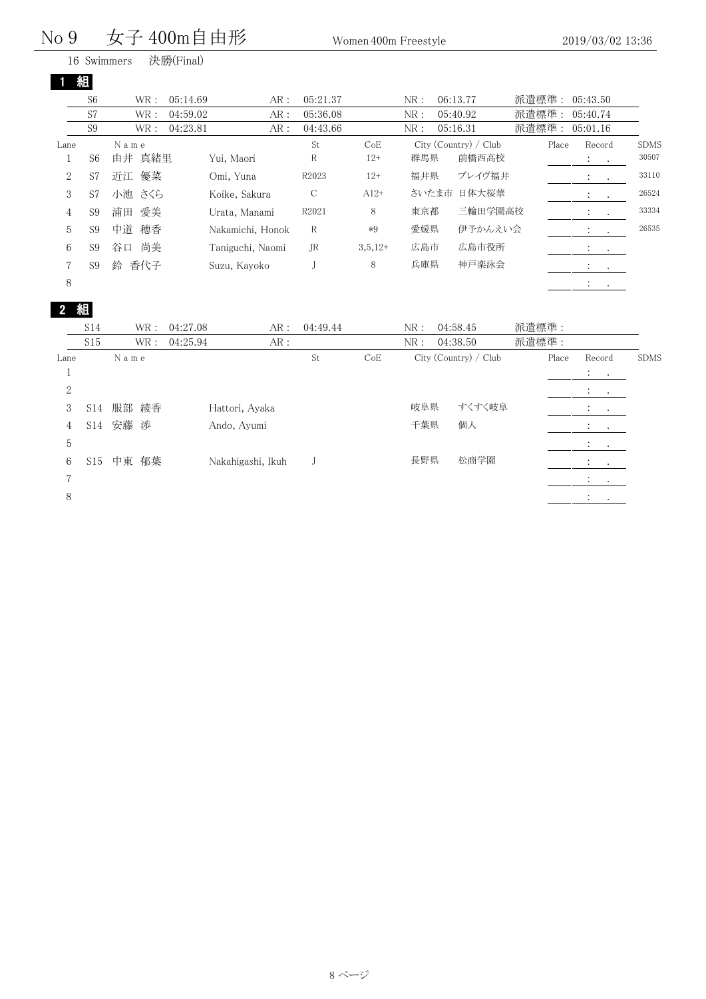## $\rm No~9$   $\rm \not \pm 400$ m自由形  $\rm$   $\rm Women~400m$  Freestyle  $\rm 2019/03/02~13:36$

 Swimmers 決勝(Final) 組

|      | <b><i><u>ILLES 1999</u></i></b> |                  |                  |               |           |       |                       |       |                                       |             |
|------|---------------------------------|------------------|------------------|---------------|-----------|-------|-----------------------|-------|---------------------------------------|-------------|
|      | S <sub>6</sub>                  | 05:14.69<br>WR : | AR:              | 05:21.37      |           | NR:   | 06:13.77              | 派遣標準: | 05:43.50                              |             |
|      | S7                              | 04:59.02<br>WR : | AR:              | 05:36.08      |           | NR:   | 05:40.92              | 派遣標準: | 05:40.74                              |             |
|      | S <sub>9</sub>                  | 04:23.81<br>WR : | AR:              | 04:43.66      |           | NR:   | 05:16.31              | 派遣標準: | 05:01.16                              |             |
| Lane |                                 | Name             |                  | St            | CoE       |       | City (Country) / Club | Place | Record                                | <b>SDMS</b> |
|      | S <sub>6</sub>                  | 由井 真緒里           | Yui, Maori       | R             | $12+$     | 群馬県   | 前橋西高校                 |       | $\ddot{\phantom{0}}$<br>$\sim$ $\sim$ | 30507       |
| 2    | S7                              | 優菜<br>近江         | Omi, Yuna        | R2023         | $12+$     | 福井県   | ブレイヴ福井                |       | $1 - 1$                               | 33110       |
| 3    | S7                              | 小池 さくら           | Koike, Sakura    | $\mathcal{C}$ | $A12+$    | さいたま市 | 日体大桜華                 |       | $\ddot{\cdot}$<br>$\sim$              | 26524       |
| 4    | S <sub>9</sub>                  | 浦田<br>愛美         | Urata, Manami    | R2021         | 8         | 東京都   | 三輪田学園高校               |       |                                       | 33334       |
| 5    | S <sub>9</sub>                  | 中道<br>穂香         | Nakamichi, Honok | R             | $*9$      | 愛媛県   | 伊予かんえい会               |       | $\cdot$<br>$\bullet$                  | 26535       |
| 6    | S <sub>9</sub>                  | 尚美<br>谷口         | Taniguchi, Naomi | JR            | $3,5,12+$ | 広島市   | 広島市役所                 |       | $\mathcal{L}^{\text{max}}$            |             |
|      | S <sub>9</sub>                  | 香代子<br>鈴         | Suzu, Kayoko     |               | 8         | 兵庫県   | 神戸楽泳会                 |       | $\cdot$<br>$\cdot$                    |             |
| 8    |                                 |                  |                  |               |           |       |                       |       | $\cdot$                               |             |

|      | S14             | WR:   | 04:27.08 | AR:               | 04:49.44 |     | NR: | 04:58.45              | 派遣標準: |                                                                                         |             |
|------|-----------------|-------|----------|-------------------|----------|-----|-----|-----------------------|-------|-----------------------------------------------------------------------------------------|-------------|
|      | S15             | WR :  | 04:25.94 | AR:               |          |     | NR: | 04:38.50              | 派遣標準: |                                                                                         |             |
| Lane |                 | Name  |          |                   | St       | CoE |     | City (Country) / Club | Place | Record                                                                                  | <b>SDMS</b> |
|      |                 |       |          |                   |          |     |     |                       |       | $1 - 1$                                                                                 |             |
| 2    |                 |       |          |                   |          |     |     |                       |       | <b>Alberta</b>                                                                          |             |
| 3    | S14             | 服部 綾香 |          | Hattori, Ayaka    |          |     | 岐阜県 | すくすく岐阜                |       | $\mathcal{I}^{\mathcal{I}}$ , $\mathcal{I}^{\mathcal{I}}$ , $\mathcal{I}^{\mathcal{I}}$ |             |
| 4    | S14             | 安藤 渉  |          | Ando, Ayumi       |          |     | 千葉県 | 個人                    |       | $\mathcal{L}_{\text{max}}$ .                                                            |             |
| 5    |                 |       |          |                   |          |     |     |                       |       | $\cdot$<br>$\sim$                                                                       |             |
| 6    | S <sub>15</sub> | 中東 郁葉 |          | Nakahigashi, Ikuh |          |     | 長野県 | 松商学園                  |       | $\bullet$                                                                               |             |
| 7    |                 |       |          |                   |          |     |     |                       |       | $\mathcal{L} = \{1, 2, \ldots, n\}$                                                     |             |
| 8    |                 |       |          |                   |          |     |     |                       |       |                                                                                         |             |
|      |                 |       |          |                   |          |     |     |                       |       |                                                                                         |             |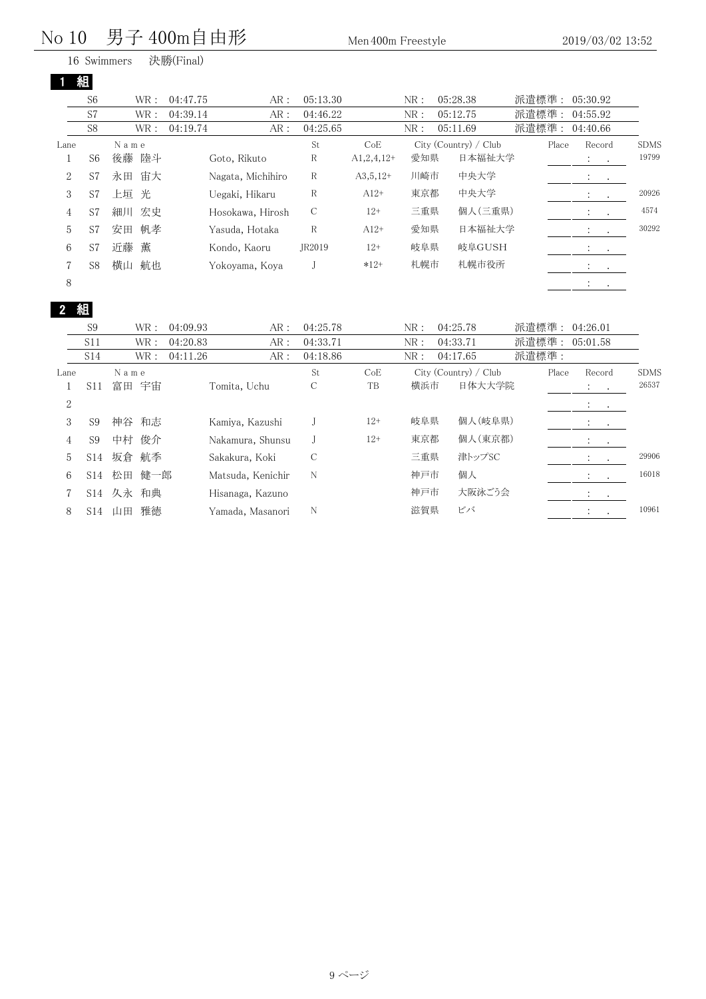## No 10 男子 400m自由形 <sub>Men 400m</sub> Freestyle 2019/03/02 13:52

Swimmers 決勝(Final)

|      | S6             | WR:      | AR:<br>04:47.75   | 05:13.30      |              | NR: | 05:28.38              | 派遣標準: | 05:30.92                                                                                |             |
|------|----------------|----------|-------------------|---------------|--------------|-----|-----------------------|-------|-----------------------------------------------------------------------------------------|-------------|
|      | S7             | WR :     | 04:39.14<br>AR:   | 04:46.22      |              | NR: | 05:12.75              | 派遣標準: | 04:55.92                                                                                |             |
|      | S <sub>8</sub> | WR :     | 04:19.74<br>AR:   | 04:25.65      |              | NR: | 05:11.69              | 派遣標準: | 04:40.66                                                                                |             |
| Lane |                | Name     |                   | St            | CoE          |     | City (Country) / Club | Place | Record                                                                                  | <b>SDMS</b> |
|      | S <sub>6</sub> | 後藤<br>陸斗 | Goto, Rikuto      | R             | $A1,2,4,12+$ | 愛知県 | 日本福祉大学                |       | $1 - 1$                                                                                 | 19799       |
| 2    | S7             | 宙大<br>永田 | Nagata, Michihiro | R             | $A3,5,12+$   | 川崎市 | 中央大学                  |       | $\mathcal{I}^{\mathcal{I}}$ , $\mathcal{I}^{\mathcal{I}}$ , $\mathcal{I}^{\mathcal{I}}$ |             |
| 3    | S7             | 上垣<br>光  | Uegaki, Hikaru    | R             | $A12+$       | 東京都 | 中央大学                  |       | <b>The Control</b>                                                                      | 20926       |
| 4    | S7             | 宏史<br>細川 | Hosokawa, Hirosh  | $\mathcal{C}$ | $12+$        | 三重県 | 個人(三重県)               |       | $\sim$                                                                                  | 4574        |
| 5    | S7             | 安田<br>帆孝 | Yasuda, Hotaka    | R             | $A12+$       | 愛知県 | 日本福祉大学                |       | $\mathcal{L} = \mathcal{L}$                                                             | 30292       |
| 6    | S7             | 近藤<br>薫  | Kondo, Kaoru      | JR2019        | $12+$        | 岐阜県 | 岐阜GUSH                |       | $\sim$ $\sim$                                                                           |             |
| 7    | S <sub>8</sub> | 横山<br>航也 | Yokoyama, Koya    | J             | $*12+$       | 札幌市 | 札幌市役所                 |       | $\ddot{\cdot}$<br>$\sim 100$ km s $^{-1}$                                               |             |
| 8    |                |          |                   |               |              |     |                       |       | $\cdot$<br>$\bullet$                                                                    |             |

| S <sub>9</sub>  | WR:      | 04:09.93<br>AR:   | 04:25.78         |       | NR: |                                                                                                                           |                                                           |                      |
|-----------------|----------|-------------------|------------------|-------|-----|---------------------------------------------------------------------------------------------------------------------------|-----------------------------------------------------------|----------------------|
| S11             | WR:      | 04:20.83<br>AR:   | 04:33.71         |       | NR: |                                                                                                                           |                                                           |                      |
| S14             | WR:      | 04:11.26<br>AR:   | 04:18.86         |       | NR: |                                                                                                                           |                                                           |                      |
|                 | Name     |                   | St               | CoE   |     | Place                                                                                                                     | Record                                                    | <b>SDMS</b>          |
| S <sub>11</sub> | 富田<br>宇宙 | Tomita, Uchu      | С                | TB    | 横浜市 |                                                                                                                           | <b>The Car</b>                                            | 26537                |
|                 |          |                   |                  |       |     |                                                                                                                           | $\mathcal{A}^{\mathcal{A}}$ , $\mathcal{A}^{\mathcal{A}}$ |                      |
| S <sub>9</sub>  | 神谷<br>和志 | Kamiya, Kazushi   |                  | $12+$ | 岐阜県 |                                                                                                                           | $2.1 - 1.1$                                               |                      |
| S <sub>9</sub>  | 俊介<br>中村 | Nakamura, Shunsu  |                  | $12+$ | 東京都 |                                                                                                                           | $\mathcal{I}^{\text{max}}$ , $\mathcal{I}^{\text{max}}$   |                      |
| S14             | 坂倉<br>航季 | Sakakura, Koki    | C                |       | 三重県 |                                                                                                                           | $\mathcal{L} = \mathcal{L}$<br>$\bullet$                  | 29906                |
| S <sub>14</sub> | 松田       | Matsuda, Kenichir | N                |       | 神戸市 |                                                                                                                           | $\mathcal{L} = \mathcal{L}$                               | 16018                |
|                 |          | Hisanaga, Kazuno  |                  |       | 神戸市 |                                                                                                                           | 2.0011                                                    |                      |
| S14             | 雅徳<br>山田 | Yamada, Masanori  | N                |       | 滋賀県 |                                                                                                                           | $\ddot{\cdot}$<br>$\bullet$                               | 10961                |
| Lane            |          |                   | 健一郎<br>S14 久永 和典 |       |     | 04:25.78<br>04:33.71<br>04:17.65<br>City (Country) / Club<br>日体大大学院<br>個人(岐阜県)<br>個人(東京都)<br>津トップSC<br>個人<br>大阪泳ごう会<br>ビバ | 派遣標準:<br>派遣標準:<br>派遣標準:                                   | 04:26.01<br>05:01.58 |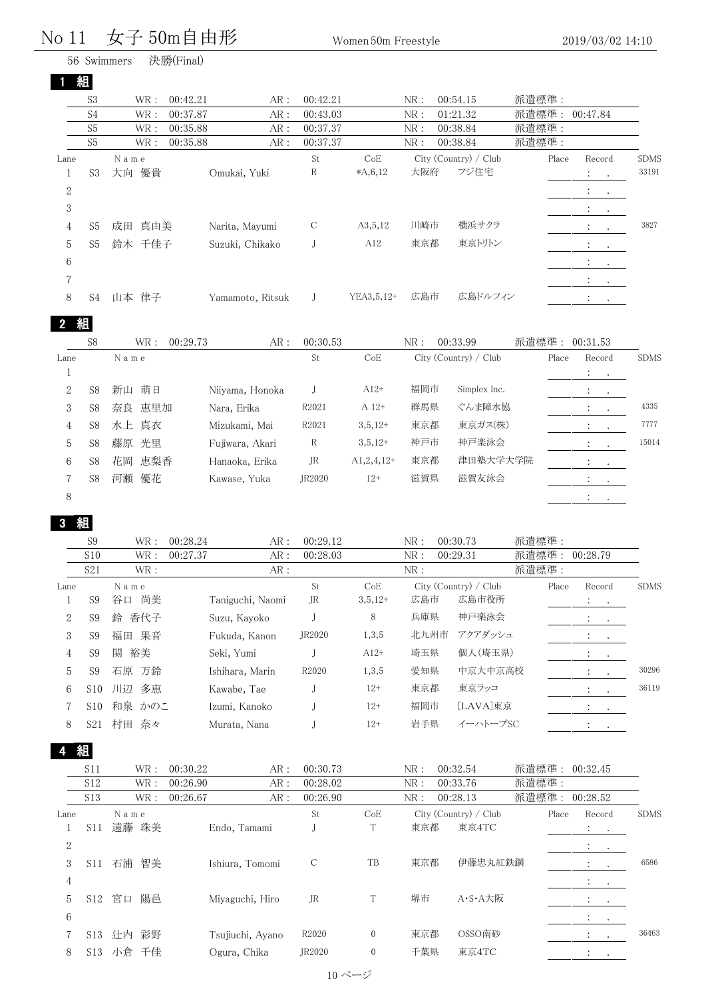#### $\rm No~11$  女子  $\rm 50m$ 自由形  $\rm$   $\rm$  Women 50m Freestyle  $\rm$  2019/03/02 14:10 Swimmers 決勝(Final)

#### 組

|                | S <sub>3</sub> | WR:<br>00:42.21 | AR:              | 00:42.21 |              | NR: | 00:54.15              | 派遣標準: |                                                             |             |
|----------------|----------------|-----------------|------------------|----------|--------------|-----|-----------------------|-------|-------------------------------------------------------------|-------------|
|                | S <sub>4</sub> | WR:<br>00:37.87 | AR:              | 00:43.03 |              | NR: | 01:21.32              | 派遣標準: | 00:47.84                                                    |             |
|                | S <sub>5</sub> | WR:<br>00:35.88 | AR:              | 00:37.37 |              | NR: | 00:38.84              | 派遣標準: |                                                             |             |
|                | S <sub>5</sub> | 00:35.88<br>WR: | AR:              | 00:37.37 |              | NR: | 00:38.84              | 派遣標準: |                                                             |             |
| Lane           |                | Name            |                  | St       | CoE          |     | City (Country) / Club | Place | Record                                                      | <b>SDMS</b> |
|                | S <sub>3</sub> | 優貴<br>大向        | Omukai, Yuki     | R        | $*A, 6, 12$  | 大阪府 | フジ住宅                  |       | $1 - 1$                                                     | 33191       |
| $\overline{2}$ |                |                 |                  |          |              |     |                       |       | <b>Contract</b>                                             |             |
| 3              |                |                 |                  |          |              |     |                       |       | diamondo                                                    |             |
| 4              | S <sub>5</sub> | 真由美<br>成田       | Narita, Mayumi   | С        | A3,5,12      | 川崎市 | 横浜サクラ                 |       | $\mathcal{L}^{\text{max}}$                                  | 3827        |
| 5              | S <sub>5</sub> | 千佳子<br>鈴木       | Suzuki, Chikako  |          | A12          | 東京都 | 東京トリトン                |       | $\mathcal{L}_{\text{max}}$ , and $\mathcal{L}_{\text{max}}$ |             |
| 6              |                |                 |                  |          |              |     |                       |       | $\Delta \phi = 1.00$                                        |             |
| 7              |                |                 |                  |          |              |     |                       |       | <b>All Cards</b>                                            |             |
| 8              | S4             | 律子<br>山本        | Yamamoto, Ritsuk |          | $YEA3.5.12+$ | 広島市 | 広島ドルフィン               |       | $\ddot{\phantom{0}}$<br>$\cdot$                             |             |

|      | S <sub>8</sub> | WR:       | 00:29.73 | AR:             | 00:30.53 |              | NR: | 00:33.99              | 派遣標準: | 00:31.53                                                    |             |
|------|----------------|-----------|----------|-----------------|----------|--------------|-----|-----------------------|-------|-------------------------------------------------------------|-------------|
| Lane |                | Name      |          |                 | St       | CoE          |     | City (Country) / Club | Place | Record<br>$\sim$ 100 $\sim$ 100 $\sim$                      | <b>SDMS</b> |
| 2    | S8             | 萌日<br>新山  |          | Niiyama, Honoka |          | $A12+$       | 福岡市 | Simplex Inc.          |       | $\ddot{\phantom{0}}$<br>$\sim$                              |             |
| 3    | S8             | 奈良 恵里加    |          | Nara, Erika     | R2021    | $A 12+$      | 群馬県 | ぐんま障水協                |       | $\cdot$                                                     | 4335        |
| 4    | S8             | 水上 真衣     |          | Mizukami, Mai   | R2021    | $3,5,12+$    | 東京都 | 東京ガス(株)               |       | $\mathcal{I}^{\mathcal{I}}$ and $\mathcal{I}^{\mathcal{I}}$ | 7777        |
| 5    | S8             | 藤原<br>光里  |          | Fujiwara, Akari | R        | $3,5,12+$    | 神戸市 | 神戸楽泳会                 |       |                                                             | 15014       |
| 6    | S8             | 恵梨香<br>花岡 |          | Hanaoka, Erika  | JR.      | $A1,2,4,12+$ | 東京都 | 津田塾大学大学院              |       | $\cdot$<br>$\sim 100$                                       |             |
|      | S8             | 河瀬<br>優花  |          | Kawase, Yuka    | JR2020   | $12+$        | 滋賀県 | 滋賀友泳会                 |       | $\sim$ $\sim$                                               |             |
| 8    |                |           |          |                 |          |              |     |                       |       |                                                             |             |

#### 組

|      | S <sub>9</sub>  | WR:      | AR:<br>00:28.24  | 00:29.12          |           | NR:  | 00:30.73              | 派遣標準: |                                                         |             |
|------|-----------------|----------|------------------|-------------------|-----------|------|-----------------------|-------|---------------------------------------------------------|-------------|
|      | S10             | WR:      | 00:27.37<br>AR:  | 00:28.03          |           | NR:  | 00:29.31              | 派遣標準: | 00:28.79                                                |             |
|      | S21             | WR:      | AR:              |                   |           | NR:  |                       | 派遣標準: |                                                         |             |
| Lane |                 | Name     |                  | St                | CoE       |      | City (Country) / Club | Place | Record                                                  | <b>SDMS</b> |
|      | S <sub>9</sub>  | 尚美<br>谷口 | Taniguchi, Naomi | JR                | $3,5,12+$ | 広島市  | 広島市役所                 |       | $\mathcal{L}_{\text{max}}$ , $\mathcal{L}_{\text{max}}$ |             |
| 2    | S <sub>9</sub>  | 香代子<br>鈴 | Suzu, Kayoko     |                   | 8         | 兵庫県  | 神戸楽泳会                 |       | $\bullet$<br>$\sim 100$                                 |             |
| 3    | S <sub>9</sub>  | 果音<br>福田 | Fukuda, Kanon    | JR2020            | 1,3,5     | 北九州市 | アクアダッシュ               |       | $\mathcal{A}=\mathcal{A}$ .                             |             |
| 4    | S <sub>9</sub>  | 裕美<br>関  | Seki, Yumi       |                   | $A12+$    | 埼玉県  | 個人(埼玉県)               |       | <b>Service</b> State                                    |             |
| 5    | S <sub>9</sub>  | 石原 万鈴    | Ishihara, Marin  | R <sub>2020</sub> | 1,3,5     | 愛知県  | 中京大中京高校               |       | $\bullet$<br>$\cdot$                                    | 30296       |
| 6    | S <sub>10</sub> | 多恵<br>川辺 | Kawabe, Tae      |                   | $12+$     | 東京都  | 東京ラッコ                 |       | $1 - 1$                                                 | 36119       |
|      | S <sub>10</sub> | 和泉 かのこ   | Izumi, Kanoko    |                   | $12+$     | 福岡市  | [LAVA]東京              |       | All Card                                                |             |
| 8    | S21             | 奈々<br>村田 | Murata, Nana     |                   | $12+$     | 岩手県  | イーハトーブSC              |       | $\bullet$                                               |             |
|      |                 |          |                  |                   |           |      |                       |       |                                                         |             |

|                | <b>S11</b>      | WR:      | AR:<br>00:30.22  | 00:30.73          |              | NR: | 00:32.54              | 派遣標準: |       | 00:32.45                                                |             |
|----------------|-----------------|----------|------------------|-------------------|--------------|-----|-----------------------|-------|-------|---------------------------------------------------------|-------------|
|                | S12             | WR :     | AR:<br>00:26.90  | 00:28.02          |              | NR: | 00:33.76              | 派遣標準: |       |                                                         |             |
|                | S <sub>13</sub> | WR:      | AR:<br>00:26.67  | 00:26.90          |              | NR: | 00:28.13              | 派遣標準: |       | 00:28.52                                                |             |
| Lane           |                 | Name     |                  | St                | CoE          |     | City (Country) / Club |       | Place | Record                                                  | <b>SDMS</b> |
|                | S <sub>11</sub> | 遠藤 珠美    | Endo, Tamami     |                   |              | 東京都 | 東京4TC                 |       |       | $\mathcal{L}_{\text{max}}$ , $\mathcal{L}_{\text{max}}$ |             |
| 2              |                 |          |                  |                   |              |     |                       |       |       | $\sim$ $\sim$                                           |             |
| 3              | S <sub>11</sub> | 石浦<br>智美 | Ishiura, Tomomi  | C                 | TB           | 東京都 | 伊藤忠丸紅鉄鋼               |       |       | $\mathcal{L}_{\rm{max}}$                                | 6586        |
| $\overline{4}$ |                 |          |                  |                   |              |     |                       |       |       | $\mathbf{A}$ and $\mathbf{A}$                           |             |
| 5              | S <sub>12</sub> | 陽邑<br>宮口 | Miyaguchi, Hiro  | JR                | T            | 堺市  | A·S·A大阪               |       |       | $\ddot{\phantom{0}}$                                    |             |
| 6              |                 |          |                  |                   |              |     |                       |       |       | <b>Contract</b>                                         |             |
|                | S <sub>13</sub> | 彩野<br>计内 | Tsujiuchi, Ayano | R <sub>2020</sub> | $\mathbf{0}$ | 東京都 | OSSO南砂                |       |       | $\cdot$                                                 | 36463       |
| 8              | S <sub>13</sub> | 千佳<br>小倉 | Ogura, Chika     | JR2020            | $\mathbf{0}$ | 千葉県 | 東京4TC                 |       |       | $\ddot{\cdot}$<br>$\bullet$                             |             |
|                |                 |          |                  |                   |              |     |                       |       |       |                                                         |             |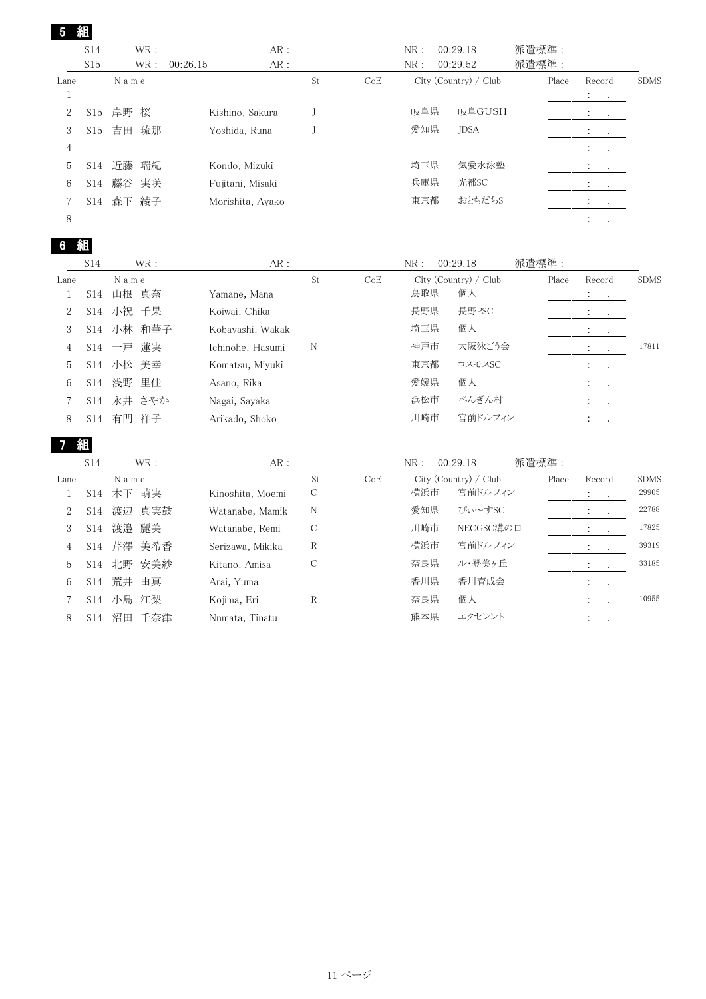|                | S14 |       | WR: |          | AR:              |    |     | NR: | 00:29.18              | 派遣標準: |                                 |             |
|----------------|-----|-------|-----|----------|------------------|----|-----|-----|-----------------------|-------|---------------------------------|-------------|
|                | S15 |       | WR: | 00:26.15 | AR:              |    |     | NR: | 00:29.52              | 派遣標準: |                                 |             |
| Lane           |     | Name  |     |          |                  | St | CoE |     | City (Country) / Club | Place | Record                          | <b>SDMS</b> |
| Ŧ.             |     |       |     |          |                  |    |     |     |                       |       | <b>Dealer</b>                   |             |
| 2              | S15 | 岸野    | 桜   |          | Kishino, Sakura  |    |     | 岐阜県 | 岐阜GUSH                |       | $\cdot$<br>$\sim$ $\sim$        |             |
| 3              | S15 | 吉田    | 琉那  |          | Yoshida, Runa    |    |     | 愛知県 | <b>JDSA</b>           |       | <b>Contract</b>                 |             |
| $\overline{4}$ |     |       |     |          |                  |    |     |     |                       |       | <b>Denvertischen</b>            |             |
| 5              | S14 | 近藤    | 瑞紀  |          | Kondo, Mizuki    |    |     | 埼玉県 | 気愛水泳塾                 |       | 2.0011                          |             |
| 6              | S14 | 藤谷 実咲 |     |          | Fujitani, Misaki |    |     | 兵庫県 | 光都SC                  |       |                                 |             |
|                | S14 | 森下 綾子 |     |          | Morishita, Ayako |    |     | 東京都 | おともだちS                |       | <b>Contract</b>                 |             |
| 8              |     |       |     |          |                  |    |     |     |                       |       | $\ddot{\phantom{0}}$<br>$\cdot$ |             |

|                | S14 | WR:                             | AR:              |    |     | NR:                             | 00:29.18                    | 派遣標準:   |                                                  |             |
|----------------|-----|---------------------------------|------------------|----|-----|---------------------------------|-----------------------------|---------|--------------------------------------------------|-------------|
| Lane           | S14 | Name<br>山根 真奈                   | Yamane, Mana     | St | CoE | 鳥取県                             | City (Country) / Club<br>個人 | Place   | Record<br>And Area                               | <b>SDMS</b> |
| 2              |     | S14 小祝 千果                       | Koiwai, Chika    |    |     | 長野県                             | 長野PSC                       |         | $\mathcal{L} = \mathcal{L}$                      |             |
| 3              |     | S14 小林 和華子                      | Kobayashi, Wakak |    |     | 埼玉県                             | 個人                          |         | $\mathcal{I}^{\mathcal{I}}$ .<br>$\sim$ $\sim$   |             |
| $\overline{4}$ |     | S14 一戸 蓮実                       | Ichinohe, Hasumi | N  |     | 神戸市                             | 大阪泳ごう会                      |         | $\ddot{\phantom{0}}$<br>$\sim$ $\sim$            | 17811       |
| 5              |     | S14 小松 美幸                       | Komatsu, Miyuki  |    |     | 東京都                             | コスモスSC                      |         | $\ddot{\phantom{0}}$<br><b>Contract Contract</b> |             |
| 6              | S14 | 浅野 里佳                           | Asano, Rika      |    |     | 愛媛県                             | 個人                          |         | <b>Contract Contract</b><br>$\ddot{\phantom{0}}$ |             |
| 7              |     | S14 永井 さやか                      | Nagai, Sayaka    |    |     | 浜松市                             | ぺんぎん村                       |         | $\mathcal{L}_{\text{max}}$ .                     |             |
| 8              |     | S14 有門 祥子                       | Arikado, Shoko   |    |     | 川崎市                             | 宮前ドルフィン                     |         | $\cdot$<br>$\sim$                                |             |
|                | C11 | $\overline{M}$ $\overline{D}$ . | $AD$ .           |    |     | $\lambda$ ID $\lambda$ 00.00.10 |                             | 江之 上海 准 |                                                  |             |

|      | S14             | WR:       | AR:              |    |     | 00:29.18<br>NR: |                       |       |                                                             |             |
|------|-----------------|-----------|------------------|----|-----|-----------------|-----------------------|-------|-------------------------------------------------------------|-------------|
| Lane |                 | Name      |                  | St | CoE |                 | City (Country) / Club | Place | Record                                                      | <b>SDMS</b> |
|      | S14             | 木下 萌実     | Kinoshita, Moemi | С  |     | 横浜市             | 宮前ドルフィン               |       | $\mathcal{I}^{\mathcal{I}}$ and $\mathcal{I}^{\mathcal{I}}$ | 29905       |
| 2    | S14             | 渡辺 真実鼓    | Watanabe, Mamik  | N  |     | 愛知県             | ぴぃ~すSC                |       | $\mathcal{L} = \mathcal{L}$<br>$\cdot$                      | 22788       |
| 3    | S14             | 渡邉<br>麗美  | Watanabe, Remi   | С  |     | 川崎市             | NECGSC溝の口             |       | $\mathbb{R}^n$ .                                            | 17825       |
| 4    | S14             | 芹澤 美希香    | Serizawa, Mikika | R  |     | 横浜市             | 宮前ドルフィン               |       | $\mathbb{R}^n$ .                                            | 39319       |
| 5    | S <sub>14</sub> | 北野 安美紗    | Kitano, Amisa    | С  |     | 奈良県             | ル・登美ヶ丘                |       |                                                             | 33185       |
| 6    | S14             | 荒井<br>由真  | Arai, Yuma       |    |     | 香川県             | 香川育成会                 |       |                                                             |             |
|      | S14             | 小島<br>江梨  | Kojima, Eri      | R  |     | 奈良県             | 個人                    |       |                                                             | 10955       |
| 8    | S14             | 沼田<br>千奈津 | Nnmata, Tinatu   |    |     | 熊本県             | エクセレント                |       | $\cdot$                                                     |             |
|      |                 |           |                  |    |     |                 |                       |       |                                                             |             |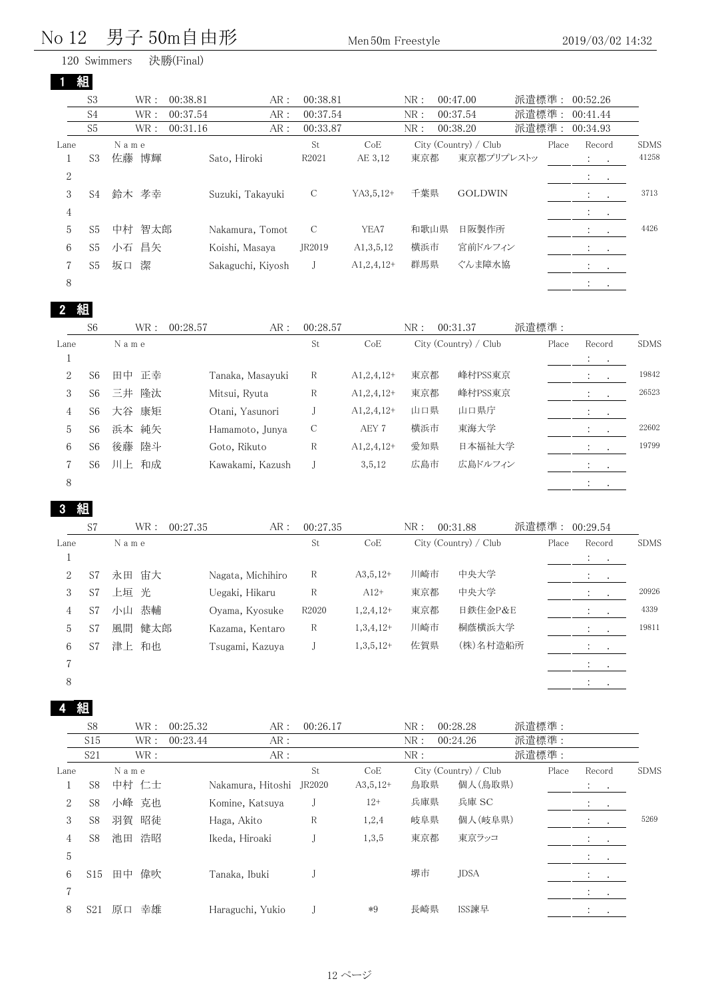## 男子 Men No 12 50m自由形 50m Freestyle 2019/03/02 14:32

Swimmers 決勝(Final)

|--|--|

|                | S <sub>3</sub> | WR :      | 00:38.81 | AR:               | 00:38.81      |              | NR:  | 00:47.00              | 派遣標準: |       | 00:52.26                                                                                |             |
|----------------|----------------|-----------|----------|-------------------|---------------|--------------|------|-----------------------|-------|-------|-----------------------------------------------------------------------------------------|-------------|
|                | S <sub>4</sub> | WR:       | 00:37.54 | AR:               | 00:37.54      |              | NR:  | 00:37.54              | 派遣標準: |       | 00:41.44                                                                                |             |
|                | S <sub>5</sub> | WR :      | 00:31.16 | AR:               | 00:33.87      |              | NR:  | 00:38.20              | 派遣標準: |       | 00:34.93                                                                                |             |
| Lane           |                | Name      |          |                   | St            | CoE          |      | City (Country) / Club |       | Place | Record                                                                                  | <b>SDMS</b> |
|                | S3             | 博輝<br>佐藤  |          | Sato, Hiroki      | R2021         | AE 3,12      | 東京都  | 東京都プリプレストッ            |       |       | $1 - 1$                                                                                 | 41258       |
| 2              |                |           |          |                   |               |              |      |                       |       |       | $\ddot{\cdot}$<br>$\sim$ $\sim$                                                         |             |
| 3              | S4             | 鈴木 孝幸     |          | Suzuki, Takayuki  | $\mathcal{C}$ | $YA3.5.12+$  | 千葉県  | <b>GOLDWIN</b>        |       |       | $\mathcal{L}_{\rm{max}}$                                                                | 3713        |
| $\overline{4}$ |                |           |          |                   |               |              |      |                       |       |       | $\mathcal{L}^{\text{max}}$                                                              |             |
| 5              | S5             | 智太郎<br>中村 |          | Nakamura, Tomot   | $\mathcal{C}$ | YEA7         | 和歌山県 | 日阪製作所                 |       |       | $\mathcal{I}^{\mathcal{I}}$ , $\mathcal{I}^{\mathcal{I}}$ , $\mathcal{I}^{\mathcal{I}}$ | 4426        |
| 6              | S5             | 昌矢<br>小石  |          | Koishi, Masava    | JR2019        | A1,3,5,12    | 横浜市  | 宮前ドルフィン               |       |       | $\sim$ $\sim$                                                                           |             |
|                | S5             | 潔<br>坂口   |          | Sakaguchi, Kiyosh |               | $A1,2,4,12+$ | 群馬県  | ぐんま障水協                |       |       | $\sim$ $\sim$                                                                           |             |
| 8              |                |           |          |                   |               |              |      |                       |       |       | $\ddot{\cdot}$                                                                          |             |
|                |                |           |          |                   |               |              |      |                       |       |       |                                                                                         |             |

|                | S <sub>6</sub> | WR:      | AR:<br>00:28.57  | 00:28.57 |              | NR: | 00:31.37              | 派遣標準: |                                                                                         |             |
|----------------|----------------|----------|------------------|----------|--------------|-----|-----------------------|-------|-----------------------------------------------------------------------------------------|-------------|
| Lane           |                | Name     |                  | St       | CoE          |     | City (Country) / Club | Place | Record                                                                                  | <b>SDMS</b> |
| Ŧ,             |                |          |                  |          |              |     |                       |       | $\mathcal{L}^{\text{max}}$                                                              |             |
| $\overline{2}$ | S <sub>6</sub> | 田中 正幸    | Tanaka, Masayuki | R        | $A1,2,4,12+$ | 東京都 | 峰村PSS東京               |       | $1 - 1$                                                                                 | 19842       |
| 3              | S <sub>6</sub> | 三井<br>隆汰 | Mitsui, Ryuta    | R        | $A1,2,4,12+$ | 東京都 | 峰村PSS東京               |       | $\cdot$<br>$\bullet$                                                                    | 26523       |
| 4              | S <sub>6</sub> | 康矩<br>大谷 | Otani, Yasunori  |          | $A1,2,4,12+$ | 山口県 | 山口県庁                  |       | $\mathcal{I}^{\mathcal{I}}$ , $\mathcal{I}^{\mathcal{I}}$ , $\mathcal{I}^{\mathcal{I}}$ |             |
| 5              | S <sub>6</sub> | 浜本<br>純矢 | Hamamoto, Junya  | C        | AEY 7        | 横浜市 | 東海大学                  |       | $\cdot$<br>$\cdot$                                                                      | 22602       |
| 6              | S <sub>6</sub> | 後藤<br>陸斗 | Goto, Rikuto     | R        | $A1,2,4,12+$ | 愛知県 | 日本福祉大学                |       | $\ddot{\cdot}$<br>$\sim$                                                                | 19799       |
| 7              | S <sub>6</sub> | 川上 和成    | Kawakami, Kazush | J        | 3,5,12       | 広島市 | 広島ドルフィン               |       | $\bullet$<br>$\cdot$                                                                    |             |
| 8              |                |          |                  |          |              |     |                       |       | $\cdot$                                                                                 |             |

|      | S7 | WR :    | D |
|------|----|---------|---|
| Lane |    | N a m e |   |
|      |    |         |   |

|      | S7 | WR:       | 00:27.35 | AR:               | 00:27.35          |             | NR: | 00:31.88              | 派遣標準: | 00:29.54             |             |
|------|----|-----------|----------|-------------------|-------------------|-------------|-----|-----------------------|-------|----------------------|-------------|
| Lane |    | Name      |          |                   | St                | CoE         |     | City (Country) / Club | Place | Record               | <b>SDMS</b> |
|      |    |           |          |                   |                   |             |     |                       |       | $\bullet$<br>$\sim$  |             |
| 2    | S7 | 永田 宙大     |          | Nagata, Michihiro | R                 | $A3,5,12+$  | 川崎市 | 中央大学                  |       | $\cdot$<br>$\bullet$ |             |
| 3    | S7 | 上垣 光      |          | Uegaki, Hikaru    | R                 | $A12+$      | 東京都 | 中央大学                  |       |                      | 20926       |
| 4    | S7 | 恭輔<br>小山  |          | Oyama, Kyosuke    | R <sub>2020</sub> | $1,2,4,12+$ | 東京都 | 日鉄住金P&E               |       |                      | 4339        |
| 5    | S7 | 健太郎<br>風間 |          | Kazama, Kentaro   | R                 | $1,3,4,12+$ | 川崎市 | 桐蔭横浜大学                |       |                      | 19811       |
| 6    | S7 | 津上 和也     |          | Tsugami, Kazuya   |                   | $1,3,5,12+$ | 佐賀県 | (株)名村造船所              |       | $\sim$               |             |
|      |    |           |          |                   |                   |             |     |                       |       |                      |             |
| 8    |    |           |          |                   |                   |             |     |                       |       | $\cdot$              |             |

|                | S <sub>8</sub>  | WR:      | AR:<br>00:25.32   | 00:26.17 |            | NR: | 00:28.28              | 派遣標準: |                                                                             |             |
|----------------|-----------------|----------|-------------------|----------|------------|-----|-----------------------|-------|-----------------------------------------------------------------------------|-------------|
|                | S15             | WR:      | AR:<br>00:23.44   |          |            | NR: | 00:24.26              | 派遣標準: |                                                                             |             |
|                | S <sub>21</sub> | WR:      | AR:               |          |            | NR: |                       | 派遣標準: |                                                                             |             |
| Lane           |                 | N a m e  |                   | St       | CoE        |     | City (Country) / Club | Place | Record                                                                      | <b>SDMS</b> |
|                | S8              | 中村 仁士    | Nakamura, Hitoshi | JR2020   | $A3,5,12+$ | 鳥取県 | 個人(鳥取県)               |       | $\bullet$ .<br><br><br><br><br><br><br><br><br><br><br><br><br><br><br><br> |             |
| $\overline{2}$ | S <sub>8</sub>  | 小峰 克也    | Komine, Katsuya   |          | $12+$      | 兵庫県 | 兵庫 SC                 |       |                                                                             |             |
| 3              | S8              | 羽賀<br>昭徒 | Haga, Akito       | R        | 1,2,4      | 岐阜県 | 個人(岐阜県)               |       | $\mathcal{L}_{\rm{max}}$                                                    | 5269        |
| 4              | S8              | 浩昭<br>池田 | Ikeda, Hiroaki    |          | 1,3,5      | 東京都 | 東京ラッコ                 |       | $\mathcal{X} \subset \mathcal{X}$ .                                         |             |
| 5              |                 |          |                   |          |            |     |                       |       | <b>Service</b> State                                                        |             |
| 6              | S <sub>15</sub> | 偉吹<br>田中 | Tanaka, Ibuki     |          |            | 堺市  | <b>JDSA</b>           |       | $\mathcal{L}^{\text{max}}$ and $\mathcal{L}^{\text{max}}$                   |             |
|                |                 |          |                   |          |            |     |                       |       | $\mathcal{A}^{\text{max}}$ , and                                            |             |
| 8              | S <sub>21</sub> | 幸雄<br>原口 | Haraguchi, Yukio  |          | $*9$       | 長崎県 | ISS諫早                 |       | $\mathcal{A}^{\mathcal{A}}$ , and $\mathcal{A}^{\mathcal{A}}$               |             |
|                |                 |          |                   |          |            |     |                       |       |                                                                             |             |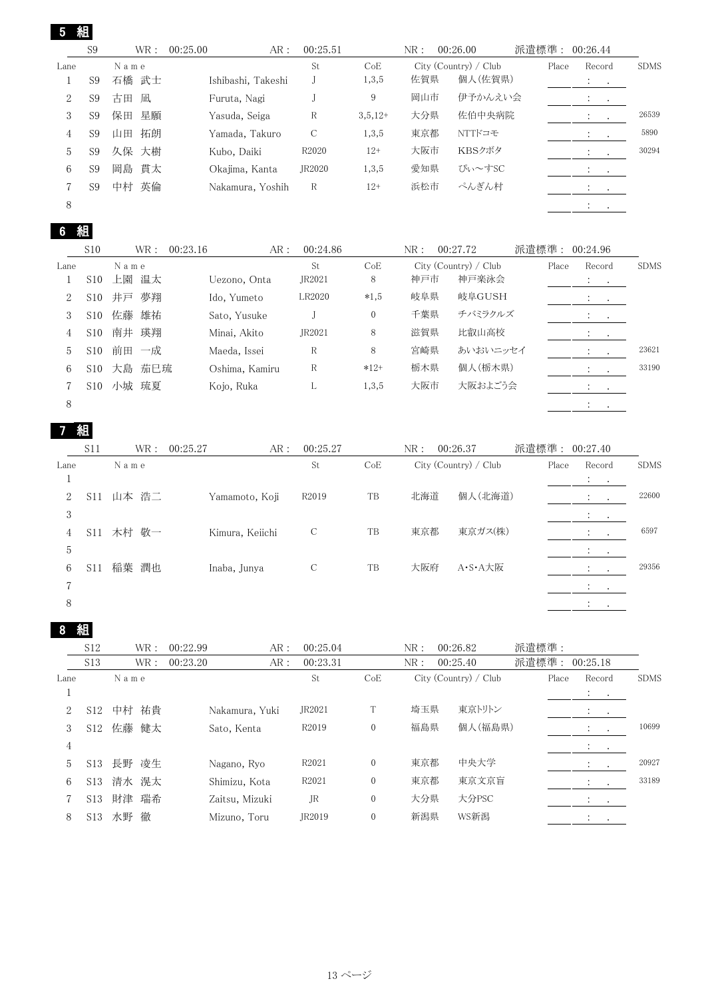|                | S9             | WR:           | 00:25.00<br>AR:    | 00:25.51 |              | NR: | 00:26.00                         | 派遣標準: | 00:26.44                                                                                          |             |
|----------------|----------------|---------------|--------------------|----------|--------------|-----|----------------------------------|-------|---------------------------------------------------------------------------------------------------|-------------|
| Lane           | S <sub>9</sub> | Name<br>石橋 武士 | Ishibashi, Takeshi | St       | CoE<br>1,3,5 | 佐賀県 | City (Country) / Club<br>個人(佐賀県) | Place | Record<br>$\mathcal{I}^{\mathcal{A}}$ , $\mathcal{I}^{\mathcal{A}}$ , $\mathcal{I}^{\mathcal{A}}$ | <b>SDMS</b> |
| 2              | S <sub>9</sub> | 凪<br>古田       | Furuta, Nagi       |          | 9            | 岡山市 | 伊予かんえい会                          |       | $\sim$ $\sim$                                                                                     |             |
| 3              | S <sub>9</sub> | 保田<br>星願      | Yasuda, Seiga      | R        | $3,5,12+$    | 大分県 | 佐伯中央病院                           |       | $\ddot{\cdot}$<br>$\cdot$                                                                         | 26539       |
| $\overline{4}$ | S <sub>9</sub> | 拓朗<br>山田      | Yamada, Takuro     | C        | 1,3,5        | 東京都 | NTTドコモ                           |       | $1 - 1$                                                                                           | 5890        |
| 5              | S <sub>9</sub> | 久保 大樹         | Kubo, Daiki        | R2020    | $12+$        | 大阪市 | KBSクボタ                           |       |                                                                                                   | 30294       |
| 6              | S <sub>9</sub> | 岡島 貫太         | Okajima, Kanta     | JR2020   | 1,3,5        | 愛知県 | ぴぃ~すSC                           |       | $\ddot{\phantom{0}}$<br>$\sim$                                                                    |             |
| 7              | S <sub>9</sub> | 英倫<br>中村      | Nakamura, Yoshih   | R        | $12+$        | 浜松市 | ぺんぎん村                            |       | $\ddot{\bullet}$ and $\ddot{\bullet}$ and $\ddot{\bullet}$                                        |             |
| 8              |                |               |                    |          |              |     |                                  |       | $\ddot{\phantom{0}}$<br>$\sim$                                                                    |             |

|--|--|

|      | S <sub>10</sub> | WR:       | 00:23.16       | AR:<br>00:24.86 |          | NR: | 00:27.72              | 派遣標準: 00:24.96 |                      |             |
|------|-----------------|-----------|----------------|-----------------|----------|-----|-----------------------|----------------|----------------------|-------------|
| Lane |                 | Name      |                | St              | CoE      |     | City (Country) / Club | Place          | Record               | <b>SDMS</b> |
|      | S <sub>10</sub> | 上園<br>温太  | Uezono, Onta   | JR2021          | 8        | 神戸市 | 神戸楽泳会                 |                | $\bullet$<br>$\sim$  |             |
| 2    | S <sub>10</sub> | 夢翔<br>井戸  | Ido, Yumeto    | LR2020          | $*1,5$   | 岐阜県 | 岐阜GUSH                |                | $\bullet$<br>$\cdot$ |             |
|      | S <sub>10</sub> | 佐藤<br>雄祐  | Sato, Yusuke   |                 | $\theta$ | 千葉県 | チバミラクルズ               |                |                      |             |
| 4    | S <sub>10</sub> | 瑛翔<br>南井  | Minai, Akito   | JR2021          | 8        | 滋賀県 | 比叡山高校                 |                |                      |             |
| 5    | S <sub>10</sub> | 前田<br>一成  | Maeda, Issei   | R               | 8        | 宮崎県 | あいおいニッセイ              |                |                      | 23621       |
| 6    | S <sub>10</sub> | 大島<br>茄巳琉 | Oshima, Kamiru | $\mathbb{R}$    | $*12+$   | 栃木県 | 個人(栃木県)               |                |                      | 33190       |
|      | S10             | 小城 琉夏     | Kojo, Ruka     | L.              | 1,3,5    | 大阪市 | 大阪およごう会               |                |                      |             |
| 8    |                 |           |                |                 |          |     |                       |                |                      |             |

|      | <b>S11</b>      | WR :      | 00:25.27     | AR:             | 00:25.27 |     | NR: | 00:26.37              | 派遣標準: 00:27.40 |                                                      |             |
|------|-----------------|-----------|--------------|-----------------|----------|-----|-----|-----------------------|----------------|------------------------------------------------------|-------------|
| Lane |                 | Name      |              |                 | St       | CoE |     | City (Country) / Club | Place          | Record<br>$\mathbf{A} = \mathbf{A} \cdot \mathbf{A}$ | <b>SDMS</b> |
| 2    | S11             | 山本 浩二     |              | Yamamoto, Koji  | R2019    | TB  | 北海道 | 個人(北海道)               |                | $\bullet$<br>$\bullet$                               | 22600       |
| 3    |                 |           |              |                 |          |     |     |                       |                |                                                      |             |
| 4    |                 | S11 木村 敬一 |              | Kimura, Keiichi | C        | TB  | 東京都 | 東京ガス(株)               |                |                                                      | 6597        |
| 5    |                 |           |              |                 |          |     |     |                       |                | $\mathcal{I}=\mathcal{I}$ .                          |             |
| 6    | S <sub>11</sub> | 稲葉<br>潤也  | Inaba, Junya |                 | C        | TB  | 大阪府 | A·S·A大阪               |                |                                                      | 29356       |
| 7    |                 |           |              |                 |          |     |     |                       |                | $\sim$                                               |             |
| 8    |                 |           |              |                 |          |     |     |                       |                |                                                      |             |

|                | S <sub>12</sub> | WR:      | AR:<br>00:22.99 | 00:25.04          |              | NR: | 00:26.82              | 派遣標準: |                      |                              |             |
|----------------|-----------------|----------|-----------------|-------------------|--------------|-----|-----------------------|-------|----------------------|------------------------------|-------------|
|                | S <sub>13</sub> | WR:      | AR:<br>00:23.20 | 00:23.31          |              | NR: | 00:25.40              | 派遣標準: | 00:25.18             |                              |             |
| Lane           |                 | Name     |                 | St                | CoE          |     | City (Country) / Club | Place |                      | Record                       | <b>SDMS</b> |
| T.             |                 |          |                 |                   |              |     |                       |       |                      | $\sim$ 100 $\sim$ 100 $\sim$ |             |
| $\overline{2}$ | S <sub>12</sub> | 中村 祐貴    | Nakamura, Yuki  | JR2021            |              | 埼玉県 | 東京トリトン                |       |                      | $\mathcal{L}^{\text{max}}$   |             |
| 3              | S12             | 佐藤<br>健太 | Sato, Kenta     | R <sub>2019</sub> | $\mathbf{0}$ | 福島県 | 個人(福島県)               |       | $\ddot{\cdot}$       | $\cdot$                      | 10699       |
| $\overline{4}$ |                 |          |                 |                   |              |     |                       |       | <b>The Contract</b>  | $\bullet$                    |             |
| 5              | S13             | 長野 凌生    | Nagano, Ryo     | R2021             | $\mathbf{0}$ | 東京都 | 中央大学                  |       |                      |                              | 20927       |
| 6              | S <sub>13</sub> | 清水 滉太    | Shimizu, Kota   | R2021             | $\mathbf{0}$ | 東京都 | 東京文京盲                 |       | $\ddot{\phantom{a}}$ | $\cdot$                      | 33189       |
|                | S <sub>13</sub> | 瑞希<br>財津 | Zaitsu, Mizuki  | JR                | $\mathbf{0}$ | 大分県 | 大分PSC                 |       | $\sim$               | $\bullet$                    |             |
| 8              | S <sub>13</sub> | 徹<br>水野  | Mizuno, Toru    | JR2019            | $\mathbf{0}$ | 新潟県 | WS新潟                  |       |                      |                              |             |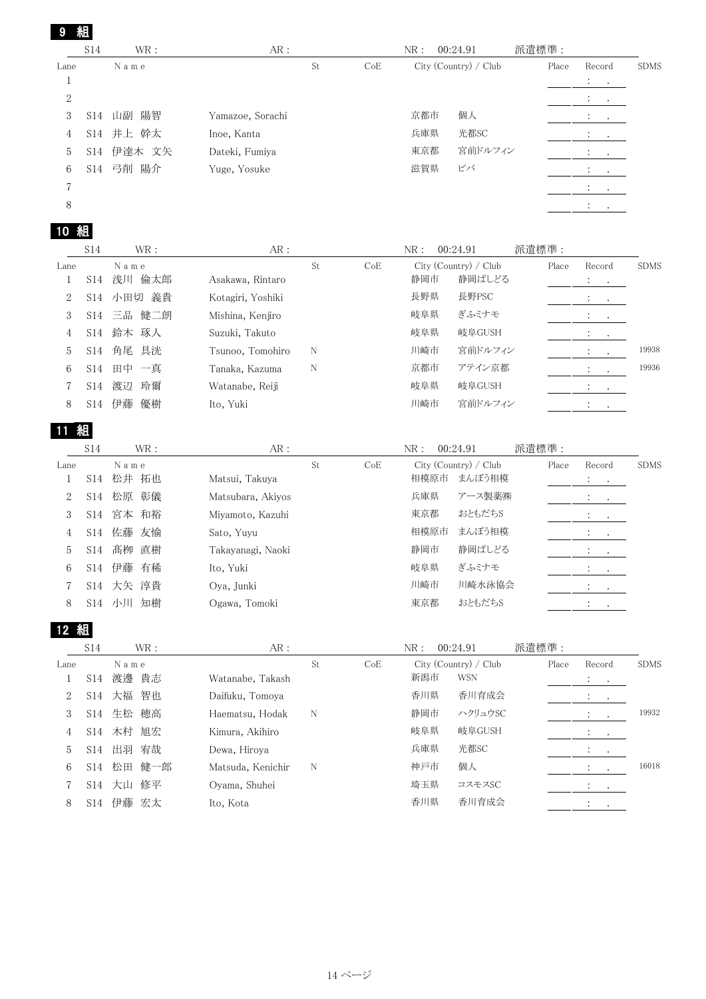| 9              | 組          |                                |                   |                              |     |                       |       |                                                         |             |
|----------------|------------|--------------------------------|-------------------|------------------------------|-----|-----------------------|-------|---------------------------------------------------------|-------------|
|                | S14        | $\operatorname{WR}$ :          | $\text{AR}$ :     |                              |     | 00:24.91<br>NR:       | 派遣標準: |                                                         |             |
| Lane           |            | N a m e                        |                   | St                           | CoE | City (Country) / Club | Place | Record                                                  | <b>SDMS</b> |
| $\mathbf{1}$   |            |                                |                   |                              |     |                       |       | $\cdot$                                                 |             |
| $\overline{2}$ |            |                                |                   |                              |     |                       |       |                                                         |             |
| 3              | S14        | 山副<br>陽智                       | Yamazoe, Sorachi  |                              |     | 個人<br>京都市             |       |                                                         |             |
| 4              | S14        | 井上 幹太                          | Inoe, Kanta       |                              |     | 光都SC<br>兵庫県           |       | $\ddot{\cdot}$<br>$\ddot{\phantom{a}}$                  |             |
| 5              | S14        | 伊達木 文矢                         | Dateki, Fumiya    |                              |     | 東京都<br>宮前ドルフィン        |       | $\ddot{\cdot}$                                          |             |
| 6              | S14        | 弓削 陽介                          | Yuge, Yosuke      |                              |     | 滋賀県<br>ビバ             |       | $\ddot{\cdot}$                                          |             |
| 7              |            |                                |                   |                              |     |                       |       |                                                         |             |
| 8              |            |                                |                   |                              |     |                       |       | ÷<br>$\sim$                                             |             |
| 10             | 組          |                                |                   |                              |     |                       |       |                                                         |             |
|                | S14        | $\operatorname{WR}$ :          | AR:               |                              |     | 00:24.91<br>NR:       | 派遣標準: |                                                         |             |
| Lane           |            | $N$ a $m$ $\it e$              |                   | St                           | CoE | City (Country) / Club | Place | Record                                                  | <b>SDMS</b> |
| $\mathbf{1}$   | S14        | 浅川 倫太郎                         | Asakawa, Rintaro  |                              |     | 静岡市<br>静岡ぱしどる         |       | $\ddot{\cdot}$<br>$\cdot$                               |             |
| $\overline{2}$ | S14        | 小田切 義貴                         | Kotagiri, Yoshiki |                              |     | 長野PSC<br>長野県          |       | $\ddot{\cdot}$                                          |             |
| 3              | S14        | 三品 健二朗                         | Mishina, Kenjiro  |                              |     | 岐阜県<br>ぎふミナモ          |       |                                                         |             |
| 4              | S14        | 鈴木 琢人                          | Suzuki, Takuto    |                              |     | 岐阜GUSH<br>岐阜県         |       | $\ddot{\phantom{a}}$<br>$\cdot$                         |             |
| 5              | S14        | 角尾<br>具洸                       | Tsunoo, Tomohiro  | N                            |     | 川崎市<br>宮前ドルフィン        |       | $\cdot$                                                 | 19938       |
| 6              | S14        | 田中 一真                          | Tanaka, Kazuma    | N                            |     | 京都市<br>アテイン京都         |       | $\ddot{\cdot}$                                          | 19936       |
| 7              | S14        | 渡辺<br>玲爾                       | Watanabe, Reiji   |                              |     | 岐阜県<br>岐阜GUSH         |       |                                                         |             |
| 8              | <b>S14</b> | 伊藤<br>優樹                       | Ito, Yuki         |                              |     | 川崎市<br>宮前ドルフィン        |       | $\ddot{\cdot}$<br>$\sim$                                |             |
| 11             | 組          |                                |                   |                              |     |                       |       |                                                         |             |
|                | S14        | $\operatorname{WR}$ :          | AR:               |                              |     | 00:24.91<br>NR:       | 派遣標準: |                                                         |             |
| Lane           |            | N a m e                        |                   | St                           | CoE | City (Country) / Club | Place | Record                                                  | <b>SDMS</b> |
| $\mathbf{1}$   | S14        | 松井 拓也                          | Matsui, Takuya    |                              |     | 相模原市<br>まんぼう相模        |       | ÷<br>$\bullet$                                          |             |
| $\overline{2}$ | S14        | 松原<br>彰儀                       | Matsubara, Akiyos |                              |     | アース製薬㈱<br>兵庫県         |       | $\ddot{\cdot}$                                          |             |
| 3              | S14        | 宮本<br>和裕                       | Miyamoto, Kazuhi  |                              |     | 東京都<br>おともだちS         |       |                                                         |             |
| 4              | S14        | 佐藤<br>友愉                       | Sato, Yuyu        |                              |     | まんぼう相模<br>相模原市        |       | $\ddot{\ddot{}}$ .<br>$\ddot{\phantom{a}}$              |             |
| 5              | <b>S14</b> | 髙栁<br>直樹                       | Takayanagi, Naoki |                              |     | 静岡市<br>静岡ぱしどる         |       | $\ddot{\cdot}$                                          |             |
| 6              | S14        | 伊藤 有稀                          | Ito, Yuki         |                              |     | 岐阜県<br>ぎふミナモ          |       | $\mathcal{L}_{\text{max}}$ , $\mathcal{L}_{\text{max}}$ |             |
| 7              | S14        | 大矢 淳貴                          | Oya, Junki        |                              |     | 川崎市<br>川崎水泳協会         |       | $\mathcal{L}_{\mathrm{max}}$                            |             |
| 8              |            | S14 小川 知樹                      | Ogawa, Tomoki     |                              |     | 東京都<br>おともだちS         |       | $\ddot{\cdot}$<br>$\sim$                                |             |
| 12 組           |            |                                |                   |                              |     |                       |       |                                                         |             |
|                | S14        | $\operatorname{\textsf{WR}}$ : | $\text{AR}$ :     |                              |     | NR:<br>00:24.91       | 派遣標準: |                                                         |             |
| Lane           |            | $\mathcal N$ a m $\mathbf e$   |                   | $\operatorname{\mathsf{St}}$ | CoE | City (Country) / Club | Place | Record                                                  | <b>SDMS</b> |
| $\mathbf{1}$   | S14        | 渡邊 貴志                          | Watanabe, Takash  |                              |     | 新潟市<br><b>WSN</b>     |       | $\mathcal{L} = \mathcal{L}$                             |             |
| $\overline{c}$ | S14        | 智也<br>大福                       | Daifuku, Tomoya   |                              |     | 香川県<br>香川育成会          |       | $\mathbb{E}$<br>$\bullet$                               |             |
| 3              | S14        | 生松 穂高                          | Haematsu, Hodak   | N                            |     | ハクリュウSC<br>静岡市        |       | $\ddot{\cdot}$<br>$\sim$                                | 19932       |
| 4              | S14        | 木村 旭宏                          | Kimura, Akihiro   |                              |     | 岐阜県<br>岐阜GUSH         |       | $\mathbb{Z}$<br>$\sim 100$                              |             |
| 5              |            | S14 出羽 宥哉                      | Dewa, Hiroya      |                              |     | 兵庫県<br>光都SC           |       |                                                         |             |

6 S14 松田 健一郎 Matsuda, Kenichir N 神戸市 個人 : . 16018

 S14 大山 修平 Oyama, Shuhei 埼玉県 コスモスSC : . 8 S14 伊藤 宏太 Ito, Kota 20 The Term of 香川県 香川育成会 20 The Term of The Term of Term of Term of Term of Te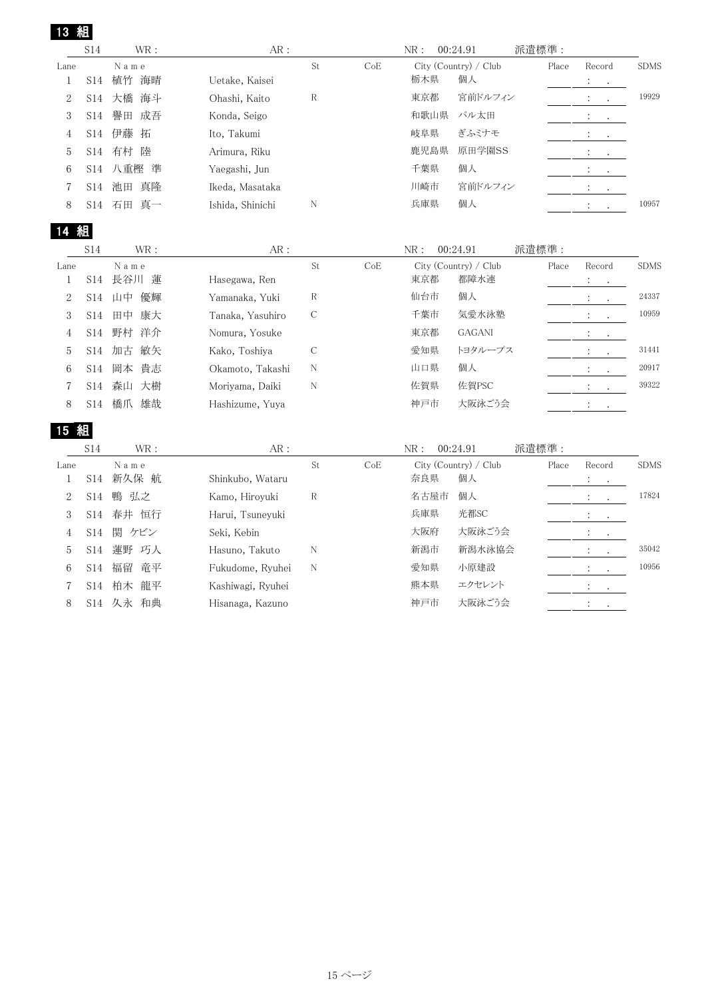| 13                   | 組                           |                       |                   |             |     |      |                               |       |                                 |             |
|----------------------|-----------------------------|-----------------------|-------------------|-------------|-----|------|-------------------------------|-------|---------------------------------|-------------|
|                      | S14                         | WR :                  | ${\sf AR}$ :      |             |     | NR:  | 00:24.91                      | 派遣標準: |                                 |             |
| Lane<br>$\mathbf{1}$ | <b>S14</b>                  | Name<br>植竹 海晴         | Uetake, Kaisei    | St          | CoE | 栃木県  | City (Country) / Club<br>個人   | Place | Record<br>$\ddot{\cdot}$        | <b>SDMS</b> |
| $\overline{2}$       | <b>S14</b>                  | 大橋<br>海斗              | Ohashi, Kaito     | $\mathbb R$ |     | 東京都  | 宮前ドルフィン                       |       | $\ddot{\cdot}$                  | 19929       |
| 3                    | S14                         | 譽田<br>成吾              | Konda, Seigo      |             |     | 和歌山県 | パル太田                          |       | $\ddot{\cdot}$                  |             |
| $\overline{4}$       | $\ensuremath{\mathrm{S}}14$ | 伊藤<br>拓               | Ito, Takumi       |             |     | 岐阜県  | ぎふミナモ                         |       | $\ddot{\cdot}$                  |             |
| $\mathbf 5$          | S14                         | 有村<br>陸               | Arimura, Riku     |             |     | 鹿児島県 | 原田学園SS                        |       | $\ddot{\cdot}$                  |             |
| 6                    | S <sub>14</sub>             | 八重樫 準                 | Yaegashi, Jun     |             |     | 千葉県  | 個人                            |       | $\cdot$                         |             |
| $\sqrt{7}$           | S <sub>14</sub>             | 池田<br>真隆              | Ikeda, Masataka   |             |     | 川崎市  | 宮前ドルフィン                       |       | $\ddot{\cdot}$                  |             |
| $8\,$                | S14                         | 石田 真一                 | Ishida, Shinichi  | N           |     | 兵庫県  | 個人                            |       | $\ddot{\cdot}$<br>$\bullet$     | 10957       |
| 14                   | 組                           |                       |                   |             |     |      |                               |       |                                 |             |
|                      | S14                         | WR:                   | ${\sf AR}$ :      |             |     | NR:  | 00:24.91                      | 派遣標準: |                                 |             |
| Lane<br>$\mathbf{1}$ | S14                         | $N$ a m e<br>長谷川<br>蓮 | Hasegawa, Ren     | St          | CoE | 東京都  | City (Country) / Club<br>都障水連 | Place | Record<br>$\vdots$<br>$\bullet$ | <b>SDMS</b> |
| $\overline{2}$       | S <sub>14</sub>             | 山中<br>優輝              | Yamanaka, Yuki    | R           |     | 仙台市  | 個人                            |       | $\ddot{\cdot}$                  | 24337       |
| $\,3$                | S14                         | 康大<br>田中              | Tanaka, Yasuhiro  | С           |     | 千葉市  | 気愛水泳塾                         |       | $\ddot{\cdot}$<br>$\cdot$       | 10959       |
| $\overline{4}$       | S14                         | 野村 洋介                 | Nomura, Yosuke    |             |     | 東京都  | <b>GAGANI</b>                 |       | $\ddot{\cdot}$                  |             |
| 5                    | S14                         | 加古<br>敏矢              | Kako, Toshiya     | С           |     | 愛知県  | トヨタループス                       |       | $\colon$                        | 31441       |
| 6                    | S <sub>14</sub>             | 岡本 貴志                 | Okamoto, Takashi  | N           |     | 山口県  | 個人                            |       |                                 | 20917       |
| 7                    | S <sub>14</sub>             | 森山 大樹                 | Moriyama, Daiki   | N           |     | 佐賀県  | 佐賀PSC                         |       | $\ddot{\cdot}$                  | 39322       |
| $8\,$                | S14                         | 橋爪 雄哉                 | Hashizume, Yuya   |             |     | 神戸市  | 大阪泳ごう会                        |       | $\ddot{\cdot}$                  |             |
| 15                   | 組                           |                       |                   |             |     |      |                               |       |                                 |             |
|                      | S14                         | WR:                   | ${\sf AR}$ :      |             |     | NR:  | 00:24.91                      | 派遣標準: |                                 |             |
| Lane                 |                             | Name                  |                   | St          | CoE |      | City (Country) / Club         | Place | Record                          | <b>SDMS</b> |
| $\mathbf{1}$         | S14                         | 新久保 航                 | Shinkubo, Wataru  |             |     | 奈良県  | 個人                            |       |                                 |             |
| $\sqrt{2}$           | S14                         | 鴨 弘之                  | Kamo, Hiroyuki    | $\mathbf R$ |     | 名古屋市 | 個人                            |       | $\ddot{\phantom{a}}$<br>$\cdot$ | 17824       |
| $\,3$                | S14                         | 春井 恒行                 | Harui, Tsuneyuki  |             |     | 兵庫県  | 光都SC                          |       | $\ddot{\cdot}$                  |             |
| $\overline{4}$       | S14                         | 関<br>ケビン              | Seki, Kebin       |             |     | 大阪府  | 大阪泳ごう会                        |       | $\ddot{\cdot}$                  |             |
| 5                    | S14                         | 蓮野 巧人                 | Hasuno, Takuto    | N           |     | 新潟市  | 新潟水泳協会                        |       | $\ddot{\cdot}$                  | 35042       |
| $\,6\,$              | S <sub>14</sub>             | 福留<br>竜平              | Fukudome, Ryuhei  | N           |     | 愛知県  | 小原建設                          |       | $\ddot{\phantom{a}}$            | 10956       |
| $\overline{7}$       | S14                         | 龍平<br>柏木              | Kashiwagi, Ryuhei |             |     | 熊本県  | エクセレント                        |       | $\ddot{\cdot}$                  |             |
| 8                    | S14                         | 久永 和典                 | Hisanaga, Kazuno  |             |     | 神戸市  | 大阪泳ごう会                        |       |                                 |             |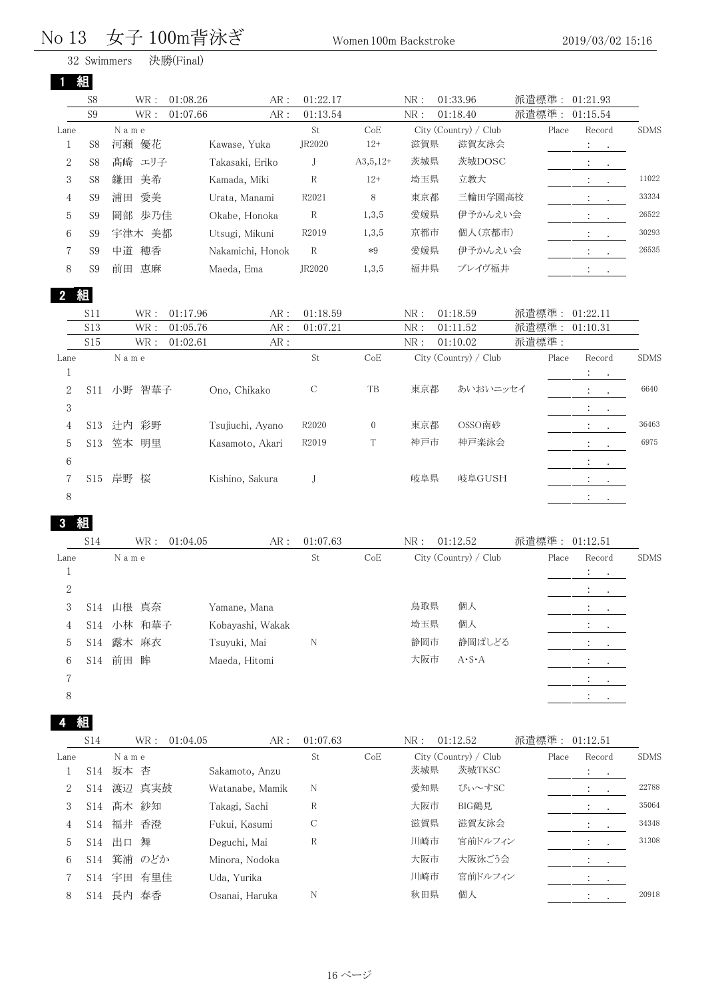## No 13 女子 100m背泳ぎ women100m Backstroke 2019/03/02 15:16

|                  |                   | 決勝(Final)<br>32 Swimmers           |                  |                              |                  |            |                                                                       |                        |                              |             |
|------------------|-------------------|------------------------------------|------------------|------------------------------|------------------|------------|-----------------------------------------------------------------------|------------------------|------------------------------|-------------|
|                  | 組                 |                                    |                  |                              |                  |            |                                                                       |                        |                              |             |
|                  | S <sub>8</sub>    | WR:<br>01:08.26                    | AR:              | 01:22.17                     |                  | NR:        | 01:33.96                                                              | 派遣標準:                  | 01:21.93                     |             |
|                  | S <sub>9</sub>    | WR:<br>01:07.66                    | ${\sf AR}$ :     | 01:13.54                     |                  | NR:        | 01:18.40                                                              | 派遣標準<br>$\ddot{\cdot}$ | 01:15.54                     |             |
| Lane             |                   | Name                               |                  | $\operatorname{\rm St}$      | CoE              |            | City (Country) / Club                                                 | Place                  | Record                       | <b>SDMS</b> |
| 1                | S8                | 河瀬 優花                              | Kawase, Yuka     | JR2020                       | $12+$            | 滋賀県        | 滋賀友泳会                                                                 |                        | $\ddot{\cdot}$<br>$\bullet$  |             |
| 2                | S <sub>8</sub>    | 髙崎<br>エリ子                          | Takasaki, Eriko  | J                            | $A3,5,12+$       | 茨城県        | 茨城DOSC                                                                |                        | $\ddot{\cdot}$<br>$\cdot$    |             |
| 3                | S <sub>8</sub>    | 鎌田<br>美希                           | Kamada, Miki     | $\mathbb R$                  | $12+$            | 埼玉県        | 立教大                                                                   |                        | $\ddot{\cdot}$               | 11022       |
| 4                | S <sub>9</sub>    | 愛美<br>浦田                           | Urata, Manami    | R2021                        | 8                | 東京都        | 三輪田学園高校                                                               |                        | $\ddot{\phantom{a}}$         | 33334       |
| 5                | S <sub>9</sub>    | 岡部 歩乃佳                             | Okabe, Honoka    | $\mathbf R$                  | 1,3,5            | 愛媛県        | 伊予かんえい会                                                               |                        | $\ddot{\cdot}$               | 26522       |
| 6                | S <sub>9</sub>    | 宇津木 美都                             | Utsugi, Mikuni   | R2019                        | 1,3,5            | 京都市        | 個人(京都市)                                                               |                        | $\ddot{\cdot}$<br>$\cdot$    | 30293       |
| 7                | S <sub>9</sub>    | 中道 穂香                              | Nakamichi, Honok | $\mathbb R$                  | $*9$             | 愛媛県        | 伊予かんえい会                                                               |                        | $\ddot{\phantom{a}}$         | 26535       |
| 8                | S <sub>9</sub>    | 前田 恵麻                              | Maeda, Ema       | JR2020                       | 1,3,5            | 福井県        | ブレイヴ福井                                                                |                        | $\mathbb{Z}^n$ .<br>$\sim$   |             |
|                  | 組                 |                                    |                  |                              |                  |            |                                                                       |                        |                              |             |
| $\mathbf{2}$     |                   |                                    |                  |                              |                  |            |                                                                       |                        |                              |             |
|                  | S11<br><b>S13</b> | WR:<br>01:17.96<br>WR:<br>01:05.76 | AR:<br>AR:       | 01:18.59<br>01:07.21         |                  | NR:<br>NR: | 01:18.59<br>01:11.52                                                  | 派遣標準:<br>派遣標準:         | 01:22.11<br>01:10.31         |             |
|                  | S15               | WR:<br>01:02.61                    | AR:              |                              |                  | NR:        | 01:10.02                                                              | 派遣標準:                  |                              |             |
| Lane             |                   | N a m e                            |                  | St                           | CoE              |            | City (Country) / Club                                                 | Place                  | Record                       | <b>SDMS</b> |
| $\mathbf{1}$     |                   |                                    |                  |                              |                  |            |                                                                       |                        | $\ddot{\cdot}$               |             |
| 2                | S11               | 小野 智華子                             | Ono, Chikako     | $\mathcal{C}$                | TB               | 東京都        | あいおいニッセイ                                                              |                        | $\ddot{\cdot}$               | 6640        |
| $\boldsymbol{3}$ |                   |                                    |                  |                              |                  |            |                                                                       |                        | $\ddot{\cdot}$               |             |
| 4                | S <sub>13</sub>   | 辻内<br>彩野                           | Tsujiuchi, Ayano | R2020                        | $\boldsymbol{0}$ | 東京都        | OSSO南砂                                                                |                        | $\ddot{\cdot}$<br>$\cdot$    | 36463       |
| 5                | S13               | 笠本<br>明里                           | Kasamoto, Akari  | R2019                        | T                | 神戸市        | 神戸楽泳会                                                                 |                        | $\ddot{\cdot}$<br>$\bullet$  | 6975        |
| 6                |                   |                                    |                  |                              |                  |            |                                                                       |                        | $\mathbb{C}^{\times}$        |             |
| 7                | S15               | 岸野 桜                               | Kishino, Sakura  | J                            |                  | 岐阜県        | 岐阜GUSH                                                                |                        | $\mathbb{Z}_2$               |             |
| $8\,$            |                   |                                    |                  |                              |                  |            |                                                                       |                        | $\mathcal{L}_{\text{max}}$ . |             |
|                  |                   |                                    |                  |                              |                  |            |                                                                       |                        |                              |             |
|                  | 組                 |                                    |                  |                              |                  |            |                                                                       |                        |                              |             |
|                  | S14               | WR:<br>01:04.05                    | AR:              | 01:07.63                     |                  | NR:        | 01:12.52                                                              | 派遣標準:                  | 01:12.51                     |             |
| Lane             |                   | N a m e                            |                  | $\operatorname{\mathsf{St}}$ | CoE              |            | City (Country) / Club                                                 | Place                  | Record                       | <b>SDMS</b> |
| $\mathbf{1}$     |                   |                                    |                  |                              |                  |            |                                                                       |                        | $\ddot{\cdot}$               |             |
| $\sqrt{2}$       |                   |                                    |                  |                              |                  |            |                                                                       |                        | ÷<br>$\bullet$ .             |             |
| 3                |                   | S14 山根 真奈                          | Yamane, Mana     |                              |                  | 鳥取県        | 個人                                                                    |                        | $\ddot{\cdot}$               |             |
| 4                | S14               | 小林 和華子                             | Kobayashi, Wakak |                              |                  | 埼玉県        | 個人                                                                    |                        | $\ddot{\cdot}$               |             |
| 5                | S14               | 露木 麻衣                              | Tsuyuki, Mai     | $\rm N$                      |                  | 静岡市        | 静岡ぱしどる                                                                |                        | $\ddot{\cdot}$               |             |
| 6                |                   | S14 前田 眸                           | Maeda, Hitomi    |                              |                  | 大阪市        | $\mathbf{A}\boldsymbol{\cdot} \mathbf{S}\boldsymbol{\cdot}\mathbf{A}$ |                        |                              |             |

 $8 \hspace{2.5cm} : \hspace{2.5cm} 8$ 

組

|      | S <sub>14</sub> | WR :      | 01:04.05    | AR:             | 01:07.63 |     | NR: | 01:12.52              | 派遣標準: 01:12.51 |                              |             |
|------|-----------------|-----------|-------------|-----------------|----------|-----|-----|-----------------------|----------------|------------------------------|-------------|
| Lane |                 | Name      |             |                 | St       | CoE |     | City (Country) / Club | Place          | Record                       | <b>SDMS</b> |
|      | S <sub>14</sub> | 坂本<br>杏   |             | Sakamoto, Anzu  |          |     | 茨城県 | 茨城TKSC                |                | $\ddot{\phantom{1}}$         |             |
| 2    | S <sub>14</sub> | 真実鼓<br>渡辺 |             | Watanabe, Mamik | N        |     | 愛知県 | ぴぃ~すSC                |                |                              | 22788       |
| 3    | S14             | 髙木 紗知     |             | Takagi, Sachi   | R        |     | 大阪市 | <b>BIG鶴見</b>          |                |                              | 35064       |
| 4    | S14             | 福井<br>香澄  |             | Fukui, Kasumi   | С        |     | 滋賀県 | 滋賀友泳会                 |                | $\cdot$                      | 34348       |
| 5    | S14             | 出口<br>舞   |             | Deguchi, Mai    | R        |     | 川崎市 | 宮前ドルフィン               |                |                              | 31308       |
| 6    | S <sub>14</sub> | 箕浦<br>のどか |             | Minora, Nodoka  |          |     | 大阪市 | 大阪泳ごう会                |                | $\ddot{\cdot}$<br>$\sim 100$ |             |
|      | S14             | 有里佳<br>宇田 | Uda, Yurika |                 |          |     | 川崎市 | 宮前ドルフィン               |                | $\cdot$                      |             |
| 8    | S14             | 長内<br>春香  |             | Osanai, Haruka  | N        |     | 秋田県 | 個人                    |                | $\cdot$                      | 20918       |

 $7 \hspace{20mm}$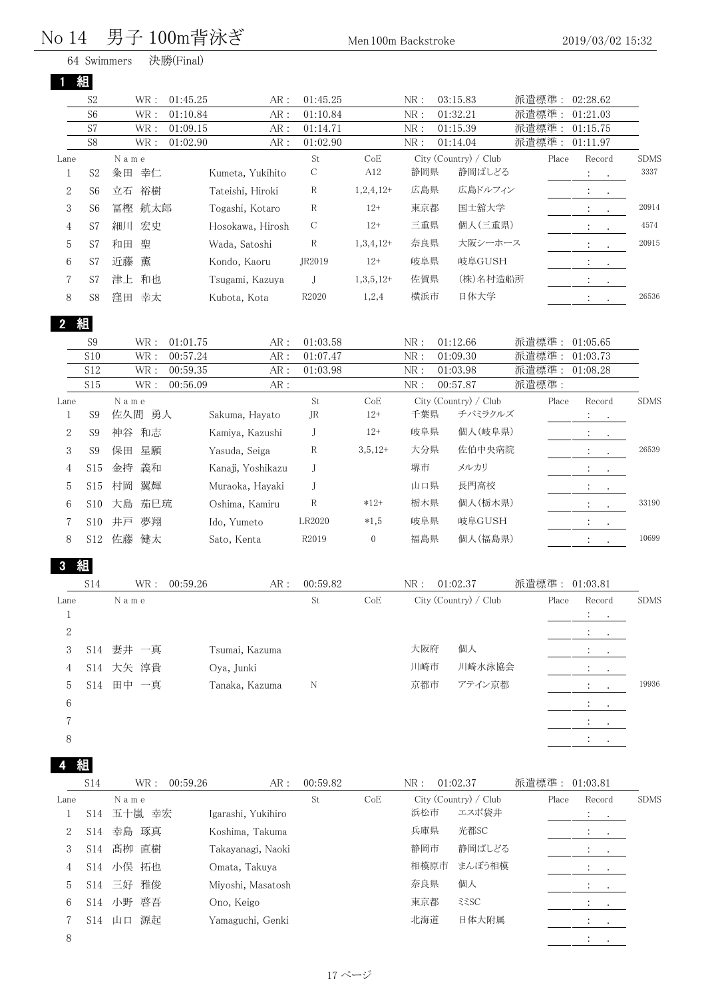## No 14 男子 100m背泳ぎ <sub>Men 100m Backstroke</sub> 2019/03/02 15:32

|                |                                  | 64 Swimmers | 決勝(Final)            |                    |                      |                  |            |                       |                |                              |             |
|----------------|----------------------------------|-------------|----------------------|--------------------|----------------------|------------------|------------|-----------------------|----------------|------------------------------|-------------|
|                | 組                                |             |                      |                    |                      |                  |            |                       |                |                              |             |
|                | S <sub>2</sub><br>S <sub>6</sub> | WR :<br>WR: | 01:45.25<br>01:10.84 | AR:                | 01:45.25<br>01:10.84 |                  | NR:<br>NR: | 03:15.83<br>01:32.21  | 派遣標準:<br>派遣標準: | 02:28.62<br>01:21.03         |             |
|                | S7                               | WR:         | 01:09.15             | AR:<br>AR:         | 01:14.71             |                  | NR:        | 01:15.39              | 派遣標準:          | 01:15.75                     |             |
|                | S8                               | WR:         | 01:02.90             | AR:                | 01:02.90             |                  | NR:        | 01:14.04              | 派遣標準:          | 01:11.97                     |             |
| Lane           |                                  | Name        |                      |                    | St                   | CoE              |            | City (Country) / Club | Place          | Record                       | <b>SDMS</b> |
| $\mathbf{1}$   | S <sub>2</sub>                   | 幸仁<br>粂田    |                      | Kumeta, Yukihito   | $\mathcal C$         | A12              | 静岡県        | 静岡ぱしどる                |                | $\ddot{\cdot}$<br>$\bullet$  | 3337        |
| 2              | S <sub>6</sub>                   | 立石<br>裕樹    |                      | Tateishi, Hiroki   | R                    | $1,2,4,12+$      | 広島県        | 広島ドルフィン               |                |                              |             |
| 3              | S <sub>6</sub>                   | 冨樫<br>航太郎   |                      | Togashi, Kotaro    | $\mathbb{R}$         | $12+$            | 東京都        | 国士舘大学                 |                | $\ddot{\cdot}$               | 20914       |
| 4              | S7                               | 宏史<br>細川    |                      | Hosokawa, Hirosh   | $\mathcal{C}$        | $12+$            | 三重県        | 個人(三重県)               |                | $\ddot{\cdot}$               | 4574        |
| 5              | S7                               | 聖<br>和田     |                      | Wada, Satoshi      | $\mathbb R$          | $1,3,4,12+$      | 奈良県        | 大阪シーホース               |                | $\ddot{\cdot}$               | 20915       |
| 6              | S7                               | 薫<br>近藤     |                      | Kondo, Kaoru       | JR2019               | $12+$            | 岐阜県        | 岐阜GUSH                |                |                              |             |
| 7              | S7                               | 津上 和也       |                      | Tsugami, Kazuva    | J                    | $1,3,5,12+$      | 佐賀県        | (株)名村造船所              |                | $\mathcal{L}_{\mathrm{max}}$ |             |
| 8              | S8                               | 窪田<br>幸太    |                      | Kubota, Kota       | R2020                | 1,2,4            | 横浜市        | 日体大学                  |                | $\ddot{\cdot}$               | 26536       |
|                |                                  |             |                      |                    |                      |                  |            |                       |                |                              |             |
| $\overline{2}$ | 組                                |             |                      |                    |                      |                  |            |                       |                |                              |             |
|                | S <sub>9</sub><br>S10            | WR :<br>WR: | 01:01.75<br>00:57.24 | AR:                | 01:03.58<br>01:07.47 |                  | NR:        | 01:12.66<br>01:09.30  | 派遣標準:<br>派遣標準: | 01:05.65<br>01:03.73         |             |
|                | S12                              | WR :        | 00:59.35             | AR:<br>AR:         | 01:03.98             |                  | NR:<br>NR: | 01:03.98              | 派遣標準:          | 01:08.28                     |             |
|                | S15                              | WR:         | 00:56.09             | AR:                |                      |                  | NR:        | 00:57.87              | 派遣標準:          |                              |             |
| Lane           |                                  | N a m e     |                      |                    | St                   | CoE              |            | City (Country) / Club | Place          | Record                       | <b>SDMS</b> |
| 1              | S <sub>9</sub>                   | 佐久間 勇人      |                      | Sakuma, Hayato     | JR                   | $12+$            | 千葉県        | チバミラクルズ               |                |                              |             |
| 2              | S <sub>9</sub>                   | 神谷 和志       |                      | Kamiya, Kazushi    | J                    | $12+$            | 岐阜県        | 個人(岐阜県)               |                | $\ddot{\cdot}$               |             |
| 3              | S <sub>9</sub>                   | 保田<br>星願    |                      | Yasuda, Seiga      | R                    | $3,5,12+$        | 大分県        | 佐伯中央病院                |                | $\ddot{\cdot}$               | 26539       |
| 4              | S15                              | 金持<br>義和    |                      | Kanaji, Yoshikazu  | J                    |                  | 堺市         | メルカリ                  |                |                              |             |
| 5              | S <sub>15</sub>                  | 村岡<br>翼輝    |                      | Muraoka, Hayaki    | J                    |                  | 山口県        | 長門高校                  |                | $\ddot{\cdot}$               |             |
| 6              | S10                              | 茄巳琉<br>大島   |                      | Oshima, Kamiru     | $\mathbb R$          | $*12+$           | 栃木県        | 個人(栃木県)               |                | $\ddot{\cdot}$               | 33190       |
| 7              | S <sub>10</sub>                  | 井戸<br>夢翔    |                      | Ido, Yumeto        | LR2020               | $*1,5$           | 岐阜県        | 岐阜GUSH                |                | $\ddot{\cdot}$<br>$\cdot$    |             |
| 8              | S <sub>12</sub>                  | 健太<br>佐藤    |                      | Sato, Kenta        | R2019                | $\boldsymbol{0}$ | 福島県        | 個人(福島県)               |                | $\ddot{\cdot}$               | 10699       |
|                | 組                                |             |                      |                    |                      |                  |            |                       |                |                              |             |
| 3              | <b>S14</b>                       | WR :        | 00:59.26             | AR:                | 00:59.82             |                  | NR:        | 01:02.37              | 派遣標準:          | 01:03.81                     |             |
| Lane           |                                  | N a m e     |                      |                    | St                   | CoE              |            | City (Country) / Club | Place          | Record                       | <b>SDMS</b> |
| $\mathbf{1}$   |                                  |             |                      |                    |                      |                  |            |                       |                | ÷<br>$\bullet$               |             |
| 2              |                                  |             |                      |                    |                      |                  |            |                       |                |                              |             |
| 3              | S14                              | 妻井 一真       |                      | Tsumai, Kazuma     |                      |                  | 大阪府        | 個人                    |                |                              |             |
| 4              | S14                              | 大矢 淳貴       |                      | Oya, Junki         |                      |                  | 川崎市        | 川崎水泳協会                |                |                              |             |
| 5              | S14                              | 田中 一真       |                      | Tanaka, Kazuma     | N                    |                  | 京都市        | アテイン京都                |                |                              | 19936       |
| 6              |                                  |             |                      |                    |                      |                  |            |                       |                |                              |             |
| 7              |                                  |             |                      |                    |                      |                  |            |                       |                |                              |             |
| 8              |                                  |             |                      |                    |                      |                  |            |                       |                | $\ddot{\cdot}$               |             |
|                |                                  |             |                      |                    |                      |                  |            |                       |                |                              |             |
|                | 組                                |             |                      |                    |                      |                  |            |                       |                |                              |             |
|                | S14                              | WR :        | 00:59.26             | AR:                | 00:59.82             |                  | NR:        | 01:02.37              | 派遣標準: 01:03.81 |                              |             |
| Lane           |                                  | N a m e     |                      |                    | St                   | CoE              |            | City (Country) / Club | Place          | Record                       | <b>SDMS</b> |
| 1              | S14                              | 五十嵐 幸宏      |                      | Igarashi, Yukihiro |                      |                  | 浜松市        | エスポ袋井                 |                | $\ddot{\cdot}$<br>$\sim$     |             |
| 2              | S14                              | 幸島 琢真       |                      | Koshima, Takuma    |                      |                  | 兵庫県        | 光都SC                  |                | $\ddot{\cdot}$               |             |
| 3              | S14                              | 髙栁 直樹       |                      | Takayanagi, Naoki  |                      |                  | 静岡市        | 静岡ぱしどる                |                |                              |             |
| 4              |                                  | S14 小俣 拓也   |                      | Omata, Takuya      |                      |                  | 相模原市       | まんぼう相模                |                |                              |             |
| 5              |                                  | S14 三好 雅俊   |                      | Miyoshi, Masatosh  |                      |                  | 奈良県        | 個人                    |                |                              |             |

 $8 \hspace{2.5cm} : \hspace{2.5cm} 8$ 

6 S14 小野 啓吾 Ono, Keigo スタン マンチョン 東京都 ミミSC マンチョン またまい まいしょう 7 S14 山口 源起 Yamaguchi, Genki カランコン お海道 日体大附属 おおところ にっぽん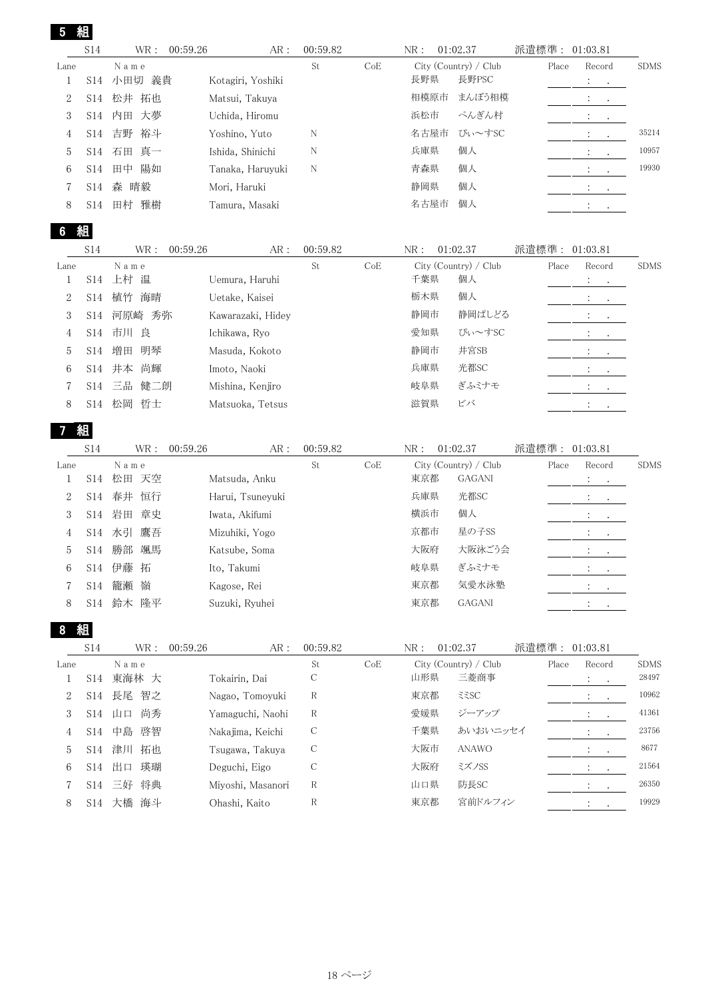| 5              | 組          |                              |                                    |                         |     |                               |       |                                        |                |
|----------------|------------|------------------------------|------------------------------------|-------------------------|-----|-------------------------------|-------|----------------------------------------|----------------|
|                | <b>S14</b> | WR :                         | 00:59.26<br>AR:                    | 00:59.82                |     | NR:<br>01:02.37               | 派遣標準: | 01:03.81                               |                |
| Lane           |            | N a m e                      |                                    | St                      | CoE | City (Country) / Club         | Place | Record                                 | <b>SDMS</b>    |
| $\mathbf{1}$   | <b>S14</b> | 小田切 義貴                       | Kotagiri, Yoshiki                  |                         |     | 長野県<br>長野PSC                  |       | $\ddot{\cdot}$<br>$\bullet$            |                |
| $\overline{2}$ | S14        | 松井 拓也                        | Matsui, Takuya                     |                         |     | 相模原市<br>まんぼう相模                |       | $\ddot{\cdot}$                         |                |
| 3              | S14        | 内田<br>大夢                     | Uchida, Hiromu                     |                         |     | ぺんぎん村<br>浜松市                  |       | $\ddot{\cdot}$<br>$\cdot$              |                |
| 4              | S14        | 吉野<br>裕斗                     | Yoshino, Yuto                      | N                       |     | 名古屋市<br>ぴぃ~すSC                |       | $\ddot{\cdot}$<br>$\ddot{\phantom{0}}$ | 35214          |
| 5              | S14        | 真一<br>石田                     | Ishida, Shinichi                   | N                       |     | 個人<br>兵庫県                     |       | $\ddot{\cdot}$<br>$\bullet$            | 10957          |
| 6              | S14        | 田中<br>陽如                     | Tanaka, Haruyuki                   | N                       |     | 個人<br>青森県                     |       | $\ddot{\cdot}$                         | 19930          |
| 7              | S14        | 森 晴毅                         | Mori, Haruki                       |                         |     | 個人<br>静岡県                     |       | $\bullet$                              |                |
| 8              | <b>S14</b> | 田村 雅樹                        | Tamura, Masaki                     |                         |     | 名古屋市<br>個人                    |       | $\ddot{\cdot}$<br>$\bullet$            |                |
| 6              | 組          |                              |                                    |                         |     |                               |       |                                        |                |
|                | <b>S14</b> | WR:                          | 00:59.26<br>AR:                    | 00:59.82                |     | NR:<br>01:02.37               | 派遣標準: | 01:03.81                               |                |
| Lane           |            | Name                         |                                    | St                      | CoE | City (Country) / Club         | Place | Record                                 | <b>SDMS</b>    |
| 1              | S14        | 上村 温                         | Uemura, Haruhi                     |                         |     | 千葉県<br>個人                     |       | $\ddot{\cdot}$<br>$\bullet$            |                |
| $\overline{c}$ | S14        | 植竹<br>海晴                     | Uetake, Kaisei                     |                         |     | 個人<br>栃木県                     |       | $\ddot{\cdot}$                         |                |
| 3              | S14        | 河原崎 秀弥                       | Kawarazaki, Hidey                  |                         |     | 静岡ぱしどる<br>静岡市                 |       |                                        |                |
| 4              | S14        | 市川 良                         | Ichikawa, Ryo                      |                         |     | ぴぃ~すSC<br>愛知県                 |       | $\ddot{\cdot}$                         |                |
| 5              | S14        | 増田<br>明琴                     | Masuda, Kokoto                     |                         |     | 井宮SB<br>静岡市                   |       |                                        |                |
| 6              | S14        | 井本<br>尚輝                     | Imoto, Naoki                       |                         |     | 光都SC<br>兵庫県                   |       | $\ddot{\cdot}$                         |                |
| 7              | S14        | 三品<br>健二朗                    | Mishina, Kenjiro                   |                         |     | ぎふミナモ<br>岐阜県                  |       | $\bullet$                              |                |
| 8              | S14        | 松岡<br>哲士                     | Matsuoka, Tetsus                   |                         |     | ビバ<br>滋賀県                     |       | $\ddot{\cdot}$<br>$\bullet$            |                |
|                |            |                              |                                    |                         |     |                               |       |                                        |                |
|                | 組          |                              |                                    |                         |     |                               |       |                                        |                |
|                | <b>S14</b> | WR:                          | 00:59.26<br>AR:                    | 00:59.82                |     | 01:02.37<br>NR:               | 派遣標準: | 01:03.81                               |                |
| Lane           |            | N a m e                      |                                    | St                      | CoE | City (Country) / Club         | Place | Record                                 | <b>SDMS</b>    |
| 1              | <b>S14</b> | 松田 天空                        | Matsuda, Anku                      |                         |     | 東京都<br><b>GAGANI</b>          |       | $\ddot{\cdot}$<br>$\bullet$            |                |
| $\overline{2}$ | S14        | 春井<br>恒行                     | Harui, Tsuneyuki                   |                         |     | 光都SC<br>兵庫県                   |       | $\ddot{\cdot}$                         |                |
| 3              | S14        | 岩田<br>章史                     | Iwata, Akifumi                     |                         |     | 個人<br>横浜市                     |       | $\ddot{\cdot}$<br>$\bullet$            |                |
| 4              | S14        | 水引<br>鷹吾                     | Mizuhiki, Yogo                     |                         |     | 京都市<br>星の子SS                  |       | $\ddot{\cdot}$<br>$\bullet$            |                |
| 5              | S14        | 勝部<br>颯馬                     | Katsube, Soma                      |                         |     | 大阪府<br>大阪泳ごう会                 |       |                                        |                |
| 6              | S14        | 伊藤<br>拓                      | Ito, Takumi                        |                         |     | 岐阜県<br>ぎふミナモ                  |       | $\ddot{\phantom{a}}$                   |                |
| 7              | S14        | 籠瀬<br>嶺                      | Kagose, Rei                        |                         |     | 気愛水泳塾<br>東京都                  |       | $\ddot{\phantom{a}}$                   |                |
| 8              | <b>S14</b> | 鈴木 隆平                        | Suzuki, Ryuhei                     |                         |     | <b>GAGANI</b><br>東京都          |       | $\ddot{\cdot}$                         |                |
| 8              | 組          |                              |                                    |                         |     |                               |       |                                        |                |
|                | <b>S14</b> | WR :                         | 00:59.26<br>AR:                    | 00:59.82                |     | NR:<br>01:02.37               | 派遣標準: | 01:03.81                               |                |
| Lane           |            | $\mathcal N$ a m $\mathbf e$ |                                    | St                      | CoE | City (Country) / Club         | Place | Record                                 | <b>SDMS</b>    |
| 1              | <b>S14</b> | 東海林 大                        | Tokairin, Dai                      | С                       |     | 山形県<br>三菱商事                   |       | $\ddot{\cdot}$<br>$\bullet$            | 28497          |
| 2              | S14        | 長尾 智之                        | Nagao, Tomoyuki                    | R                       |     | 東京都<br>335C                   |       | $\ddot{\cdot}$                         | 10962          |
| 3              | S14        | 尚秀<br>山口                     | Yamaguchi, Naohi                   | R                       |     | ジーアップ<br>愛媛県                  |       | $\ddot{\cdot}$<br>$\cdot$              | 41361          |
| 4              | S14        | 中島<br>啓智                     | Nakajima, Keichi                   | С                       |     | 千葉県<br>あいおいニッセイ               |       | $\ddot{\cdot}$                         | 23756          |
| 5              | S14        | 津川<br>拓也                     | Tsugawa, Takuya                    | $\mathcal{C}_{0}^{(n)}$ |     | 大阪市<br><b>ANAWO</b>           |       | $\ddot{\cdot}$<br>$\bullet$            | 8677           |
| 6              | S14        | 出口<br>瑛瑚                     | Deguchi, Eigo                      | С                       |     | 大阪府<br>ミズノSS                  |       | $\ddot{\cdot}$<br>$\bullet$            | 21564          |
| 7<br>8         | S14<br>S14 | 三好 将典<br>大橋 海斗               | Miyoshi, Masanori<br>Ohashi, Kaito | R<br>R                  |     | 防長SC<br>山口県<br>宮前ドルフィン<br>東京都 |       | $\ddot{\cdot}$<br>$\cdot$              | 26350<br>19929 |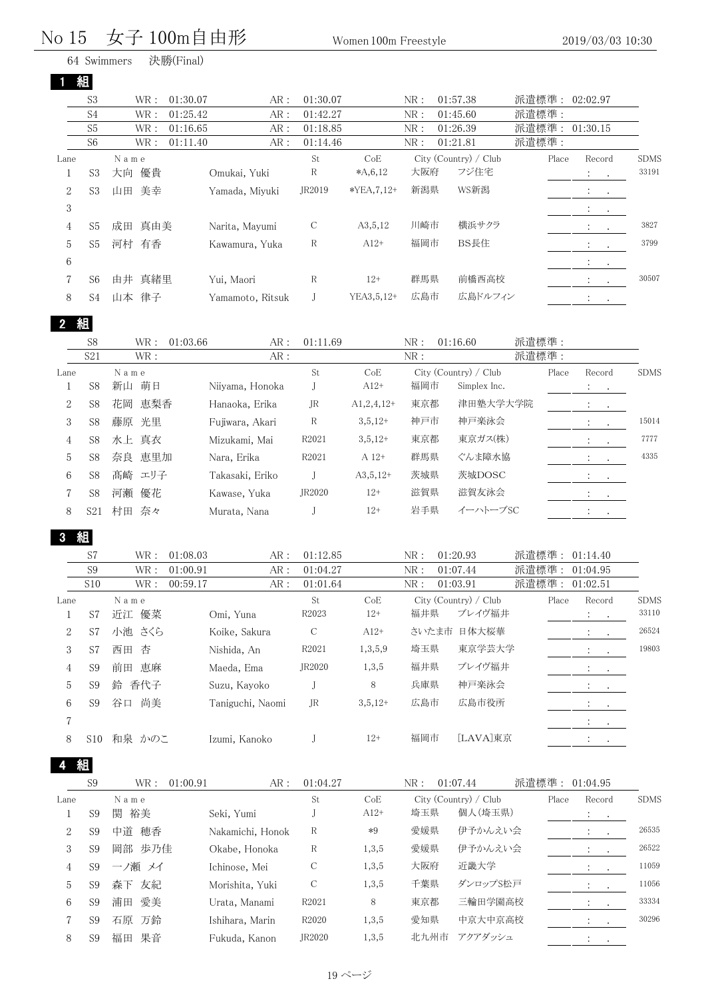## $\rm No~15~~$ 女子  $\rm 100m$ 自由形  $\rm W$ omen $\rm 100m$  Freestyle  $\rm 2019/03/03~10:30$

#### Swimmers 決勝(Final) 組

|      | $\eta$ and $\eta$ |                 |                  |          |                |     |                       |       |                                                                                         |             |
|------|-------------------|-----------------|------------------|----------|----------------|-----|-----------------------|-------|-----------------------------------------------------------------------------------------|-------------|
|      | S <sub>3</sub>    | WR:<br>01:30.07 | AR:              | 01:30.07 |                | NR: | 01:57.38              | 派遣標準: | 02:02.97                                                                                |             |
|      | S <sub>4</sub>    | WR:<br>01:25.42 | AR:              | 01:42.27 |                | NR: | 01:45.60              | 派遣標準: |                                                                                         |             |
|      | S <sub>5</sub>    | WR:<br>01:16.65 | AR:              | 01:18.85 |                | NR: | 01:26.39              | 派遣標準: | 01:30.15                                                                                |             |
|      | S <sub>6</sub>    | WR:<br>01:11.40 | AR:              | 01:14.46 |                | NR: | 01:21.81              | 派遣標準: |                                                                                         |             |
| Lane |                   | Name            |                  | St       | CoE            |     | City (Country) / Club | Place | Record                                                                                  | <b>SDMS</b> |
|      | S3                | 優貴<br>大向        | Omukai, Yuki     | R        | $*A, 6, 12$    | 大阪府 | フジ住宅                  |       | $\mathcal{L}_{\rm{max}}$                                                                | 33191       |
| 2    | S <sub>3</sub>    | 美幸<br>山田        | Yamada, Mivuki   | JR2019   | $*YEA, 7, 12+$ | 新潟県 | WS新潟                  |       | $\mathcal{L}_{\text{max}}$ and $\mathcal{L}_{\text{max}}$                               |             |
| 3    |                   |                 |                  |          |                |     |                       |       | $2.1 - 1.1$                                                                             |             |
| 4    | S5                | 真由美<br>成田       | Narita, Mayumi   | С        | A3,5,12        | 川崎市 | 横浜サクラ                 |       | $\mathcal{L}^{\text{max}}$                                                              | 3827        |
| 5    | S5                | 河村 有香           | Kawamura, Yuka   | R        | $A12+$         | 福岡市 | BS長住                  |       | $1 - 1$                                                                                 | 3799        |
| 6    |                   |                 |                  |          |                |     |                       |       | $\mathcal{I}^{\mathcal{I}}$ , $\mathcal{I}^{\mathcal{I}}$ , $\mathcal{I}^{\mathcal{I}}$ |             |
| 7    | S6                | 真緒里<br>由井       | Yui, Maori       | R        | $12+$          | 群馬県 | 前橋西高校                 |       | $\mathcal{L} = \mathcal{L}$                                                             | 30507       |
| 8    | S4                | 山本<br>律子        | Yamamoto, Ritsuk |          | YEA3.5.12+     | 広島市 | 広島ドルフィン               |       | $\ddot{\cdot}$                                                                          |             |

組

|                | S <sub>8</sub>  | WR :     | 01:03.66<br>AR: | 01:11.69 |              | NR: | 01:16.60              | 派遣標準: |                                                |             |
|----------------|-----------------|----------|-----------------|----------|--------------|-----|-----------------------|-------|------------------------------------------------|-------------|
|                | S <sub>21</sub> | WR:      | AR:             |          |              | NR: |                       | 派遣標準: |                                                |             |
| Lane           |                 | Name     |                 | St       | CoE          |     | City (Country) / Club | Place | Record                                         | <b>SDMS</b> |
|                | S <sub>8</sub>  | 萌日<br>新山 | Niiyama, Honoka |          | $A12+$       | 福岡市 | Simplex Inc.          |       | $\bullet$ , and $\bullet$ .                    |             |
| $\overline{2}$ | S8              | 花岡 恵梨香   | Hanaoka, Erika  | JR       | $A1,2,4,12+$ | 東京都 | 津田塾大学大学院              |       | $\ddot{\phantom{0}}$<br>$\sim$ 100 $\pm$       |             |
| 3              | S8              | 藤原 光里    | Fujiwara, Akari | R        | $3,5,12+$    | 神戸市 | 神戸楽泳会                 |       |                                                | 15014       |
| 4              | S8              | 水上 真衣    | Mizukami, Mai   | R2021    | $3,5,12+$    | 東京都 | 東京ガス(株)               |       | <b>Contract</b>                                | 7777        |
| 5              | S8              | 奈良 恵里加   | Nara, Erika     | R2021    | $A 12+$      | 群馬県 | ぐんま障水協                |       | $\sim$ 100 $\sim$ 100 $\sim$                   | 4335        |
| 6              | S8              | 髙崎 エリ子   | Takasaki, Eriko |          | $A3,5,12+$   | 茨城県 | 茨城DOSC                |       | <b>All Cards</b>                               |             |
|                | S8              | 河瀬<br>優花 | Kawase, Yuka    | JR2020   | $12+$        | 滋賀県 | 滋賀友泳会                 |       | $\mathbf{A}$ and $\mathbf{A}$ and $\mathbf{A}$ |             |
| 8              | S <sub>21</sub> | 村田<br>奈々 | Murata, Nana    |          | $12+$        | 岩手県 | イーハトーブSC              |       | All Car                                        |             |
|                |                 |          |                 |          |              |     |                       |       |                                                |             |

|                | S7              | WR:      | 01:08.03 | AR:              | 01:12.85 |           | NR:   | 01:20.93              | 派遣標準: | 01:14.40                                                |             |
|----------------|-----------------|----------|----------|------------------|----------|-----------|-------|-----------------------|-------|---------------------------------------------------------|-------------|
|                | S <sub>9</sub>  | WR:      | 01:00.91 | AR:              | 01:04.27 |           | NR:   | 01:07.44              | 派遣標準: | 01:04.95                                                |             |
|                | S10             | WR :     | 00:59.17 | AR:              | 01:01.64 |           | NR:   | 01:03.91              | 派遣標準: | 01:02.51                                                |             |
| Lane           |                 | Name     |          |                  | St       | CoE       |       | City (Country) / Club | Place | Record                                                  | <b>SDMS</b> |
|                | S7              | 優菜<br>近江 |          | Omi, Yuna        | R2023    | $12+$     | 福井県   | ブレイヴ福井                |       | $\mathcal{L}_{\text{max}}$ , $\mathcal{L}_{\text{max}}$ | 33110       |
| $\overline{2}$ | S7              | 小池 さくら   |          | Koike, Sakura    | C        | $A12+$    | さいたま市 | 日体大桜華                 |       | $\ddot{\phantom{0}}$<br>$\sim$                          | 26524       |
| 3              | S7              | 西田<br>杏  |          | Nishida, An      | R2021    | 1,3,5,9   | 埼玉県   | 東京学芸大学                |       | $\ddot{\cdot}$<br>$\sim$ $\sim$                         | 19803       |
| 4              | S9              | 恵麻<br>前田 |          | Maeda, Ema       | JR2020   | 1,3,5     | 福井県   | ブレイヴ福井                |       | $\ddot{\cdot}$<br>$\sim$ $\sim$                         |             |
| 5              | S <sub>9</sub>  | 香代子<br>鈴 |          | Suzu, Kayoko     |          | 8         | 兵庫県   | 神戸楽泳会                 |       | $\mathcal{L}^{\text{max}}$ , $\mathcal{L}^{\text{max}}$ |             |
| 6              | S <sub>9</sub>  | 尚美<br>谷口 |          | Taniguchi, Naomi | JR       | $3,5,12+$ | 広島市   | 広島市役所                 |       | $\ddot{\cdot}$<br>$\sim 100$ km s $^{-1}$               |             |
|                |                 |          |          |                  |          |           |       |                       |       | <b>Contract</b>                                         |             |
| 8              | S <sub>10</sub> | 和泉 かのこ   |          | Izumi, Kanoko    |          | $12+$     | 福岡市   | [LAVA]東京              |       |                                                         |             |

|                | S9             | WR :<br>01:00.91 | AR:              | 01:04.27          |        | NR:  | 01:07.44              | 派遣標準: | 01:04.95                       |             |
|----------------|----------------|------------------|------------------|-------------------|--------|------|-----------------------|-------|--------------------------------|-------------|
| Lane           |                | Name             |                  | St                | CoE    |      | City (Country) / Club | Place | Record                         | <b>SDMS</b> |
|                | S <sub>9</sub> | 裕美<br>関          | Seki, Yumi       |                   | $A12+$ | 埼玉県  | 個人(埼玉県)               |       | $\sim$ 100 $\sim$ 100 $\sim$   |             |
| $\overline{2}$ | S <sub>9</sub> | 中道<br>穂香         | Nakamichi, Honok | R                 | $*9$   | 愛媛県  | 伊予かんえい会               |       |                                | 26535       |
| 3              | S <sub>9</sub> | 岡部 歩乃佳           | Okabe, Honoka    | R                 | 1,3,5  | 愛媛県  | 伊予かんえい会               |       | $\ddot{\phantom{0}}$<br>$\sim$ | 26522       |
| $\overline{4}$ | S <sub>9</sub> | 一ノ瀬 メイ           | Ichinose, Mei    | С                 | 1,3,5  | 大阪府  | 近畿大学                  |       |                                | 11059       |
| 5              | S <sub>9</sub> | 森下 友紀            | Morishita, Yuki  | C                 | 1,3,5  | 千葉県  | ダンロップS松戸              |       | $\bullet$<br>$\sim$            | 11056       |
| 6              | S <sub>9</sub> | 浦田<br>愛美         | Urata, Manami    | R2021             | 8      | 東京都  | 三輪田学園高校               |       |                                | 33334       |
| 7              | S <sub>9</sub> | 石原 万鈴            | Ishihara, Marin  | R <sub>2020</sub> | 1,3,5  | 愛知県  | 中京大中京高校               |       | $\cdot$                        | 30296       |
| 8              | S9             | 福田<br>果音         | Fukuda, Kanon    | <b>IR2020</b>     | 1,3,5  | 北九州市 | アクアダッシュ               |       | $\cdot$                        |             |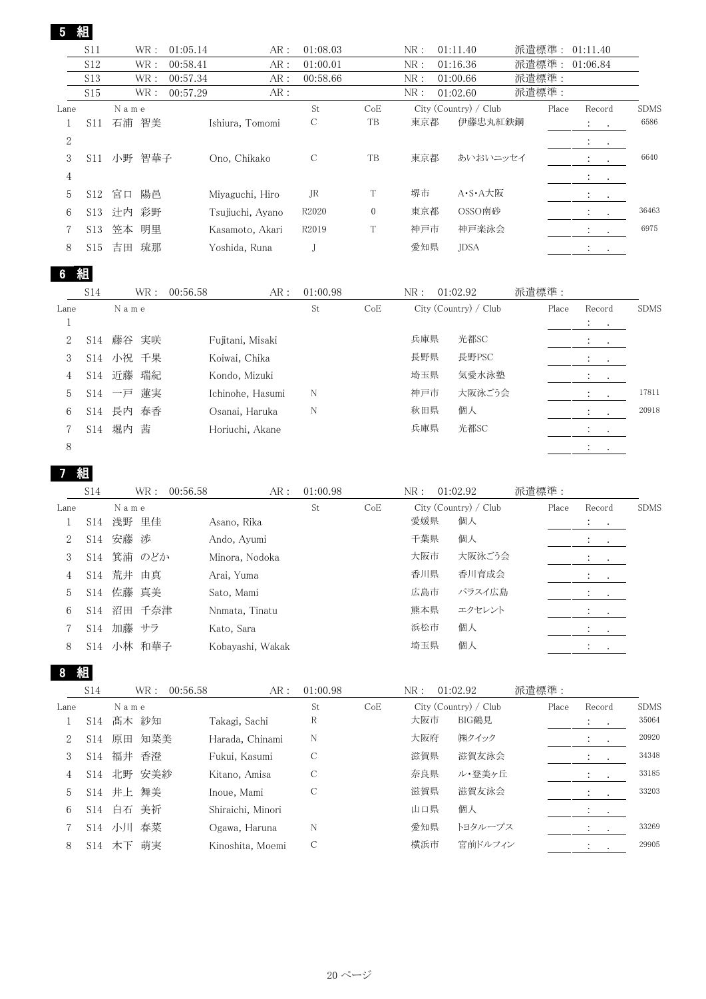| 5                         | 組               |                       |                   |                              |                                                         |     |                                   |       |                                     |             |
|---------------------------|-----------------|-----------------------|-------------------|------------------------------|---------------------------------------------------------|-----|-----------------------------------|-------|-------------------------------------|-------------|
|                           | S11             | $\operatorname{WR}$ : | 01:05.14<br>AR:   | 01:08.03                     |                                                         | NR: | 01:11.40                          | 派遣標準: | 01:11.40                            |             |
|                           | S12             | WR:                   | 00:58.41<br>$AR:$ | 01:00.01                     |                                                         | NR: | 01:16.36                          | 派遣標準: | 01:06.84                            |             |
|                           | S13             | WR:                   | 00:57.34<br>$AR:$ | 00:58.66                     |                                                         | NR: | 01:00.66                          | 派遣標準: |                                     |             |
|                           | S15             | $\operatorname{WR}$ : | 00:57.29<br>AR:   | St                           |                                                         | NR: | 01:02.60<br>City (Country) / Club | 派遣標準: |                                     | <b>SDMS</b> |
| Lane<br>$\mathbf{1}$      | S11             | N a m e<br>石浦 智美      | Ishiura, Tomomi   | С                            | $\mathrm{CoE}% _{\mathrm{H}}\left( \Gamma\right)$<br>TB | 東京都 | 伊藤忠丸紅鉄鋼                           | Place | Record<br>$\ddot{\cdot}$<br>$\cdot$ | 6586        |
| $\overline{2}$            |                 |                       |                   |                              |                                                         |     |                                   |       | $\ddot{\cdot}$<br>$\bullet$         |             |
| 3                         |                 | S11 小野<br>智華子         | Ono, Chikako      | $\mathcal{C}$                | TB                                                      | 東京都 | あいおいニッセイ                          |       |                                     | 6640        |
| $\overline{4}$            |                 |                       |                   |                              |                                                         |     |                                   |       | $\ddot{\cdot}$                      |             |
| 5                         | S <sub>12</sub> | 宮口<br>陽邑              | Miyaguchi, Hiro   | <b>JR</b>                    | T                                                       | 堺市  | A·S·A大阪                           |       | $\bullet$<br>$\ddot{\cdot}$         |             |
| 6                         | S <sub>13</sub> | 辻内 彩野                 | Tsujiuchi, Ayano  | R2020                        | $\boldsymbol{0}$                                        | 東京都 | OSSO南砂                            |       |                                     | 36463       |
| 7                         | S13             | 笠本<br>明里              |                   | R2019                        | T                                                       | 神戸市 | 神戸楽泳会                             |       | $\ddot{\cdot}$                      | 6975        |
|                           |                 |                       | Kasamoto, Akari   |                              |                                                         | 愛知県 |                                   |       |                                     |             |
| 8                         | S15             | 吉田 琉那                 | Yoshida, Runa     | J                            |                                                         |     | JDSA                              |       | $\ddot{\cdot}$<br>$\bullet$         |             |
| 6                         | 組               |                       |                   |                              |                                                         |     |                                   |       |                                     |             |
|                           | S14             | WR :                  | 00:56.58<br>AR:   | 01:00.98                     |                                                         | NR: | 01:02.92                          | 派遣標準: |                                     |             |
| Lane                      |                 | N a m e               |                   | St                           | CoE                                                     |     | City (Country) / Club             | Place | Record                              | <b>SDMS</b> |
| 1                         |                 |                       |                   |                              |                                                         |     |                                   |       | ÷                                   |             |
| $\overline{c}$            | S14             | 藤谷 実咲                 | Fujitani, Misaki  |                              |                                                         | 兵庫県 | 光都SC                              |       | $\ddot{\phantom{a}}$                |             |
| 3                         |                 | S14 小祝 千果             | Koiwai, Chika     |                              |                                                         | 長野県 | 長野PSC                             |       |                                     |             |
| 4                         | S14             | 瑞紀<br>近藤              | Kondo, Mizuki     |                              |                                                         | 埼玉県 | 気愛水泳塾                             |       | $\ddot{\cdot}$<br>$\bullet$         |             |
| 5                         |                 | S14 一戸<br>蓮実          | Ichinohe, Hasumi  | N                            |                                                         | 神戸市 | 大阪泳ごう会                            |       |                                     | 17811       |
| 6                         | <b>S14</b>      | 長内<br>春香              | Osanai, Haruka    | N                            |                                                         | 秋田県 | 個人                                |       | $\ddot{\cdot}$                      | 20918       |
| 7                         | S14             | 堀内<br>茜               | Horiuchi, Akane   |                              |                                                         | 兵庫県 | 光都SC                              |       | $\bullet$                           |             |
| $8\,$                     |                 |                       |                   |                              |                                                         |     |                                   |       | $\ddot{\phantom{a}}$ .<br>$\sim$    |             |
|                           | 組               |                       |                   |                              |                                                         |     |                                   |       |                                     |             |
|                           | S14             | WR:                   | 00:56.58<br>AR:   | 01:00.98                     |                                                         | NR: | 01:02.92                          | 派遣標準: |                                     |             |
| Lane                      |                 | N a m e               |                   | $\operatorname{\mathsf{St}}$ | CoE                                                     |     | City (Country) / Club             | Place | Record                              | <b>SDMS</b> |
| 1                         | S14             | 浅野 里佳                 | Asano, Rika       |                              |                                                         | 愛媛県 | 個人                                |       | $\ddot{\cdot}$                      |             |
| $\mathbf{2}$              | S14             | 安藤<br>渉               | Ando, Ayumi       |                              |                                                         | 千葉県 | 個人                                |       | $\ddot{\cdot}$<br>$\bullet$         |             |
| $\boldsymbol{\mathrm{3}}$ |                 | S14 箕浦 のどか            | Minora, Nodoka    |                              |                                                         | 大阪市 | 大阪泳ごう会                            |       |                                     |             |
| 4                         |                 | S14 荒井 由真             | Arai, Yuma        |                              |                                                         | 香川県 | 香川育成会                             |       | ÷                                   |             |
| 5                         | <b>S14</b>      | 佐藤 真美                 | Sato, Mami        |                              |                                                         | 広島市 | パラスイ広島                            |       |                                     |             |
| 6                         | S14             | 沼田 千奈津                | Nnmata, Tinatu    |                              |                                                         | 熊本県 | エクセレント                            |       |                                     |             |
| 7                         | S14             | 加藤 サラ                 | Kato, Sara        |                              |                                                         | 浜松市 | 個人                                |       |                                     |             |
| 8                         |                 | S14 小林 和華子            | Kobayashi, Wakak  |                              |                                                         | 埼玉県 | 個人                                |       | $\ddot{\cdot}$                      |             |
|                           |                 |                       |                   |                              |                                                         |     |                                   |       | $\bullet$                           |             |
| 8                         | 組               |                       |                   |                              |                                                         |     |                                   |       |                                     |             |
|                           | S14             | WR :                  | AR:<br>00:56.58   | 01:00.98                     |                                                         | NR: | 01:02.92                          | 派遣標準: |                                     |             |
| Lane                      |                 | $N$ a $m$ $\it e$     |                   | St                           | $\mathrm{CoE}% _{\mathrm{H}}\left( \Gamma\right)$       |     | City (Country) / Club             | Place | Record                              | <b>SDMS</b> |
| $\mathbf{1}$              | S14             | 髙木 紗知                 | Takagi, Sachi     | R                            |                                                         | 大阪市 | BIG鶴見                             |       |                                     | 35064       |
| 2                         | S14             | 原田 知菜美                | Harada, Chinami   | N                            |                                                         | 大阪府 | ㈱クイック                             |       | $\ddot{\cdot}$                      | 20920       |
| 3                         | S14             | 福井<br>香澄              | Fukui, Kasumi     | С                            |                                                         | 滋賀県 | 滋賀友泳会                             |       |                                     | 34348       |
| 4                         | S14             | 北野 安美紗                | Kitano, Amisa     | С                            |                                                         | 奈良県 | ル・登美ヶ丘                            |       | $\ddot{\cdot}$                      | 33185       |
| 5                         |                 | S14 井上 舞美             | Inoue, Mami       | С                            |                                                         | 滋賀県 | 滋賀友泳会                             |       |                                     | 33203       |
| 6                         |                 | S14 白石 美祈             | Shiraichi, Minori |                              |                                                         | 山口県 | 個人                                |       | $\ddot{\cdot}$<br>$\bullet$         |             |
| 7                         |                 | S14 小川 春菜             | Ogawa, Haruna     | N                            |                                                         | 愛知県 | トヨタループス                           |       | $\bullet$                           | 33269       |
| 8                         |                 | S14 木下 萌実             | Kinoshita, Moemi  | $\mathsf{C}$                 |                                                         | 横浜市 | 宮前ドルフィン                           |       |                                     | 29905       |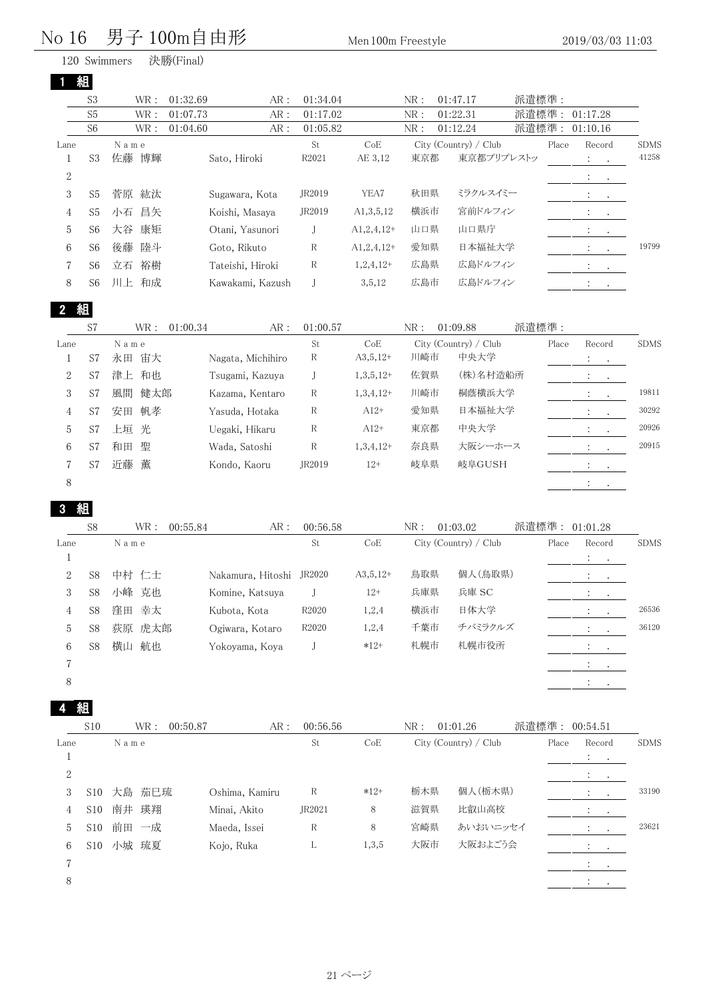# No 16 男子 100m自由形 <sub>Men 100m</sub> Freestyle 2019/03/03 11:03

|                  |                | 120 Swimmers | 決勝(Final)        |                          |                         |                                                   |     |                       |       |       |                                        |             |
|------------------|----------------|--------------|------------------|--------------------------|-------------------------|---------------------------------------------------|-----|-----------------------|-------|-------|----------------------------------------|-------------|
|                  | 組              |              |                  |                          |                         |                                                   |     |                       |       |       |                                        |             |
|                  | S <sub>3</sub> | WR:          | 01:32.69         | AR:                      | 01:34.04                |                                                   | NR: | 01:47.17              | 派遣標準: |       |                                        |             |
|                  | S <sub>5</sub> | WR:          | 01:07.73         | AR:                      | 01:17.02                |                                                   | NR: | 01:22.31              | 派遣標準: |       | 01:17.28                               |             |
|                  | S <sub>6</sub> | WR:          | 01:04.60         | AR:                      | 01:05.82                |                                                   | NR: | 01:12.24              | 派遣標準: |       | 01:10.16                               |             |
| Lane             |                | N a m e      |                  |                          | St                      | $\mathrm{CoE}% _{\mathrm{H}}\left( \Gamma\right)$ |     | City (Country) / Club |       | Place | Record                                 | <b>SDMS</b> |
| $\mathbf{1}$     | S <sub>3</sub> | 博輝<br>佐藤     | Sato, Hiroki     |                          | R2021                   | AE 3,12                                           | 東京都 | 東京都プリプレストッ            |       |       | $\cdot$                                | 41258       |
| $\boldsymbol{2}$ |                |              |                  |                          |                         |                                                   |     |                       |       |       | $\ddot{\cdot}$<br>$\bullet$            |             |
| 3                | S <sub>5</sub> | 菅原<br>紘汰     | Sugawara, Kota   |                          | JR2019                  | YEA7                                              | 秋田県 | ミラクルスイミー              |       |       |                                        |             |
| 4                | S <sub>5</sub> | 昌矢<br>小石     | Koishi, Masaya   |                          | JR2019                  | A1,3,5,12                                         | 横浜市 | 宮前ドルフィン               |       |       | $\ddot{\cdot}$                         |             |
| 5                | S <sub>6</sub> | 大谷<br>康矩     | Otani, Yasunori  |                          | J                       | $A1,2,4,12+$                                      | 山口県 | 山口県庁                  |       |       |                                        |             |
| 6                | S <sub>6</sub> | 後藤<br>陸斗     | Goto, Rikuto     |                          | $\mathbb{R}$            | $A1,2,4,12+$                                      | 愛知県 | 日本福祉大学                |       |       | $\ddot{\cdot}$                         | 19799       |
| $\overline{7}$   | S <sub>6</sub> | 裕樹<br>立石     | Tateishi, Hiroki |                          | $\mathbb R$             | $1,2,4,12+$                                       | 広島県 | 広島ドルフィン               |       |       | $\cdot$                                |             |
| 8                | S <sub>6</sub> | 川上 和成        |                  | Kawakami, Kazush         | J                       | 3,5,12                                            | 広島市 | 広島ドルフィン               |       |       | $\ddot{\cdot}$<br>$\blacksquare$ .     |             |
| $\mathbf{2}$     | 組              |              |                  |                          |                         |                                                   |     |                       |       |       |                                        |             |
|                  | S7             | WR :         | 01:00.34         | AR:                      | 01:00.57                |                                                   | NR: | 01:09.88              | 派遣標準: |       |                                        |             |
| Lane             |                | N a m e      |                  |                          | St                      | CoE                                               |     | City (Country) / Club |       | Place | Record                                 | <b>SDMS</b> |
| 1                | S7             | 永田<br>宙大     |                  | Nagata, Michihiro        | $\mathbb R$             | $A3,5,12+$                                        | 川崎市 | 中央大学                  |       |       | $\bullet$                              |             |
| $\boldsymbol{2}$ | S7             | 津上 和也        | Tsugami, Kazuya  |                          | J                       | $1,3,5,12+$                                       | 佐賀県 | (株)名村造船所              |       |       | $\ddot{\cdot}$<br>$\bullet$            |             |
| 3                | S7             | 風間<br>健太郎    | Kazama, Kentaro  |                          | $\mathbb{R}$            | $1,3,4,12+$                                       | 川崎市 | 桐蔭横浜大学                |       |       |                                        | 19811       |
| 4                | S7             | 帆孝<br>安田     | Yasuda, Hotaka   |                          | R                       | $A12+$                                            | 愛知県 | 日本福祉大学                |       |       | $\ddot{\cdot}$                         | 30292       |
| 5                | S7             | 光<br>上垣      | Uegaki, Hikaru   |                          | $\mathbb{R}$            | $A12+$                                            | 東京都 | 中央大学                  |       |       | $\ddot{\cdot}$<br>$\ddot{\phantom{0}}$ | 20926       |
| 6                | S7             | 聖<br>和田      | Wada, Satoshi    |                          | $\mathbb R$             | $1,3,4,12+$                                       | 奈良県 | 大阪シーホース               |       |       | $\ddot{\cdot}$                         | 20915       |
| $\overline{7}$   | S7             | 薫<br>近藤      | Kondo, Kaoru     |                          | JR2019                  | $12+$                                             | 岐阜県 | 岐阜GUSH                |       |       |                                        |             |
| 8                |                |              |                  |                          |                         |                                                   |     |                       |       |       | $\ddot{\cdot}$<br>$\bullet$            |             |
| -3               | 組              |              |                  |                          |                         |                                                   |     |                       |       |       |                                        |             |
|                  | S <sub>8</sub> | WR:          | 00:55.84         | AR:                      | 00:56.58                |                                                   | NR: | 01:03.02              |       |       | 派遣標準: 01:01.28                         |             |
| Lane             |                | N a m e      |                  |                          | $\operatorname{\rm St}$ | $\mathrm{CoE}% _{\mathrm{H}}\left( \Gamma\right)$ |     | City (Country) / Club |       | Place | Record                                 | <b>SDMS</b> |
| $\mathbf{1}$     |                |              |                  |                          |                         |                                                   |     |                       |       |       | ÷                                      |             |
| 2                | S8             | 中村 仁士        |                  | Nakamura, Hitoshi JR2020 |                         | $A3,5,12+$                                        | 鳥取県 | 個人(鳥取県)               |       |       |                                        |             |
| 3                | S8             | 小峰 克也        | Komine, Katsuya  |                          | J                       | $12+$                                             | 兵庫県 | 兵庫 SC                 |       |       |                                        |             |
| 4                | S8             | 窪田 幸太        | Kubota, Kota     |                          | R2020                   | 1,2,4                                             | 横浜市 | 日体大学                  |       |       |                                        | 26536       |
| 5                | S <sub>8</sub> | 荻原 虎太郎       | Ogiwara, Kotaro  |                          | R2020                   | 1,2,4                                             | 千葉市 | チバミラクルズ               |       |       |                                        | 36120       |
| 6                | S <sub>8</sub> | 横山 航也        | Yokoyama, Koya   |                          | J                       | $*12+$                                            | 札幌市 | 札幌市役所                 |       |       | ÷                                      |             |
| $\sqrt{ }$       |                |              |                  |                          |                         |                                                   |     |                       |       |       |                                        |             |
| 8                |                |              |                  |                          |                         |                                                   |     |                       |       |       | ÷                                      |             |
|                  | 組              |              |                  |                          |                         |                                                   |     |                       |       |       |                                        |             |
|                  | S10            | WR :         | 00:50.87         | AR:                      | 00:56.56                |                                                   | NR: | 01:01.26              |       |       | 派遣標準: 00:54.51                         |             |
| Lane             |                | N a m e      |                  |                          | St                      | $\mathrm{CoE}% _{\mathrm{H}}\left( \Gamma\right)$ |     | City (Country) / Club |       | Place | Record                                 | <b>SDMS</b> |
| $\mathbf{1}$     |                |              |                  |                          |                         |                                                   |     |                       |       |       | ÷                                      |             |
|                  |                |              |                  |                          |                         |                                                   |     |                       |       |       |                                        |             |

| 21 ページ |  |
|--------|--|

2 is a set of the set of the set of the set of the set of the set of the set of the set of the set of the set of the set of the set of the set of the set of the set of the set of the set of the set of the set of the set o

6 S10 小城 琉夏 Kojo, Ruka L 1,3,5 大阪市 大阪およごう会 : . is a set of the set of the set of the set of the set of the set of the set of the set of the set of the set of the set of the set of the set of the set of the set of the set of the set of the set of the set of the set  $8 \hspace{2.5cm} : \hspace{2.5cm} 8$ 

S10 南井 瑛翔 Minai, Akito JR2021 8 滋賀県 比叡山高校 : .

S10 大島 茄巳琉 Oshima, Kamiru R \*12+ 栃木県 個人(栃木県) : . 33190

5 S10 前田 一成 Maeda, Issei R 8 宮崎県 あいおいニッセイ : . 23621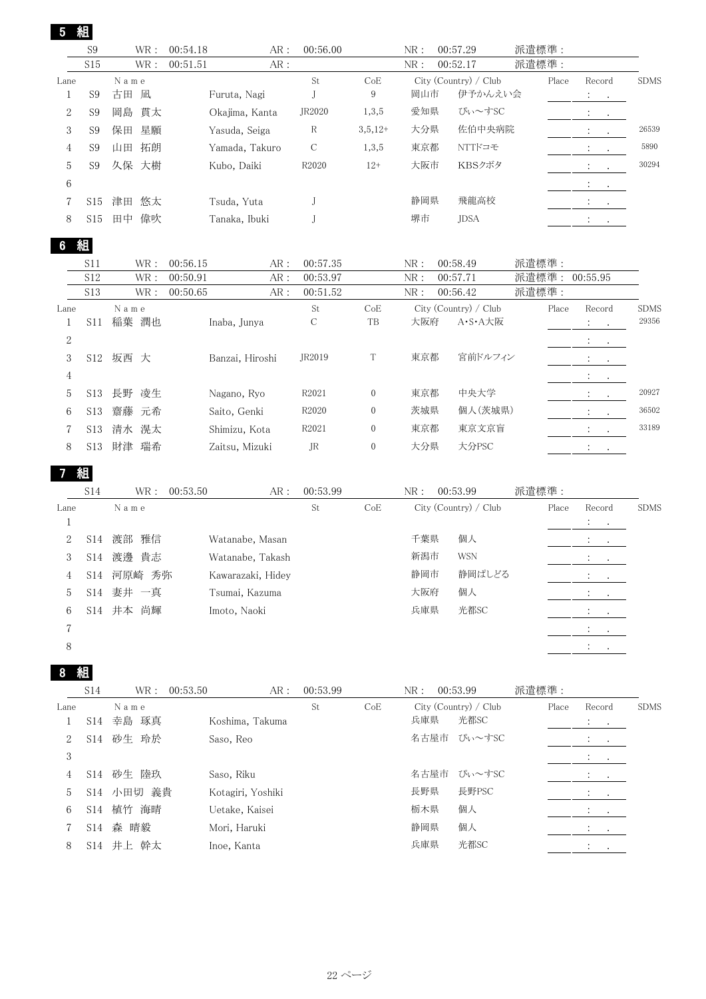| 5                | 組               |                       |          |                   |                   |                  |              |                       |       |                                                                                              |             |
|------------------|-----------------|-----------------------|----------|-------------------|-------------------|------------------|--------------|-----------------------|-------|----------------------------------------------------------------------------------------------|-------------|
|                  | S9              | $\operatorname{WR}$ : | 00:54.18 | AR:               | 00:56.00          |                  | NR:          | 00:57.29              | 派遣標準: |                                                                                              |             |
|                  | S15             | WR:                   | 00:51.51 | $AR:$             |                   |                  | ${\rm NR}$ : | 00:52.17              | 派遣標準: |                                                                                              |             |
| Lane             |                 | N a m e               |          |                   | St                | CoE              |              | City (Country) / Club | Place | Record                                                                                       | <b>SDMS</b> |
| $\mathbf{1}$     | S <sub>9</sub>  | 古田 凪                  |          | Furuta, Nagi      | J                 | 9                | 岡山市          | 伊予かんえい会               |       | $\mathcal{L}^{\text{max}}$<br><b>Service</b>                                                 |             |
| $\boldsymbol{2}$ | S <sub>9</sub>  | 岡島<br>貫太              |          | Okajima, Kanta    | JR2020            | 1,3,5            | 愛知県          | ぴぃ~すSC                |       | $\ddot{\cdot}$<br>$\sim$ 100 $\mu$                                                           |             |
| 3                | S <sub>9</sub>  | 星願<br>保田              |          | Yasuda, Seiga     | ${\mathbf R}$     | $3,5,12+$        | 大分県          | 佐伯中央病院                |       | $\ddot{\cdot}$<br>$\cdot$                                                                    | 26539       |
| 4                | S <sub>9</sub>  | 拓朗<br>山田              |          | Yamada, Takuro    | $\mathcal{C}$     | 1,3,5            | 東京都          | NTTドコモ                |       | $\cdot$                                                                                      | 5890        |
| 5                | S9              | 久保 大樹                 |          | Kubo, Daiki       | R2020             | $12+$            | 大阪市          | KBSクボタ                |       | $\ddot{\phantom{a}}$                                                                         | 30294       |
| 6                |                 |                       |          |                   |                   |                  |              |                       |       |                                                                                              |             |
| 7                | S <sub>15</sub> | 津田 悠太                 |          | Tsuda, Yuta       | J                 |                  | 静岡県          | 飛龍高校                  |       | $\mathcal{L}^{\text{max}}_{\text{max}}$ . The set of $\mathcal{L}^{\text{max}}_{\text{max}}$ |             |
| 8                | S15             | 偉吹<br>田中              |          | Tanaka, Ibuki     | J                 |                  | 堺市           | <b>JDSA</b>           |       |                                                                                              |             |
|                  |                 |                       |          |                   |                   |                  |              |                       |       | $\cdot$                                                                                      |             |
| 6                | 組               |                       |          |                   |                   |                  |              |                       |       |                                                                                              |             |
|                  | S11             | WR :                  | 00:56.15 | AR:               | 00:57.35          |                  | NR:          | 00:58.49              | 派遣標準: |                                                                                              |             |
|                  | S12             | $\operatorname{WR}$ : | 00:50.91 | AR:               | 00:53.97          |                  | ${\rm NR}$ : | 00:57.71              | 派遣標準: | 00:55.95                                                                                     |             |
|                  | S13             | $\operatorname{WR}$ : | 00:50.65 | AR:               | 00:51.52          |                  | NR:          | 00:56.42              | 派遣標準: |                                                                                              |             |
| Lane             |                 | N a m e               |          |                   | St                | CoE              |              | City (Country) / Club | Place | Record                                                                                       | <b>SDMS</b> |
| 1                | S11             | 稲葉 潤也                 |          | Inaba, Junya      | С                 | TB               | 大阪府          | A·S·A大阪               |       | $\ddot{\cdot}$<br>$\cdot$                                                                    | 29356       |
| $\,2$            |                 |                       |          |                   |                   |                  |              |                       |       |                                                                                              |             |
| 3                | S12             | 坂西 大                  |          | Banzai, Hiroshi   | JR2019            | T                | 東京都          | 宮前ドルフィン               |       | $\ddot{\cdot}$<br>$\cdot$                                                                    |             |
| $\overline{4}$   |                 |                       |          |                   |                   |                  |              |                       |       |                                                                                              |             |
| 5                | S13             | 長野 凌生                 |          | Nagano, Ryo       | R2021             | $\boldsymbol{0}$ | 東京都          | 中央大学                  |       | $\sim$ 10 $\,$                                                                               | 20927       |
| 6                | S <sub>13</sub> | 齋藤<br>元希              |          | Saito, Genki      | R <sub>2020</sub> | $\boldsymbol{0}$ | 茨城県          | 個人(茨城県)               |       | $\cdot$                                                                                      | 36502       |
| 7                | S <sub>13</sub> | 清水 滉太                 |          | Shimizu, Kota     | R2021             | $\boldsymbol{0}$ | 東京都          | 東京文京盲                 |       | $\Delta \sim 10$<br>$\cdot$                                                                  | 33189       |
| 8                | S13             | 財津 瑞希                 |          | Zaitsu, Mizuki    | <b>JR</b>         | $\boldsymbol{0}$ | 大分県          | 大分PSC                 |       | $\cdot$                                                                                      |             |
|                  |                 |                       |          |                   |                   |                  |              |                       |       |                                                                                              |             |
|                  | 組               |                       |          |                   |                   |                  |              |                       |       |                                                                                              |             |
|                  | S14             | WR :                  | 00:53.50 | AR:               | 00:53.99          |                  | NR:          | 00:53.99              | 派遣標準: |                                                                                              |             |
| Lane             |                 | N a m e               |          |                   | St                | CoE              |              | City (Country) / Club | Place | Record                                                                                       | <b>SDMS</b> |
| 1                |                 |                       |          |                   |                   |                  |              |                       |       | $\ddot{\cdot}$<br>$\blacksquare$                                                             |             |
| $\overline{2}$   | S14             | 渡部 雅信                 |          | Watanabe, Masan   |                   |                  | 千葉県          | 個人                    |       | $\mathbb{Z}^n \times \mathbb{Z}^n$                                                           |             |
| 3                | S14             | 渡邊 貴志                 |          | Watanabe, Takash  |                   |                  | 新潟市          | WSN                   |       |                                                                                              |             |
| 4                | <b>S14</b>      | 河原崎 秀弥                |          | Kawarazaki, Hidey |                   |                  | 静岡市          | 静岡ぱしどる                |       |                                                                                              |             |
| 5                | S14             | 妻井 一真                 |          | Tsumai, Kazuma    |                   |                  | 大阪府          | 個人                    |       |                                                                                              |             |
| 6                |                 | S14 井本 尚輝             |          | Imoto, Naoki      |                   |                  | 兵庫県          | 光都SC                  |       |                                                                                              |             |
| 7                |                 |                       |          |                   |                   |                  |              |                       |       |                                                                                              |             |
| 8                |                 |                       |          |                   |                   |                  |              |                       |       |                                                                                              |             |
|                  |                 |                       |          |                   |                   |                  |              |                       |       |                                                                                              |             |

|      | S <sub>14</sub> | WR :       | 00:53.50    | AR:               | 00:53.99 |     | NR: | 00:53.99                | 派遣標準: |                                            |             |
|------|-----------------|------------|-------------|-------------------|----------|-----|-----|-------------------------|-------|--------------------------------------------|-------------|
| Lane |                 | Name       |             |                   | St       | CoE |     | $City$ (Country) / Club | Place | Record                                     | <b>SDMS</b> |
|      | S14             | 幸島 琢真      |             | Koshima, Takuma   |          |     | 兵庫県 | 光都SC                    |       | $\mathbf{A} = \mathbf{A} \cdot \mathbf{A}$ |             |
| 2    | S14             | 砂生 玲於      | Saso, Reo   |                   |          |     |     | 名古屋市 ぴぃ~すSC             |       | $\mathbf{a}$ , and $\mathbf{a}$            |             |
| 3    |                 |            |             |                   |          |     |     |                         |       | $\cdot$ $\cdot$                            |             |
| 4    | S <sub>14</sub> | 砂生 陸玖      | Saso, Riku  |                   |          |     |     | 名古屋市 ぴぃ~すSC             |       | $\sim$                                     |             |
| 5    |                 | S14 小田切 義貴 |             | Kotagiri, Yoshiki |          |     | 長野県 | 長野PSC                   |       | $\sim$ 100 $\pm$                           |             |
| 6    | S14             | 植竹 海晴      |             | Uetake, Kaisei    |          |     | 栃木県 | 個人                      |       |                                            |             |
|      | S14             | 森 晴毅       |             | Mori, Haruki      |          |     | 静岡県 | 個人                      |       | $\sim$                                     |             |
| 8    |                 | S14 井上 幹太  | Inoe, Kanta |                   |          |     | 兵庫県 | 光都SC                    |       |                                            |             |
|      |                 |            |             |                   |          |     |     |                         |       |                                            |             |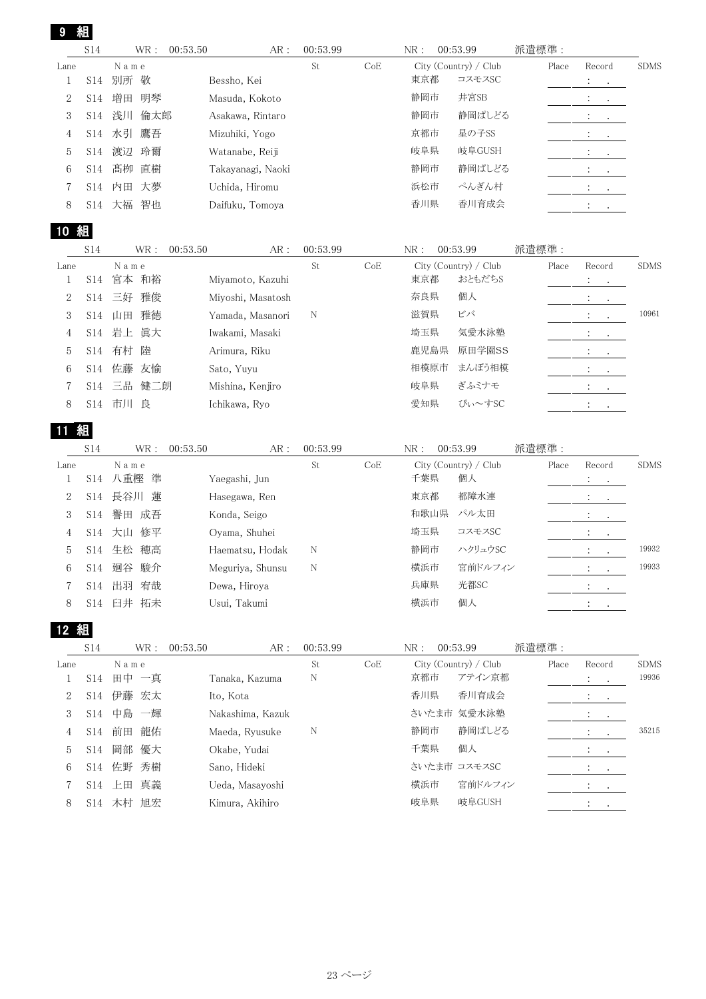| 9                | 組          |           |                   |          |     |                       |       |                |             |
|------------------|------------|-----------|-------------------|----------|-----|-----------------------|-------|----------------|-------------|
|                  | <b>S14</b> | WR :      | 00:53.50<br>AR:   | 00:53.99 |     | 00:53.99<br>NR:       | 派遣標準: |                |             |
| Lane             |            | N a m e   |                   | St       | CoE | City (Country) / Club | Place | Record         | <b>SDMS</b> |
| $\mathbf{1}$     | S14        | 敬<br>別所   | Bessho, Kei       |          |     | 東京都<br>コスモスSC         |       | $\ddot{\cdot}$ |             |
| $\boldsymbol{2}$ | S14        | 増田<br>明琴  | Masuda, Kokoto    |          |     | 静岡市<br>井宮SB           |       | $\ddot{\cdot}$ |             |
| 3                | S14        | 浅川<br>倫太郎 | Asakawa, Rintaro  |          |     | 静岡ぱしどる<br>静岡市         |       |                |             |
| $\overline{4}$   | S14        | 水引<br>鷹吾  | Mizuhiki, Yogo    |          |     | 京都市<br>星の子SS          |       |                |             |
| 5                | S14        | 渡辺<br>玲爾  | Watanabe, Reiji   |          |     | 岐阜県<br>岐阜GUSH         |       |                |             |
| 6                | S14        | 髙栁<br>直樹  | Takayanagi, Naoki |          |     | 静岡市<br>静岡ぱしどる         |       |                |             |
| 7                | S14        | 内田<br>大夢  | Uchida, Hiromu    |          |     | 浜松市<br>ぺんぎん村          |       |                |             |
| 8                | S14        | 智也<br>大福  | Daifuku, Tomoya   |          |     | 香川県<br>香川育成会          |       |                |             |
| 10               | 組          |           |                   |          |     |                       |       |                |             |
|                  | <b>S14</b> | WR:       | 00:53.50<br>AR:   | 00:53.99 |     | 00:53.99<br>NR:       | 派遣標準: |                |             |
| Lane             |            | Name      |                   | St       | CoE | City (Country) / Club | Place | Record         | <b>SDMS</b> |
| $\mathbf{1}$     | <b>S14</b> | 宮本 和裕     | Miyamoto, Kazuhi  |          |     | 東京都<br>おともだちS         |       | $\ddot{\cdot}$ |             |
| $\mathbf{2}$     | S14        | 三好<br>雅俊  | Miyoshi, Masatosh |          |     | 個人<br>奈良県             |       | $\ddot{\cdot}$ |             |
| 3                | S14        | 雅徳<br>山田  | Yamada, Masanori  | N        |     | ビバ<br>滋賀県             |       |                | 10961       |
| $\overline{4}$   | S14        | 岩上<br>眞大  | Iwakami, Masaki   |          |     | 気愛水泳塾<br>埼玉県          |       |                |             |
| 5                | S14        | 陸<br>有村   | Arimura, Riku     |          |     | 鹿児島県<br>原田学園SS        |       |                |             |
| 6                | S14        | 佐藤<br>友愉  | Sato, Yuyu        |          |     | 相模原市<br>まんぼう相模        |       |                |             |
| 7                | S14        | 三品<br>健二朗 | Mishina, Kenjiro  |          |     | 岐阜県<br>ぎふミナモ          |       |                |             |
| 8                | S14        | 市川<br>良   | Ichikawa, Ryo     |          |     | 愛知県<br>ぴぃ〜すSC         |       |                |             |
| $\overline{11}$  | 組          |           |                   |          |     |                       |       |                |             |
|                  | <b>S14</b> | WR:       | 00:53.50<br>AR:   | 00:53.99 |     | 00:53.99<br>NR:       | 派遣標準: |                |             |
| Lane             |            | N a m e   |                   | St       | CoE | City (Country) / Club | Place | Record         | <b>SDMS</b> |
| $\mathbf{1}$     | S14        | 八重樫<br>準  | Yaegashi, Jun     |          |     | 千葉県<br>個人             |       |                |             |
| $\mathbf{2}$     | S14        | 長谷川<br>蓮  | Hasegawa, Ren     |          |     | 都障水連<br>東京都           |       |                |             |
| 3                | S14        | 譽田<br>成吾  | Konda, Seigo      |          |     | 和歌山県<br>パル太田          |       | $\ddot{\cdot}$ |             |
| $\overline{4}$   | S14        | 大山<br>修平  | Oyama, Shuhei     |          |     | 埼玉県<br>コスモスSC         |       | :              |             |
| 5                | <b>S14</b> | 生松<br>穂高  | Haematsu, Hodak   | N        |     | ハクリュウSC<br>静岡市        |       |                | 19932       |
| 6                | S14        | 駿介<br>廻谷  | Meguriya, Shunsu  | N        |     | 横浜市<br>宮前ドルフィン        |       | :              | 19933       |
| 7                | S14        | 出羽<br>宥哉  | Dewa, Hiroya      |          |     | 兵庫県<br>光都SC           |       | $\ddot{\cdot}$ |             |
| 8                | S14        | 臼井 拓未     | Usui, Takumi      |          |     | 横浜市<br>個人             |       |                |             |
| 12 組             |            |           |                   |          |     |                       |       |                |             |
|                  | <b>S14</b> | WR :      | 00:53.50<br>AR:   | 00:53.99 |     | NR:<br>00:53.99       | 派遣標準: |                |             |
| Lane             |            | N a m e   |                   | St       | CoE | City (Country) / Club | Place | Record         | <b>SDMS</b> |
| $\mathbf{1}$     | S14        | 田中 一真     | Tanaka, Kazuma    | N        |     | 京都市<br>アテイン京都         |       |                | 19936       |
| $\boldsymbol{2}$ | S14        | 伊藤 宏太     | Ito, Kota         |          |     | 香川県<br>香川育成会          |       |                |             |
| 3                | S14        | 中島 一輝     | Nakashima, Kazuk  |          |     | さいたま市 気愛水泳塾           |       |                |             |
| 4                | <b>S14</b> | 前田<br>龍佑  | Maeda, Ryusuke    | N        |     | 静岡市<br>静岡ぱしどる         |       |                | 35215       |
| 5                | <b>S14</b> | 岡部<br>優大  | Okabe, Yudai      |          |     | 千葉県<br>個人             |       |                |             |
| 6                | S14        | 佐野<br>秀樹  | Sano, Hideki      |          |     | さいたま市 コスモスSC          |       |                |             |
| 7                | S14        | 上田 真義     | Ueda, Masayoshi   |          |     | 横浜市<br>宮前ドルフィン        |       |                |             |
| 8                | S14        | 木村 旭宏     | Kimura, Akihiro   |          |     | 岐阜県<br>岐阜GUSH         |       |                |             |
|                  |            |           |                   |          |     |                       |       |                |             |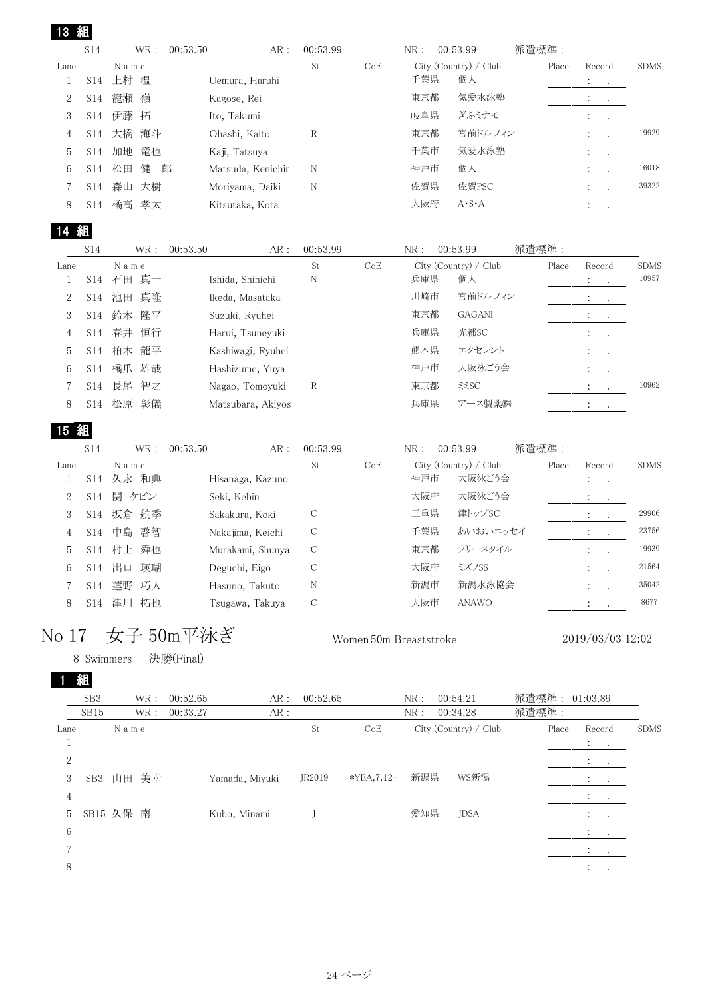| 13 組                 |                 |           |                   |     |                         |                                                   |     |                       |       |       |                                        |             |
|----------------------|-----------------|-----------|-------------------|-----|-------------------------|---------------------------------------------------|-----|-----------------------|-------|-------|----------------------------------------|-------------|
|                      | S14             | WR:       | 00:53.50          | AR: | 00:53.99                |                                                   | NR: | 00:53.99              | 派遣標準: |       |                                        |             |
| Lane                 |                 | N a m e   |                   |     | St                      | CoE                                               |     | City (Country) / Club |       | Place | Record                                 | <b>SDMS</b> |
| 1                    | S14             | 上村 温      | Uemura, Haruhi    |     |                         |                                                   | 千葉県 | 個人                    |       |       | $\ddot{\cdot}$<br>$\bullet$            |             |
| 2                    | <b>S14</b>      | 籠瀬<br>嶺   | Kagose, Rei       |     |                         |                                                   | 東京都 | 気愛水泳塾                 |       |       | $\ddot{\cdot}$<br>$\bullet$            |             |
| 3                    | <b>S14</b>      | 伊藤<br>拓   | Ito, Takumi       |     |                         |                                                   | 岐阜県 | ぎふミナモ                 |       |       | $\ddot{\cdot}$<br>$\bullet$            |             |
| 4                    | <b>S14</b>      | 大橋 海斗     | Ohashi, Kaito     |     | R                       |                                                   | 東京都 | 宮前ドルフィン               |       |       | $\ddot{\cdot}$<br>$\bullet$            | 19929       |
| 5                    | <b>S14</b>      | 加地<br>竜也  | Kaji, Tatsuya     |     |                         |                                                   | 千葉市 | 気愛水泳塾                 |       |       | $\ddot{\cdot}$<br>$\cdot$              |             |
| 6                    | <b>S14</b>      | 健一郎<br>松田 | Matsuda, Kenichir |     | N                       |                                                   | 神戸市 | 個人                    |       |       | $\ddot{\cdot}$<br>$\bullet$            | 16018       |
| 7                    | <b>S14</b>      | 森山<br>大樹  | Moriyama, Daiki   |     | N                       |                                                   | 佐賀県 | 佐賀PSC                 |       |       | $\ddot{\phantom{a}}$                   | 39322       |
| 8                    | <b>S14</b>      | 橘高 孝太     | Kitsutaka, Kota   |     |                         |                                                   | 大阪府 | $A \cdot S \cdot A$   |       |       | $\ddot{\phantom{a}}$<br>$\bullet$      |             |
| 14                   | 組               |           |                   |     |                         |                                                   |     |                       |       |       |                                        |             |
|                      | S14             | WR:       | 00:53.50          | AR: | 00:53.99                |                                                   | NR: | 00:53.99              | 派遣標準: |       |                                        |             |
| Lane                 |                 | N a m e   |                   |     | St                      | CoE                                               |     | City (Country) / Club |       | Place | Record                                 | <b>SDMS</b> |
| 1                    | <b>S14</b>      | 石田 真一     | Ishida, Shinichi  |     | N                       |                                                   | 兵庫県 | 個人                    |       |       | :<br>$\cdot$                           | 10957       |
| 2                    | <b>S14</b>      | 池田<br>真隆  | Ikeda, Masataka   |     |                         |                                                   | 川崎市 | 宮前ドルフィン               |       |       | $\ddot{\cdot}$<br>$\bullet$            |             |
| 3                    | <b>S14</b>      | 鈴木<br>隆平  | Suzuki, Ryuhei    |     |                         |                                                   | 東京都 | <b>GAGANI</b>         |       |       |                                        |             |
| 4                    | <b>S14</b>      | 春井 恒行     | Harui, Tsuneyuki  |     |                         |                                                   | 兵庫県 | 光都SC                  |       |       | $\ddot{\cdot}$<br>$\bullet$            |             |
| 5                    | S14             | 柏木<br>龍平  | Kashiwagi, Ryuhei |     |                         |                                                   | 熊本県 | エクセレント                |       |       | $\ddot{\cdot}$<br>$\cdot$              |             |
| 6                    | <b>S14</b>      | 橋爪 雄哉     | Hashizume, Yuya   |     |                         |                                                   | 神戸市 | 大阪泳ごう会                |       |       | $\ddot{\cdot}$<br>$\bullet$            |             |
| 7                    | <b>S14</b>      | 長尾<br>智之  | Nagao, Tomoyuki   |     | R                       |                                                   | 東京都 | <b>ERSC</b>           |       |       |                                        | 10962       |
| 8                    | <b>S14</b>      | 松原 彰儀     | Matsubara, Akiyos |     |                         |                                                   | 兵庫県 | アース製薬㈱                |       |       | $\ddot{\phantom{a}}$<br>$\bullet$      |             |
| 15 組                 |                 |           |                   |     |                         |                                                   |     |                       |       |       |                                        |             |
|                      | S14             | WR:       | 00:53.50          | AR: | 00:53.99                |                                                   | NR: | 00:53.99              | 派遣標準: |       |                                        |             |
| Lane                 |                 | N a m e   |                   |     | St                      | CoE                                               |     | City (Country) / Club |       | Place | Record                                 | <b>SDMS</b> |
| 1                    | S14             | 久永 和典     | Hisanaga, Kazuno  |     |                         |                                                   | 神戸市 | 大阪泳ごう会                |       |       | $\ddot{\cdot}$<br>$\bullet$            |             |
| 2                    | <b>S14</b>      | 関 ケビン     | Seki, Kebin       |     |                         |                                                   | 大阪府 | 大阪泳ごう会                |       |       | $\ddot{\cdot}$<br>$\bullet$            |             |
| 3                    | <b>S14</b>      | 坂倉 航季     | Sakakura, Koki    |     | $\mathcal{C}$           |                                                   | 三重県 | 津トップSC                |       |       | $\cdot$                                | 29906       |
| 4                    | S14             | 中島 啓智     | Nakajima, Keichi  |     | $\mathcal{C}$           |                                                   | 千葉県 | あいおいニッセイ              |       |       | $\ddot{\cdot}$<br>$\ddot{\phantom{0}}$ | 23756       |
| 5                    | S14             | 村上 舜也     | Murakami, Shunya  |     | $\mathcal{C}$           |                                                   | 東京都 | フリースタイル               |       |       | $\ddot{\cdot}$                         | 19939       |
| 6                    | S14             | 出口 瑛瑚     | Deguchi, Eigo     |     | $\mathcal{C}$           |                                                   | 大阪府 | ミズノSS                 |       |       | $\ddot{\cdot}$                         | 21564       |
| 7                    | S14             | 蓮野 巧人     | Hasuno, Takuto    |     | N                       |                                                   | 新潟市 | 新潟水泳協会                |       |       |                                        | 35042       |
| 8                    |                 | S14 津川 拓也 | Tsugawa, Takuya   |     | $\mathcal{C}$           |                                                   | 大阪市 | <b>ANAWO</b>          |       |       | $\ddot{\cdot}$                         | 8677        |
|                      |                 |           |                   |     |                         |                                                   |     |                       |       |       |                                        |             |
| No 17                |                 |           | 女子 50m平泳ぎ         |     |                         | Women 50m Breaststroke                            |     |                       |       |       | 2019/03/03 12:02                       |             |
|                      | 8 Swimmers      |           | 決勝(Final)         |     |                         |                                                   |     |                       |       |       |                                        |             |
|                      | 組               |           |                   |     |                         |                                                   |     |                       |       |       |                                        |             |
|                      | SB <sub>3</sub> | WR :      | 00:52.65          | AR: | 00:52.65                |                                                   | NR: | 00:54.21              |       |       | 派遣標準: 01:03.89                         |             |
|                      | SB15            | WR :      | 00:33.27          | AR: |                         |                                                   | NR: | 00:34.28              | 派遣標準: |       |                                        |             |
| Lane<br>$\mathbf{1}$ |                 | N a m e   |                   |     | $\operatorname{\rm St}$ | $\mathrm{CoE}% _{\mathrm{H}}\left( \Gamma\right)$ |     | City (Country) / Club |       | Place | Record                                 | <b>SDMS</b> |
| $\boldsymbol{2}$     |                 |           |                   |     |                         |                                                   |     |                       |       |       |                                        |             |
| 3                    |                 | SB3 山田 美幸 | Yamada, Miyuki    |     | JR2019                  | $*YEA, 7, 12+$                                    | 新潟県 | WS新潟                  |       |       |                                        |             |
|                      |                 |           |                   |     |                         |                                                   |     |                       |       |       |                                        |             |
| 4                    |                 |           |                   |     |                         |                                                   | 愛知県 | <b>JDSA</b>           |       |       |                                        |             |
| 5                    |                 | SB15 久保 南 | Kubo, Minami      |     | J                       |                                                   |     |                       |       |       |                                        |             |
| 6                    |                 |           |                   |     |                         |                                                   |     |                       |       |       | ÷                                      |             |
| 7                    |                 |           |                   |     |                         |                                                   |     |                       |       |       |                                        |             |

 $8 \hspace{2.5cm} : \hspace{2.5cm} 8$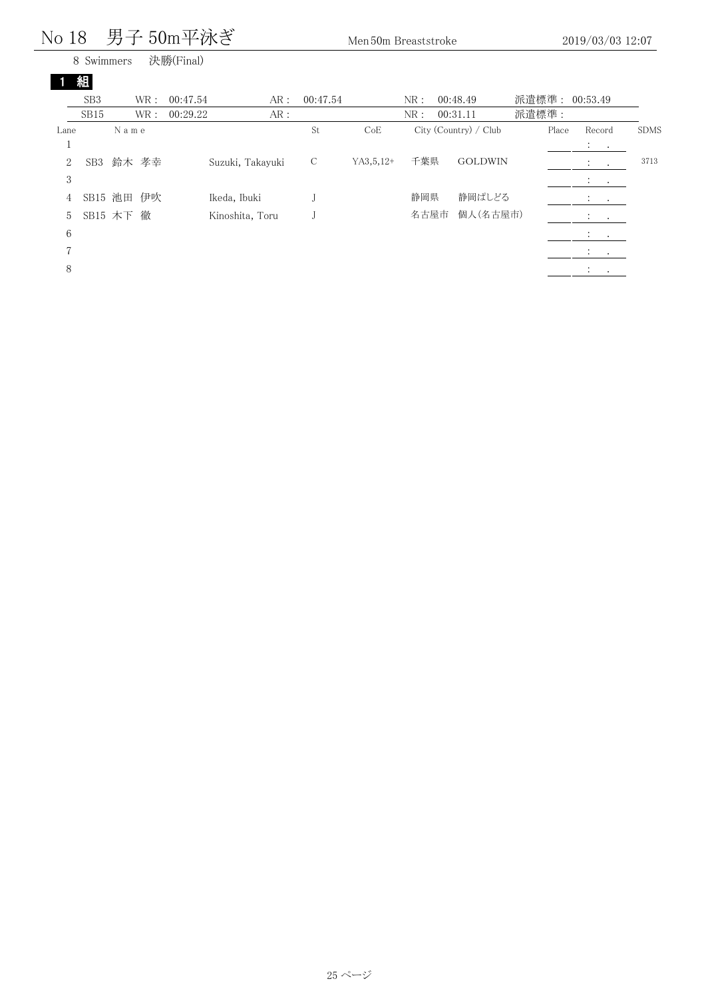## 男子 Men No 18 50m平泳ぎ 50m Breaststroke 2019/03/03 12:07

Swimmers 決勝(Final)

#### 8 Swimmers 1 組

|      | <b>THE</b>      |           |     |          |                  |          |             |      |                       |       |       |                                                                                         |        |             |
|------|-----------------|-----------|-----|----------|------------------|----------|-------------|------|-----------------------|-------|-------|-----------------------------------------------------------------------------------------|--------|-------------|
|      | SB <sub>3</sub> |           | WR: | 00:47.54 | AR:              | 00:47.54 |             | NR:  | 00:48.49              | 派遣標準: |       | 00:53.49                                                                                |        |             |
|      | SB15            |           | WR: | 00:29.22 | AR:              |          |             | NR:  | 00:31.11              | 派遣標準: |       |                                                                                         |        |             |
| Lane |                 | Name      |     |          |                  | St       | CoE         |      | City (Country) / Club |       | Place | Record                                                                                  |        | <b>SDMS</b> |
|      |                 |           |     |          |                  |          |             |      |                       |       |       | $\mathcal{I}^{\mathcal{I}}$ , $\mathcal{I}^{\mathcal{I}}$ , $\mathcal{I}^{\mathcal{I}}$ |        |             |
| 2    |                 | SB3 鈴木 孝幸 |     |          | Suzuki, Takayuki | C        | $YA3,5,12+$ | 千葉県  | <b>GOLDWIN</b>        |       |       | $\mathbb{R}^n \times \mathbb{R}^n$                                                      |        | 3713        |
| 3    |                 |           |     |          |                  |          |             |      |                       |       |       | $\mathcal{L}_{\rm{max}}$                                                                |        |             |
| 4    | SB15 池田         |           | 伊吹  |          | Ikeda, Ibuki     |          |             | 静岡県  | 静岡ぱしどる                |       |       |                                                                                         |        |             |
| 5    |                 | SB15 木下 徹 |     |          | Kinoshita, Toru  |          |             | 名古屋市 | 個人(名古屋市)              |       |       | $\mathcal{L} = \{1, \ldots, n\}$                                                        |        |             |
| 6    |                 |           |     |          |                  |          |             |      |                       |       |       | $\mathcal{L}^{\text{max}}$ .                                                            |        |             |
|      |                 |           |     |          |                  |          |             |      |                       |       |       | $\mathcal{L}^{\text{max}}$ .                                                            |        |             |
| 8    |                 |           |     |          |                  |          |             |      |                       |       |       | $\cdot$                                                                                 | $\sim$ |             |
|      |                 |           |     |          |                  |          |             |      |                       |       |       |                                                                                         |        |             |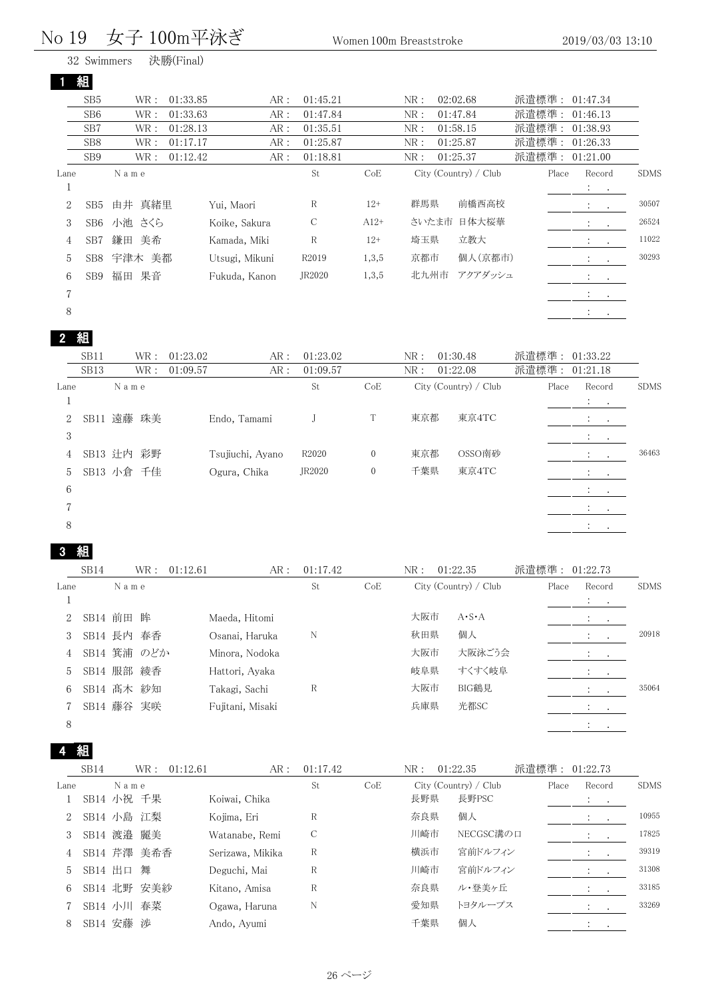#### $\overline{\mathcal{F}}$ 子 100m平泳ぎ  $_{\text{Women}}$  $\rm No~19~~$ 女子  $\rm 100m$ 平泳ぎ  $\rm W$ omen $\rm 100m$  Breaststroke  $\rm 2019/03/03~13:10$

|  | 32 Swimmers | 決勝(Final) |
|--|-------------|-----------|
|--|-------------|-----------|

|                | 組               |           |          |                |          |        |                       |         |       |                                                         |             |
|----------------|-----------------|-----------|----------|----------------|----------|--------|-----------------------|---------|-------|---------------------------------------------------------|-------------|
|                | SB <sub>5</sub> | WR :      | 01:33.85 | AR:            | 01:45.21 |        | NR:<br>02:02.68       |         | 派遣標準: | 01:47.34                                                |             |
|                | SB <sub>6</sub> | WR :      | 01:33.63 | AR:            | 01:47.84 |        | NR:<br>01:47.84       |         | 派遣標準: | 01:46.13                                                |             |
|                | SB7             | WR :      | 01:28.13 | AR:            | 01:35.51 |        | NR:<br>01:58.15       |         | 派遣標準: | 01:38.93                                                |             |
|                | SB <sub>8</sub> | WR:       | 01:17.17 | AR:            | 01:25.87 |        | NR:<br>01:25.87       |         | 派遣標準: | 01:26.33                                                |             |
|                | SB <sub>9</sub> | WR :      | 01:12.42 | AR:            | 01:18.81 |        | NR:<br>01:25.37       |         | 派遣標準: | 01:21.00                                                |             |
| Lane           |                 | Name      |          |                | St       | CoE    | City (Country) / Club |         | Place | Record                                                  | <b>SDMS</b> |
|                |                 |           |          |                |          |        |                       |         |       | $\mathcal{L}_{\text{max}}$ , $\mathcal{L}_{\text{max}}$ |             |
| 2              | SB5             | 由井 真緒里    |          | Yui, Maori     | R        | $12+$  | 群馬県                   | 前橋西高校   |       | ÷<br>$\sim$                                             | 30507       |
| 3              | SB <sub>6</sub> | 小池 さくら    |          | Koike, Sakura  | С        | $A12+$ | さいたま市                 | 日体大桜華   |       | $\mathcal{L} = \mathcal{L}$                             | 26524       |
| 4              | SB <sub>7</sub> | 鎌田<br>美希  |          | Kamada, Miki   | R        | $12+$  | 埼玉県<br>立教大            |         |       | ÷<br>$\sim$                                             | 11022       |
| 5              | SB8             | 宇津木<br>美都 |          | Utsugi, Mikuni | R2019    | 1,3,5  | 京都市                   | 個人(京都市) |       | $\mathbb{R}^n \times \mathbb{R}^n$                      | 30293       |
| 6              | SB9             | 果音<br>福田  |          | Fukuda, Kanon  | JR2020   | 1,3,5  | 北九州市                  | アクアダッシュ |       | $\ddot{\phantom{a}}$<br>$\sim 100$                      |             |
| $\overline{7}$ |                 |           |          |                |          |        |                       |         |       | <b>Contractor</b>                                       |             |
| 8              |                 |           |          |                |          |        |                       |         |       | $\bullet$<br>$\bullet$                                  |             |

#### 組

|      | SB11             |            | WR : | 01:23.02 | AR:              | 01:23.02          |                | NR: | 01:30.48              | 派遣標準: 01:33.22 |       |                                                             |                                                               |             |
|------|------------------|------------|------|----------|------------------|-------------------|----------------|-----|-----------------------|----------------|-------|-------------------------------------------------------------|---------------------------------------------------------------|-------------|
|      | SB <sub>13</sub> |            | WR : | 01:09.57 | AR:              | 01:09.57          |                | NR: | 01:22.08              | 派遣標準: 01:21.18 |       |                                                             |                                                               |             |
| Lane |                  | Name       |      |          |                  | St                | CoE            |     | City (Country) / Club |                | Place | Record                                                      |                                                               | <b>SDMS</b> |
|      |                  |            |      |          |                  |                   |                |     |                       |                |       | <b>Contract</b>                                             |                                                               |             |
| 2    |                  | SB11 遠藤 珠美 |      |          | Endo, Tamami     |                   |                | 東京都 | 東京4TC                 |                |       |                                                             | $\mathcal{L}^{\text{max}}$ , where $\mathcal{L}^{\text{max}}$ |             |
| 3    |                  |            |      |          |                  |                   |                |     |                       |                |       | $\cdot$                                                     | $\sim$                                                        |             |
| 4    |                  | SB13 辻内 彩野 |      |          | Tsujiuchi, Ayano | R <sub>2020</sub> | $\overline{0}$ | 東京都 | OSSO南砂                |                |       |                                                             |                                                               | 36463       |
| 5    |                  | SB13 小倉 千佳 |      |          | Ogura, Chika     | JR2020            | $\mathbf{0}$   | 千葉県 | 東京4TC                 |                |       | <b>All Cards</b>                                            |                                                               |             |
| 6    |                  |            |      |          |                  |                   |                |     |                       |                |       | $\mathcal{A}^{\mathcal{A}}$ and $\mathcal{A}^{\mathcal{A}}$ |                                                               |             |
|      |                  |            |      |          |                  |                   |                |     |                       |                |       | <b>Contract</b>                                             |                                                               |             |
| 8    |                  |            |      |          |                  |                   |                |     |                       |                |       | $\ddot{\cdot}$                                              |                                                               |             |
|      |                  |            |      |          |                  |                   |                |     |                       |                |       |                                                             |                                                               |             |

#### 組

|                | SB14 |             | WR: | 01:12.61 | AR:              | 01:17.42 |     | NR: | 01:22.35              | 派遣標準: 01:22.73 |           |        |             |
|----------------|------|-------------|-----|----------|------------------|----------|-----|-----|-----------------------|----------------|-----------|--------|-------------|
| Lane           |      | Name        |     |          |                  | St       | CoE |     | City (Country) / Club | Place          | Record    |        | <b>SDMS</b> |
|                |      |             |     |          |                  |          |     |     |                       |                | $\bullet$ | $\sim$ |             |
| 2              |      | SB14 前田 眸   |     |          | Maeda, Hitomi    |          |     | 大阪市 | $A \cdot S \cdot A$   |                |           |        |             |
| 3              |      | SB14 長内 春香  |     |          | Osanai, Haruka   | N        |     | 秋田県 | 個人                    |                |           |        | 20918       |
| $\overline{4}$ |      | SB14 箕浦 のどか |     |          | Minora, Nodoka   |          |     | 大阪市 | 大阪泳ごう会                |                |           |        |             |
| 5              |      | SB14 服部 綾香  |     |          | Hattori, Ayaka   |          |     | 岐阜県 | すくすく岐阜                |                |           |        |             |
| 6              |      | SB14 髙木 紗知  |     |          | Takagi, Sachi    | R        |     | 大阪市 | BIG鶴見                 |                |           |        | 35064       |
|                |      | SB14 藤谷 実咲  |     |          | Fujitani, Misaki |          |     | 兵庫県 | 光都SC                  |                |           |        |             |
| 8              |      |             |     |          |                  |          |     |     |                       |                |           |        |             |

|      | SB14 | WR :        | 01:12.61      | AR:              | 01:17.42      |     | NR : | 01:22.35              | 派遣標準: 01:22.73 |                                |             |
|------|------|-------------|---------------|------------------|---------------|-----|------|-----------------------|----------------|--------------------------------|-------------|
| Lane |      | Name        |               |                  | St            | CoE |      | City (Country) / Club | Place          | Record                         | <b>SDMS</b> |
|      |      | SB14 小祝 千果  | Koiwai, Chika |                  |               |     | 長野県  | 長野PSC                 |                | $\ddot{\phantom{0}}$<br>$\sim$ |             |
| 2    |      | SB14 小島 江梨  | Kojima, Eri   |                  | R             |     | 奈良県  | 個人                    |                |                                | 10955       |
| 3    |      | SB14 渡邉 麗美  |               | Watanabe, Remi   | $\mathcal{C}$ |     | 川崎市  | NECGSC溝の口             |                |                                | 17825       |
| 4    |      | SB14 芹澤 美希香 |               | Serizawa, Mikika | R             |     | 横浜市  | 宮前ドルフィン               |                |                                | 39319       |
| 5    |      | SB14 出口 舞   | Deguchi, Mai  |                  | R             |     | 川崎市  | 宮前ドルフィン               |                |                                | 31308       |
| 6    |      | SB14 北野 安美紗 | Kitano, Amisa |                  | R             |     | 奈良県  | ル・登美ヶ丘                |                |                                | 33185       |
|      |      | SB14 小川 春菜  |               | Ogawa, Haruna    | N             |     | 愛知県  | トヨタループス               |                |                                | 33269       |
| 8    |      | SB14 安藤 渉   | Ando, Ayumi   |                  |               |     | 千葉県  | 個人                    |                |                                |             |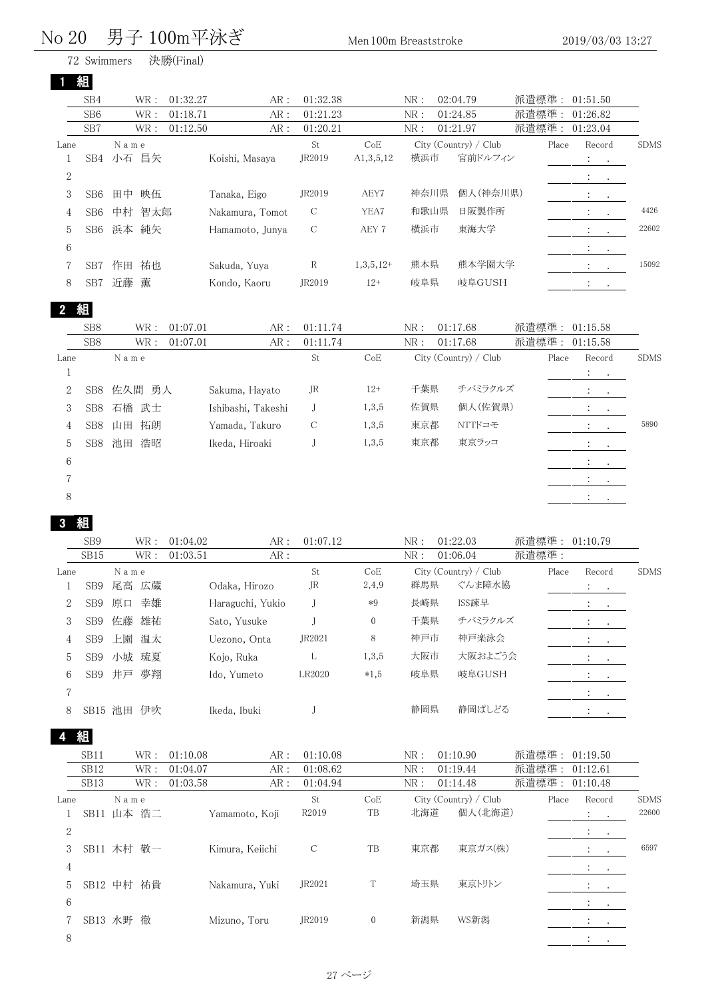## No 20 男子 100m平泳ぎ <sub>Men 100m Breaststroke</sub> <sub>2019/03/03 13:27</sub>

Swimmers 決勝(Final)

|      | SB4             | WR:      | 01:32.27 | AR:             | 01:32.38      |             | NR:  | 02:04.79              | 派遣標準: 01:51.50 |                                                                                         |             |
|------|-----------------|----------|----------|-----------------|---------------|-------------|------|-----------------------|----------------|-----------------------------------------------------------------------------------------|-------------|
|      | SB <sub>6</sub> | WR:      | 01:18.71 | AR:             | 01:21.23      |             | NR:  | 01:24.85              | 派遣標準:          | 01:26.82                                                                                |             |
|      | SB7             | WR:      | 01:12.50 | AR:             | 01:20.21      |             | NR:  | 01:21.97              | 派遣標準: 01:23.04 |                                                                                         |             |
| Lane |                 | Name     |          |                 | St            | CoE         |      | City (Country) / Club | Place          | Record                                                                                  | <b>SDMS</b> |
|      | SB <sub>4</sub> | 昌矢<br>小石 |          | Koishi, Masaya  | JR2019        | A1,3,5,12   | 横浜市  | 宮前ドルフィン               |                | $\mathcal{I}^{\mathcal{I}}$ , $\mathcal{I}^{\mathcal{I}}$ , $\mathcal{I}^{\mathcal{I}}$ |             |
| 2    |                 |          |          |                 |               |             |      |                       |                |                                                                                         |             |
| 3    | SB6             | 田中<br>映伍 |          | Tanaka, Eigo    | JR2019        | AEY7        | 神奈川県 | 個人(神奈川県)              |                | $\mathcal{L}_{\text{max}}$ , $\mathcal{L}_{\text{max}}$                                 |             |
| 4    | SB6             | 中村       | 智太郎      | Nakamura, Tomot | $\mathcal{C}$ | YEA7        | 和歌山県 | 日阪製作所                 |                | $\ddot{\cdot}$<br>$\cdot$                                                               | 4426        |
| 5.   | SB6             | 純矢<br>浜本 |          | Hamamoto, Junya | $\mathcal{C}$ | AEY 7       | 横浜市  | 東海大学                  |                | $\ddot{\phantom{1}}$                                                                    | 22602       |
| 6    |                 |          |          |                 |               |             |      |                       |                | $\ddot{\phantom{0}}$<br>$\sim$                                                          |             |
|      | SB <sub>7</sub> | 祐也<br>作田 |          | Sakuda, Yuya    | R             | $1,3,5,12+$ | 熊本県  | 熊本学園大学                |                | $\ddot{\cdot}$                                                                          | 15092       |
| 8.   | SB7             | 近藤<br>薫  |          | Kondo, Kaoru    | IR2019        | $12+$       | 岐阜県  | 岐阜GUSH                |                | ٠<br>$\cdot$                                                                            |             |

組

|                | SB <sub>8</sub> | WR:      | 01:07.01 | AR:                | 01:11.74 |       | NR: | 01:17.68              | 派遣標準: 01:15.58 |                                                           |             |
|----------------|-----------------|----------|----------|--------------------|----------|-------|-----|-----------------------|----------------|-----------------------------------------------------------|-------------|
|                | SB <sub>8</sub> | WR :     | 01:07.01 | AR:                | 01:11.74 |       | NR: | 01:17.68              | 派遣標準:          | 01:15.58                                                  |             |
| Lane           |                 | Name     |          |                    | St       | CoE   |     | City (Country) / Club | Place          | Record                                                    | <b>SDMS</b> |
|                |                 |          |          |                    |          |       |     |                       |                | Albany S                                                  |             |
| $\overline{2}$ | SB8             | 佐久間 勇人   |          | Sakuma, Hayato     | JR       | $12+$ | 千葉県 | チバミラクルズ               |                | $\mathcal{L}_{\text{max}}$ , $\mathcal{L}_{\text{max}}$   |             |
| 3              | SB8             | 石橋 武士    |          | Ishibashi, Takeshi |          | 1,3,5 | 佐賀県 | 個人(佐賀県)               |                | $\Delta \sim 100$                                         |             |
| 4              | SB8             | 拓朗<br>山田 |          | Yamada, Takuro     | C        | 1,3,5 | 東京都 | NTTドコモ                |                | $1 - 1$                                                   | 5890        |
| 5              | SB8             | 池田<br>浩昭 |          | Ikeda, Hiroaki     |          | 1,3,5 | 東京都 | 東京ラッコ                 |                | $\mathcal{L}_{\rm{max}}$                                  |             |
| 6              |                 |          |          |                    |          |       |     |                       |                | $\mathcal{A}^{\mathcal{A}}$ , $\mathcal{A}^{\mathcal{A}}$ |             |
|                |                 |          |          |                    |          |       |     |                       |                | $\mathcal{L}_{\rm{max}}$                                  |             |
| 8              |                 |          |          |                    |          |       |     |                       |                | $\ddot{\phantom{0}}$<br>$\bullet$                         |             |
|                |                 |          |          |                    |          |       |     |                       |                |                                                           |             |

## 組

|      | SB <sub>9</sub> | WR :     | AR:<br>01:04.02  | 01:07.12 |                | NR: | 01:22.03              | 派遣標準: 01:10.79 |                                        |             |
|------|-----------------|----------|------------------|----------|----------------|-----|-----------------------|----------------|----------------------------------------|-------------|
|      | SB15            | WR :     | 01:03.51<br>AR:  |          |                | NR: | 01:06.04              | 派遣標準:          |                                        |             |
| Lane |                 | Name     |                  | St       | CoE            |     | City (Country) / Club | Place          | Record                                 | <b>SDMS</b> |
|      | SB <sub>9</sub> | 広蔵<br>尾高 | Odaka, Hirozo    | JR       | 2,4,9          | 群馬県 | ぐんま障水協                |                | $\mathbb{C}[\underline{\mathcal{A}}]$  |             |
| 2    | SB <sub>9</sub> | 幸雄<br>原口 | Haraguchi, Yukio |          | $*9$           | 長崎県 | ISS諫早                 |                | $\mathcal{L}_{\text{max}}$ .           |             |
| 3    | SB <sub>9</sub> | 佐藤<br>雄祐 | Sato, Yusuke     |          | $\overline{0}$ | 千葉県 | チバミラクルズ               |                | <b>Alberta Control</b>                 |             |
| 4    | SB <sub>9</sub> | 上園<br>温太 | Uezono, Onta     | JR2021   | 8              | 神戸市 | 神戸楽泳会                 |                | <b>All Control</b>                     |             |
| 5    | SB9             | 小城 琉夏    | Kojo, Ruka       | L        | 1,3,5          | 大阪市 | 大阪およごう会               |                | $\mathbf{A} = \mathbf{A} + \mathbf{A}$ |             |
| 6    | SB <sub>9</sub> | 夢翔<br>井戸 | Ido, Yumeto      | LR2020   | $*1,5$         | 岐阜県 | 岐阜GUSH                |                | $\mathbf{a}$ , and $\mathbf{a}$        |             |
|      |                 |          |                  |          |                |     |                       |                | <b>Allen Art</b>                       |             |
| 8    | SB15 池田         | 伊吹       | Ikeda, Ibuki     |          |                | 静岡県 | 静岡ぱしどる                |                | $\bullet$                              |             |

|      | SB11             | WR:        | AR:<br>01:10.08 | 01:10.08          |                | NR:<br>01:10.90       | 派遣標準: | 01:19.50                                                    |             |
|------|------------------|------------|-----------------|-------------------|----------------|-----------------------|-------|-------------------------------------------------------------|-------------|
|      | SB <sub>12</sub> | WR :       | AR:<br>01:04.07 | 01:08.62          |                | NR:<br>01:19.44       | 派遣標準: | 01:12.61                                                    |             |
|      | SB <sub>13</sub> | WR :       | AR:<br>01:03.58 | 01:04.94          |                | NR:<br>01:14.48       | 派遣標準: | 01:10.48                                                    |             |
| Lane |                  | Name       |                 | St                | CoE            | City (Country) / Club | Place | Record                                                      | <b>SDMS</b> |
|      |                  | SB11 山本 浩二 | Yamamoto, Koji  | R <sub>2019</sub> | TB             | 北海道<br>個人(北海道)        |       | $1 - 1$                                                     | 22600       |
| 2    |                  |            |                 |                   |                |                       |       | $\mathcal{X}=\mathcal{X}$                                   |             |
| 3    |                  | SB11 木村 敬一 | Kimura, Keiichi | C                 | TB             | 東京都<br>東京ガス(株)        |       | $\mathcal{I}=\mathcal{I}$ .                                 | 6597        |
| 4    |                  |            |                 |                   |                |                       |       | <b>All Contracts</b>                                        |             |
| 5    | SB12             | 中村 祐貴      | Nakamura, Yuki  | JR2021            | T              | 東京トリトン<br>埼玉県         |       | $\mathcal{L}^{\text{max}}$ , and $\mathcal{L}^{\text{max}}$ |             |
| 6    |                  |            |                 |                   |                |                       |       | $\mathcal{L}_{\text{max}}$ and $\mathcal{L}_{\text{max}}$   |             |
|      | SB13 水野          | 徹          | Mizuno, Toru    | JR2019            | $\overline{0}$ | 新潟県<br>WS新潟           |       | <b>Service</b> State                                        |             |
| 8    |                  |            |                 |                   |                |                       |       | G.<br>$\bullet$                                             |             |
|      |                  |            |                 |                   |                |                       |       |                                                             |             |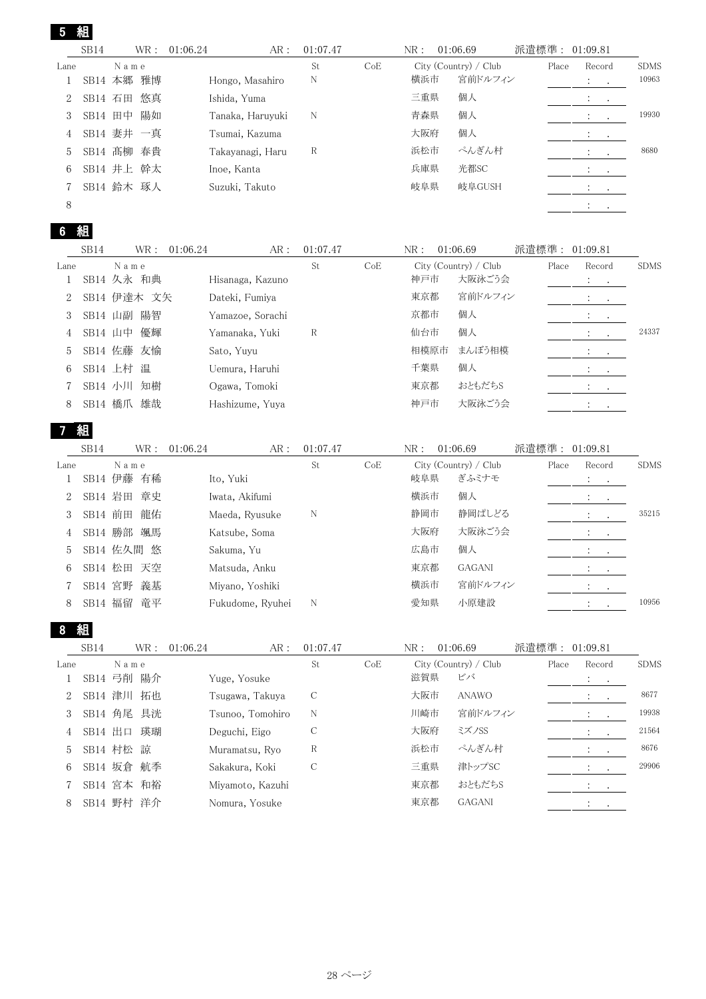| 5                 | 組                  |                             |                                    |                |     |            |                                   |                |                             |             |
|-------------------|--------------------|-----------------------------|------------------------------------|----------------|-----|------------|-----------------------------------|----------------|-----------------------------|-------------|
|                   | SB14               | 01:06.24<br>WR :            | AR:                                | 01:07.47       |     | NR:        | 01:06.69                          | 派遣標準: 01:09.81 |                             |             |
| Lane              |                    | N a m e                     |                                    | St             | CoE |            | City (Country) / Club             | Place          | Record                      | <b>SDMS</b> |
| $\mathbf{1}$      |                    | SB14 本郷<br>雅博               | Hongo, Masahiro                    | Ν              |     | 横浜市        | 宮前ドルフィン                           |                | ÷<br>$\bullet$              | 10963       |
| $\mathbf{2}$<br>3 | SB14 石田<br>SB14 田中 | 悠真<br>陽如                    | Ishida, Yuma                       | Ν              |     | 三重県<br>青森県 | 個人<br>個人                          |                | $\ddot{\cdot}$<br>$\bullet$ | 19930       |
|                   |                    | SB14 妻井 一真                  | Tanaka, Haruyuki                   |                |     | 大阪府        | 個人                                |                | $\ddot{\phantom{0}}$        |             |
| 4<br>5            |                    | SB14 髙柳<br>春貴               | Tsumai, Kazuma<br>Takayanagi, Haru | ${\mathbf R}$  |     | 浜松市        | ぺんぎん村                             |                | $\ddot{\cdot}$<br>$\bullet$ | 8680        |
| 6                 |                    | SB14 井上 幹太                  | Inoe, Kanta                        |                |     | 兵庫県        | 光都SC                              |                | $\ddot{\cdot}$              |             |
| 7                 |                    | SB14 鈴木 琢人                  | Suzuki, Takuto                     |                |     | 岐阜県        | 岐阜GUSH                            |                | $\bullet$                   |             |
| $8\,$             |                    |                             |                                    |                |     |            |                                   |                | $\ddot{\cdot}$              |             |
|                   |                    |                             |                                    |                |     |            |                                   |                | $\bullet$                   |             |
| -6                | 組                  |                             |                                    |                |     |            |                                   |                |                             |             |
| Lane              | SB14               | WR :<br>01:06.24<br>N a m e | AR:                                | 01:07.47<br>St | CoE | NR:        | 01:06.69<br>City (Country) / Club | 派遣標準:<br>Place | 01:09.81<br>Record          | <b>SDMS</b> |
| $\mathbf{1}$      |                    | SB14 久永 和典                  | Hisanaga, Kazuno                   |                |     | 神戸市        | 大阪泳ごう会                            |                | $\bullet$                   |             |
| $\mathbf{2}$      |                    | SB14 伊達木 文矢                 | Dateki, Fumiya                     |                |     | 東京都        | 宮前ドルフィン                           |                | $\ddot{\cdot}$<br>$\bullet$ |             |
| 3                 |                    | SB14 山副<br>陽智               | Yamazoe, Sorachi                   |                |     | 京都市        | 個人                                |                | $\ddot{\cdot}$<br>$\bullet$ |             |
| 4                 | SB14 山中            | 優輝                          | Yamanaka, Yuki                     | ${\mathbf R}$  |     | 仙台市        | 個人                                |                | $\ddot{\cdot}$              | 24337       |
| 5                 | SB14 佐藤            | 友愉                          | Sato, Yuyu                         |                |     | 相模原市       | まんぼう相模                            |                | $\cdot$                     |             |
| 6                 |                    | SB14 上村<br>温                | Uemura, Haruhi                     |                |     | 千葉県        | 個人                                |                | $\ddot{\cdot}$<br>$\bullet$ |             |
| 7                 | SB14 小川            | 知樹                          | Ogawa, Tomoki                      |                |     | 東京都        | おともだちS                            |                | $\bullet$                   |             |
| 8                 |                    | SB14 橋爪 雄哉                  | Hashizume, Yuya                    |                |     | 神戸市        | 大阪泳ごう会                            |                | $\ddot{\cdot}$<br>$\bullet$ |             |
|                   | 組<br>SB14          | 01:06.24<br>WR :            | AR:                                | 01:07.47       |     | NR:        | 01:06.69                          | 派遣標準: 01:09.81 |                             |             |
| Lane<br>1         |                    | N a m e<br>SB14 伊藤<br>有稀    | Ito, Yuki                          | St             | CoE | 岐阜県        | City (Country) / Club<br>ぎふミナモ    | Place          | Record<br>÷<br>$\bullet$    | <b>SDMS</b> |
| 2                 | SB14 岩田            | 章史                          | Iwata, Akifumi                     |                |     | 横浜市        | 個人                                |                | $\ddot{\cdot}$<br>$\bullet$ |             |
| 3                 | SB14 前田            | 龍佑                          | Maeda, Ryusuke                     | $\rm N$        |     | 静岡市        | 静岡ぱしどる                            |                | :<br>$\ddot{\phantom{0}}$   | 35215       |
| 4                 |                    | SB14 勝部<br>颯馬               | Katsube, Soma                      |                |     | 大阪府        | 大阪泳ごう会                            |                | $\ddot{\cdot}$<br>$\bullet$ |             |
| 5                 |                    | SB14 佐久間 悠                  | Sakuma, Yu                         |                |     | 広島市        | 個人                                |                |                             |             |
| 6                 |                    | SB14 松田 天空                  | Matsuda, Anku                      |                |     | 東京都        | GAGANI                            |                | $\ddot{\cdot}$              |             |
| 7                 |                    | SB14 宮野<br>義基               | Miyano, Yoshiki                    |                |     | 横浜市        | 宮前ドルフィン                           |                | $\bullet$                   |             |
| 8                 |                    | SB14 福留 竜平                  | Fukudome, Ryuhei                   | N              |     | 愛知県        | 小原建設                              |                | $\bullet$                   | 10956       |
| 8                 | 組                  |                             |                                    |                |     |            |                                   |                |                             |             |
|                   | SB14               | WR :<br>01:06.24            | AR:                                | 01:07.47       |     | NR:        | 01:06.69                          | 派遣標準:          | 01:09.81                    |             |
| Lane              |                    | N a m e                     |                                    | St             | CoE |            | City (Country) / Club             | Place          | Record                      | <b>SDMS</b> |
| $\mathbf{1}$      |                    | SB14 弓削 陽介                  | Yuge, Yosuke                       |                |     | 滋賀県        | ビバ                                |                |                             |             |
| 2                 |                    | SB14 津川<br>拓也               | Tsugawa, Takuya                    | С              |     | 大阪市        | ANAWO                             |                | $\ddot{\cdot}$<br>$\bullet$ | 8677        |
| 3                 |                    | SB14 角尾 具洸                  | Tsunoo, Tomohiro                   | Ν              |     | 川崎市        | 宮前ドルフィン                           |                | $\ddot{\phantom{0}}$        | 19938       |
| 4                 |                    | SB14 出口<br>瑛瑚               | Deguchi, Eigo                      | С              |     | 大阪府        | ミズノSS                             |                | $\bullet$                   | 21564       |
| 5                 |                    | SB14 村松<br>諒                | Muramatsu, Ryo                     | R              |     | 浜松市        | ぺんぎん村                             |                | $\cdot$                     | 8676        |
| 6                 |                    | SB14 坂倉 航季                  | Sakakura, Koki                     | С              |     |            | 津トップSC                            |                |                             | 29906       |
|                   |                    |                             |                                    |                |     | 三重県        |                                   |                | $\bullet$                   |             |
| 7                 |                    | SB14 宮本 和裕                  | Miyamoto, Kazuhi                   |                |     | 東京都        | おともだちS                            |                | $\bullet$                   |             |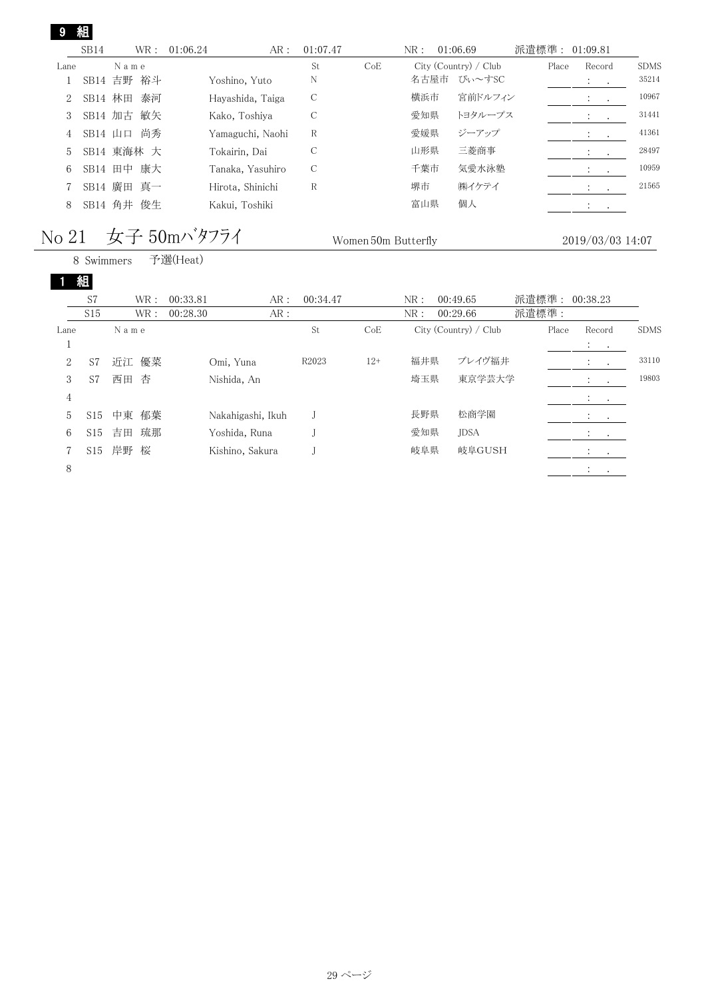|      | SB14 | WR :          | 01:06.24<br>AR : | 01:07.47 |     | NR : | 01:06.69              | 派遣標準: 01:09.81 |                                                                                         |             |
|------|------|---------------|------------------|----------|-----|------|-----------------------|----------------|-----------------------------------------------------------------------------------------|-------------|
| Lane |      | Name          |                  | St       | CoE |      | City (Country) / Club | Place          | Record                                                                                  | <b>SDMS</b> |
|      |      | SB14 吉野 裕斗    | Yoshino, Yuto    | N        |     | 名古屋市 | ぴぃ〜すSC                |                | $\mathcal{I}^{\mathcal{I}}$ , $\mathcal{I}^{\mathcal{I}}$ , $\mathcal{I}^{\mathcal{I}}$ | 35214       |
|      |      | SB14 林田<br>泰河 | Hayashida, Taiga | С        |     | 横浜市  | 宮前ドルフィン               |                | $\ddot{\phantom{1}}$<br>$\sim$                                                          | 10967       |
| 3    |      | SB14 加古 敏矢    | Kako, Toshiva    | C        |     | 愛知県  | トヨタループス               |                | $\ddot{\cdot}$<br>$\cdot$                                                               | 31441       |
| 4    |      | SB14 山口 尚秀    | Yamaguchi, Naohi | R        |     | 愛媛県  | ジーアップ                 |                | $\sim$ 100 $\pm$                                                                        | 41361       |
| 5    |      | SB14 東海林 大    | Tokairin, Dai    | C        |     | 山形県  | 三菱商事                  |                | $\ddot{\cdot}$                                                                          | 28497       |
| 6    |      | SB14 田中<br>康大 | Tanaka, Yasuhiro | С        |     | 千葉市  | 気愛水泳塾                 |                |                                                                                         | 10959       |
|      |      | SB14 廣田 真一    | Hirota, Shinichi | R        |     | 堺市   | ㈱イケテイ                 |                | $\ddot{\cdot}$                                                                          | 21565       |
| 8    |      | SB14 角井 俊生    | Kakui, Toshiki   |          |     | 富山県  | 個人                    |                |                                                                                         |             |
|      |      |               |                  |          |     |      |                       |                |                                                                                         |             |

### $\rm No~21$  女子 5 $\rm 50m$ バタフライ  $_{\rm Women\,50m}$  Butterfly 2019/03/03 14:07

|                |                 | 8 Swimmers | 予選(Heat)          |     |                   |       |     |                       |                |       |                                                                                         |             |
|----------------|-----------------|------------|-------------------|-----|-------------------|-------|-----|-----------------------|----------------|-------|-----------------------------------------------------------------------------------------|-------------|
|                | 組               |            |                   |     |                   |       |     |                       |                |       |                                                                                         |             |
|                | S7              | WR:        | 00:33.81          | AR: | 00:34.47          |       | NR: | 00:49.65              | 派遣標準: 00:38.23 |       |                                                                                         |             |
|                | S15             | WR:        | 00:28.30          | AR: |                   |       | NR: | 00:29.66              | 派遣標準:          |       |                                                                                         |             |
| Lane           |                 | Name       |                   |     | St                | CoE   |     | City (Country) / Club |                | Place | Record                                                                                  | <b>SDMS</b> |
| 1              |                 |            |                   |     |                   |       |     |                       |                |       | $\mathcal{I}^{\mathcal{A}}$ , $\mathcal{I}^{\mathcal{A}}$ , $\mathcal{I}^{\mathcal{A}}$ |             |
| 2              | S7              | 優菜<br>近江   | Omi, Yuna         |     | R <sub>2023</sub> | $12+$ | 福井県 | ブレイヴ福井                |                |       | $\cdot$                                                                                 | 33110       |
| 3              | S7              | 西田<br>杏    | Nishida, An       |     |                   |       | 埼玉県 | 東京学芸大学                |                |       | $\mathcal{L} = \mathcal{L}$                                                             | 19803       |
| $\overline{4}$ |                 |            |                   |     |                   |       |     |                       |                |       | $\mathcal{L} = \mathcal{L}$                                                             |             |
| 5              | S <sub>15</sub> | 郁葉<br>中東   | Nakahigashi, Ikuh |     |                   |       | 長野県 | 松商学園                  |                |       | $\mathcal{L}^{\text{max}}$ , $\mathcal{L}^{\text{max}}$                                 |             |
| 6              | S15             | 琉那<br>吉田   | Yoshida, Runa     |     |                   |       | 愛知県 | <b>JDSA</b>           |                |       | $\mathcal{L}^{\text{max}}$ , $\mathcal{L}^{\text{max}}$                                 |             |
| 7              | S15             | 岸野<br>桜    | Kishino, Sakura   |     |                   |       | 岐阜県 | 岐阜GUSH                |                |       | <b>Service Control</b>                                                                  |             |
| 8              |                 |            |                   |     |                   |       |     |                       |                |       | $\ddot{\cdot}$<br>$\sim$                                                                |             |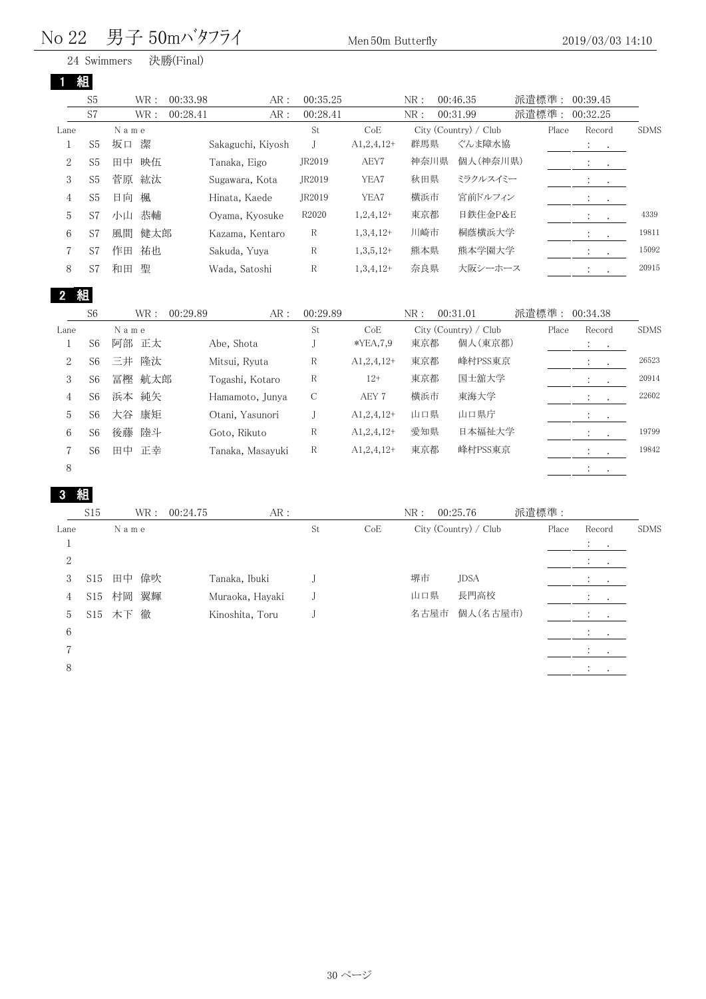## No 22 男子 50mバタフライ <sub>Men 50m</sub> Butterfly 2019/03/03 14:10

|  | 24 Swimmers | 決勝(Final) |
|--|-------------|-----------|
|--|-------------|-----------|

|                | 組              |         |                 |                   |          |              |      |                       |       |                                                                                                                                                     |            |             |
|----------------|----------------|---------|-----------------|-------------------|----------|--------------|------|-----------------------|-------|-----------------------------------------------------------------------------------------------------------------------------------------------------|------------|-------------|
|                | S <sub>5</sub> |         | 00:33.98<br>WR: | AR:               | 00:35.25 |              | NR:  | 00:46.35              | 派遣標準: | 00:39.45                                                                                                                                            |            |             |
|                | S7             |         | WR:<br>00:28.41 | AR:               | 00:28.41 |              | NR:  | 00:31.99              | 派遣標準: | 00:32.25                                                                                                                                            |            |             |
| Lane           |                | Name    |                 |                   | St       | CoE          |      | City (Country) / Club | Place | Record                                                                                                                                              |            | <b>SDMS</b> |
|                | S5             | 潔<br>坂口 |                 | Sakaguchi, Kiyosh |          | $A1,2,4,12+$ | 群馬県  | ぐんま障水協                |       | $\mathbf{A} = \mathbf{A} + \mathbf{A}$                                                                                                              |            |             |
| $\overline{2}$ | S5             | 田中      | 映伍              | Tanaka, Eigo      | JR2019   | AEY7         | 神奈川県 | 個人(神奈川県)              |       | $\ddot{\cdot}$                                                                                                                                      | $\sim 100$ |             |
| 3              | S5             | 菅原      | 紘汰              | Sugawara, Kota    | JR2019   | YEA7         | 秋田県  | ミラクルスイミー              |       | $\bullet$ .<br><br><br><br><br><br><br><br><br><br><br><br><br><br><br><br><br><br><br><br><br><br><br><br><br><br><br><br><br><br><br><br><br><br> |            |             |
| 4              | S5             | 楓<br>日向 |                 | Hinata, Kaede     | JR2019   | YEA7         | 横浜市  | 宮前ドルフィン               |       | $\ddot{\phantom{1}}$                                                                                                                                | $\sim$     |             |
| 5              | S7             | 小山      | 恭輔              | Oyama, Kyosuke    | R2020    | $1,2,4,12+$  | 東京都  | 日鉄住金P&E               |       |                                                                                                                                                     |            | 4339        |
| 6              | S7             | 風間      | 健太郎             | Kazama, Kentaro   | R        | $1,3,4,12+$  | 川崎市  | 桐蔭横浜大学                |       | $\ddot{\cdot}$                                                                                                                                      | $\sim$     | 19811       |
|                | S7             | 作田      | 祐也              | Sakuda, Yuya      | R        | $1,3,5,12+$  | 熊本県  | 熊本学園大学                |       | $\cdot$                                                                                                                                             | $\sim$     | 15092       |
| 8              | S7             | 聖<br>和田 |                 | Wada, Satoshi     | R        | $1,3,4,12+$  | 奈良県  | 大阪シーホース               |       | ٠                                                                                                                                                   |            | 20915       |

2 組

|                | S <sub>6</sub> | WR:      | 00:29.89<br>AR:  | 00:29.89 |              | NR: | 00:31.01              | 派遣標準: | 00:34.38                               |             |
|----------------|----------------|----------|------------------|----------|--------------|-----|-----------------------|-------|----------------------------------------|-------------|
| Lane           |                | Name     |                  | St       | CoE          |     | City (Country) / Club | Place | Record                                 | <b>SDMS</b> |
|                | S <sub>6</sub> | 阿部 正太    | Abe, Shota       |          | $*YEA, 7, 9$ | 東京都 | 個人(東京都)               |       | $\mathbf{a} = \mathbf{a} + \mathbf{a}$ |             |
| $\overline{2}$ | S <sub>6</sub> | 隆汰<br>三井 | Mitsui, Ryuta    | R        | $A1,2,4,12+$ | 東京都 | 峰村PSS東京               |       | $\cdot$<br>$\sim$                      | 26523       |
| 3              | S <sub>6</sub> | 冨樫 航太郎   | Togashi, Kotaro  | R        | $12+$        | 東京都 | 国士舘大学                 |       |                                        | 20914       |
| 4              | S <sub>6</sub> | 純矢<br>浜本 | Hamamoto, Junya  | С        | AEY 7        | 横浜市 | 東海大学                  |       |                                        | 22602       |
| 5              | S6             | 康矩<br>大谷 | Otani, Yasunori  |          | $A1,2,4,12+$ | 山口県 | 山口県庁                  |       |                                        |             |
| 6              | S <sub>6</sub> | 後藤<br>陸斗 | Goto, Rikuto     | R        | $A1,2,4,12+$ | 愛知県 | 日本福祉大学                |       |                                        | 19799       |
|                | S6             | 正幸<br>田中 | Tanaka, Masayuki | R        | $A1,2,4,12+$ | 東京都 | 峰村PSS東京               |       |                                        | 19842       |
| 8              |                |          |                  |          |              |     |                       |       |                                        |             |

3 組

Lane Name Name St CoE City (Country) / Club Place Record SDMS 1  $\blacksquare$  $2 \t2$ 3 S15 田中 偉吹 Tanaka, Ibuki J <br>
<sub>J</sub> 
<sub>堺市</sub> JDSA : . 4 S15 村岡 翼輝 Muraoka, Hayaki J 山口県 長門高校 : . 5 S15 木下 徹 Kinoshita, Toru J 名古屋市 個人(名古屋市) : .  $\sim$  6  $7 \hspace{20mm}$  $8 \hspace{2.5cm} : \hspace{2.5cm} 8$ S15 WR: 00:24.75 AR: NR: 00:25.76 派遣標準: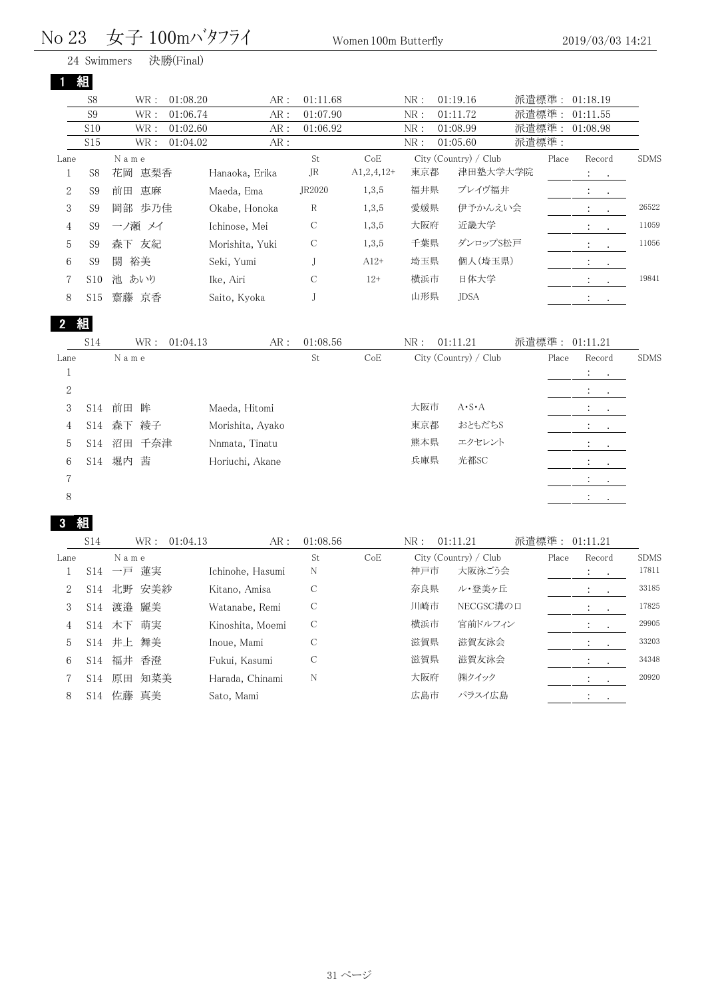| No 23 | — 女子 100mバタフライ | Women 100m Butterfly | 2019/03/03 14:21 |
|-------|----------------|----------------------|------------------|
|       |                |                      |                  |

|                |                 | 24 Swimmers | 決勝(Final)     |                  |               |              |     |                       |       |       |                      |             |
|----------------|-----------------|-------------|---------------|------------------|---------------|--------------|-----|-----------------------|-------|-------|----------------------|-------------|
|                | 組               |             |               |                  |               |              |     |                       |       |       |                      |             |
|                | S <sub>8</sub>  | WR:         | 01:08.20      | AR:              | 01:11.68      |              | NR: | 01:19.16              | 派遣標準: |       | 01:18.19             |             |
|                | S <sub>9</sub>  | WR:         | 01:06.74      | AR:              | 01:07.90      |              | NR: | 01:11.72              | 派遣標準  |       | 01:11.55             |             |
|                | S10             | WR:         | 01:02.60      | AR :             | 01:06.92      |              | NR: | 01:08.99              |       |       | 派遣標準: 01:08.98       |             |
|                | S15             | WR:         | 01:04.02      | AR:              |               |              | NR: | 01:05.60              | 派遣標準: |       |                      |             |
| Lane           |                 | Name        |               |                  | St            | CoE          |     | City (Country) / Club |       | Place | Record               | <b>SDMS</b> |
| $\mathbf{1}$   | S <sub>8</sub>  | 恵梨香<br>花岡   |               | Hanaoka, Erika   | JR            | $A1,2,4,12+$ | 東京都 | 津田塾大学大学院              |       |       |                      |             |
| $\sqrt{2}$     | S <sub>9</sub>  | 恵麻<br>前田    | Maeda, Ema    |                  | JR2020        | 1,3,5        | 福井県 | ブレイヴ福井                |       |       | $\bullet$            |             |
| 3              | S <sub>9</sub>  | 岡部 歩乃佳      |               | Okabe, Honoka    | $\mathbb R$   | 1,3,5        | 愛媛県 | 伊予かんえい会               |       |       |                      | 26522       |
| 4              | S9              | 一ノ瀬 メイ      | Ichinose, Mei |                  | $\mathcal{C}$ | 1,3,5        | 大阪府 | 近畿大学                  |       |       | $\ddot{\phantom{0}}$ | 11059       |
| 5              | S <sub>9</sub>  | 森下 友紀       |               | Morishita, Yuki  | $\mathcal{C}$ | 1,3,5        | 千葉県 | ダンロップS松戸              |       |       |                      | 11056       |
| 6              | S <sub>9</sub>  | 裕美<br>関     | Seki, Yumi    |                  | J             | $A12+$       | 埼玉県 | 個人(埼玉県)               |       |       | $\ddot{\phantom{0}}$ |             |
| 7              | S <sub>10</sub> | あいり<br>池    | Ike, Airi     |                  | $\mathcal{C}$ | $12+$        | 横浜市 | 日体大学                  |       |       | $\cdot$              | 19841       |
| 8              | S15             | 齋藤 京香       | Saito, Kyoka  |                  | J             |              | 山形県 | <b>JDSA</b>           |       |       |                      |             |
| $\mathbf{2}$   | 組               |             |               |                  |               |              |     |                       |       |       |                      |             |
|                | S <sub>14</sub> | WR:         | 01:04.13      | AR:              | 01:08.56      |              | NR: | 01:11.21              |       |       | 派遣標準: 01:11.21       |             |
| Lane           |                 | Name        |               |                  | St            | CoE          |     | City (Country) / Club |       | Place | Record               | <b>SDMS</b> |
| 1              |                 |             |               |                  |               |              |     |                       |       |       | $2.1 - 1.1$          |             |
| $\overline{2}$ |                 |             |               |                  |               |              |     |                       |       |       |                      |             |
| 3              | S14             | 前田<br>眸     | Maeda, Hitomi |                  |               |              | 大阪市 | $A \cdot S \cdot A$   |       |       |                      |             |
| 4              | S14             | 綾子<br>森下    |               | Morishita, Ayako |               |              | 東京都 | おともだちS                |       |       |                      |             |
|                |                 |             |               |                  |               |              |     |                       |       |       |                      |             |

5 S14 沼田 千奈津 Nnmata, Tinatu オンチック アンディスクセレント マンクセレント マンクロング こうしょう S14 堀内 茜 Horiuchi, Akane 兵庫県 光都SC : .  $7 \hspace{20mm}$ 

#### $8 \hspace{2.5cm} : \hspace{2.5cm} 8$

| S <sub>14</sub> | WR :     | 01:04.13<br>AR:  | 01:08.56                                           |     | NR: |         |                                   |                                                             |                |
|-----------------|----------|------------------|----------------------------------------------------|-----|-----|---------|-----------------------------------|-------------------------------------------------------------|----------------|
|                 | Name     |                  | St                                                 | CoE |     |         | Place                             | Record                                                      | <b>SDMS</b>    |
| S14             |          | Ichinohe, Hasumi | N                                                  |     | 神戸市 | 大阪泳ごう会  |                                   | $\mathcal{I}^{\mathcal{I}}$ , $\mathcal{I}^{\mathcal{I}}$ , | 17811          |
| S14             |          | Kitano, Amisa    | С                                                  |     | 奈良県 | ル・登美ヶ丘  |                                   | $\ddot{\cdot}$                                              | 33185          |
| S14             | 渡邉 麗美    | Watanabe, Remi   | С                                                  |     | 川崎市 |         |                                   | $\ddot{\phantom{1}}$                                        | 17825          |
|                 |          | Kinoshita, Moemi | $\mathcal{C}$                                      |     | 横浜市 | 宮前ドルフィン |                                   | $\mathcal{L} = \mathcal{L}$                                 | 29905          |
| S <sub>14</sub> |          | Inoue, Mami      | $\mathcal{C}$                                      |     | 滋賀県 | 滋賀友泳会   |                                   | $\mathcal{L} = \mathcal{L}$                                 | 33203          |
| S14             | 福井       | Fukui, Kasumi    | С                                                  |     | 滋賀県 | 滋賀友泳会   |                                   |                                                             | 34348          |
| S <sub>14</sub> | 原田       | Harada, Chinami  | N                                                  |     | 大阪府 | ㈱クイック   |                                   |                                                             | 20920          |
| S <sub>14</sub> | 真美<br>佐藤 | Sato, Mami       |                                                    |     | 広島市 | パラスイ広島  |                                   | $\cdot$                                                     |                |
|                 |          |                  | 一戸 蓮実<br>北野 安美紗<br>S14 木下 萌実<br>井上 舞美<br>香澄<br>知菜美 |     |     |         | 01:11.21<br>City (Country) / Club | NECGSC溝の口                                                   | 派遣標準: 01:11.21 |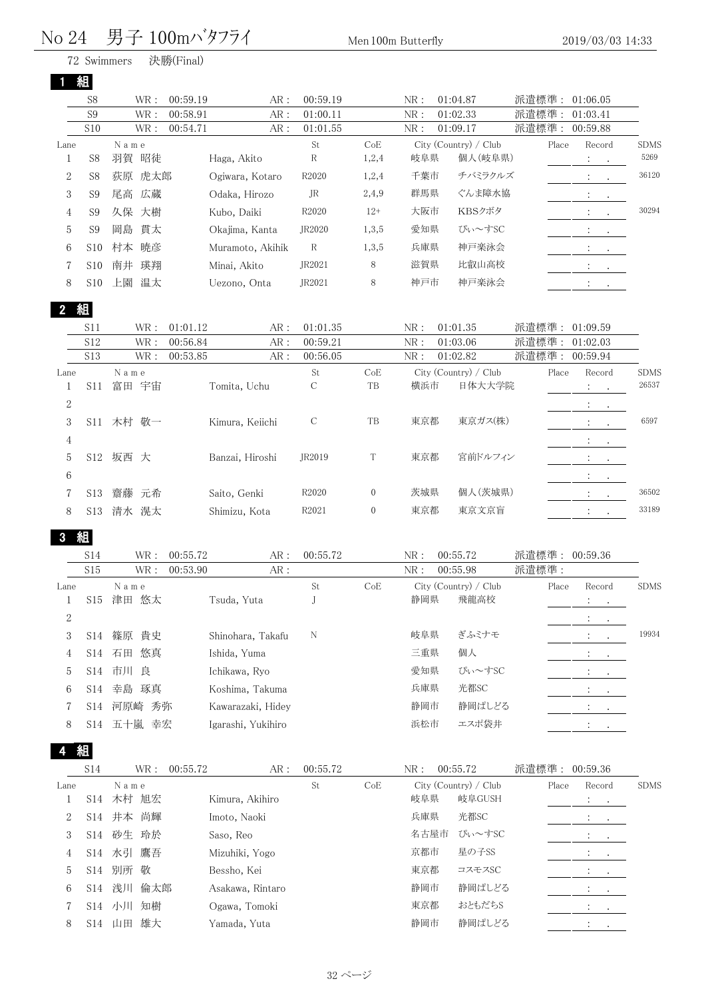| No 24          |                 |             | 男子 100mバタフライ     |                   | Men 100m Butterfly |     |                       |       | 2019/03/03 14:33            |             |
|----------------|-----------------|-------------|------------------|-------------------|--------------------|-----|-----------------------|-------|-----------------------------|-------------|
|                |                 | 72 Swimmers | 決勝(Final)        |                   |                    |     |                       |       |                             |             |
|                | 組               |             |                  |                   |                    |     |                       |       |                             |             |
|                | S8              | WR:         | 00:59.19<br>AR:  | 00:59.19          |                    | NR: | 01:04.87              | 派遣標準: | 01:06.05                    |             |
|                | S <sub>9</sub>  | WR:         | 00:58.91<br>AR:  | 01:00.11          |                    | NR: | 01:02.33              | 派遣標準: | 01:03.41                    |             |
|                | S10             | WR :        | 00:54.71<br>AR:  | 01:01.55          |                    | NR: | 01:09.17              | 派遣標準: | 00:59.88                    |             |
| Lane           |                 | N a m e     |                  | St                | CoE                |     | City (Country) / Club | Place | Record                      | <b>SDMS</b> |
| 1              | S <sub>8</sub>  | 羽賀 昭徒       | Haga, Akito      | R                 | 1,2,4              | 岐阜県 | 個人(岐阜県)               |       | <b>Allen Art</b>            | 5269        |
| 2              | S <sub>8</sub>  | 荻原 虎太郎      | Ogiwara, Kotaro  | R <sub>2020</sub> | 1,2,4              | 千葉市 | チバミラクルズ               |       | $\ddot{\phantom{a}}$        | 36120       |
| 3              | S <sub>9</sub>  | 広蔵<br>尾高    | Odaka, Hirozo    | JR.               | 2,4,9              | 群馬県 | ぐんま障水協                |       | $\ddot{\cdot}$<br>$\bullet$ |             |
| $\overline{4}$ | S <sub>9</sub>  | 久保<br>大樹    | Kubo, Daiki      | R2020             | $12+$              | 大阪市 | KBSクボタ                |       |                             | 30294       |
| 5              | S <sub>9</sub>  | 貫太<br>岡島    | Okajima, Kanta   | JR2020            | 1,3,5              | 愛知県 | ぴぃ~すSC                |       |                             |             |
| 6              | S <sub>10</sub> | 村本<br>暁彦    | Muramoto, Akihik | R                 | 1,3,5              | 兵庫県 | 神戸楽泳会                 |       | $\bullet$<br>$\cdot$        |             |
| 7              | <b>S10</b>      | 瑛翔<br>南井    | Minai, Akito     | JR2021            | 8                  | 滋賀県 | 比叡山高校                 |       | $\cdot$<br>$\bullet$        |             |
| 8              | S <sub>10</sub> | 温太<br>上園    | Uezono, Onta     | JR2021            | 8                  | 神戸市 | 神戸楽泳会                 |       | $\cdot$                     |             |

#### 組

|                | S11             | WR :  | 01:01.12<br>AR: | 01:01.35          |                | NR:<br>01:01.35         |         | 派遣標準:<br>01:09.59                               |             |
|----------------|-----------------|-------|-----------------|-------------------|----------------|-------------------------|---------|-------------------------------------------------|-------------|
|                | S <sub>12</sub> | WR:   | 00:56.84<br>AR: | 00:59.21          |                | NR:<br>01:03.06         |         | 派遣標準:<br>01:02.03                               |             |
|                | S <sub>13</sub> | WR:   | 00:53.85<br>AR: | 00:56.05          |                | NR:<br>01:02.82         | 派遣標準:   | 00:59.94                                        |             |
| Lane           |                 | Name  |                 | St.               | CoE            | $City$ (Country) / Club |         | Place<br>Record                                 | <b>SDMS</b> |
|                | S <sub>11</sub> | 富田 宇宙 | Tomita, Uchu    | С                 | TB             | 横浜市                     | 日体大大学院  | $\mathcal{L}_{\rm{max}}$                        | 26537       |
| $\overline{2}$ |                 |       |                 |                   |                |                         |         | <b>Contract</b>                                 |             |
| 3              | S11             | 木村 敬一 | Kimura, Keiichi | C                 | TB             | 東京都                     | 東京ガス(株) | $\mathcal{L} = \mathcal{L}$                     | 6597        |
| $\overline{4}$ |                 |       |                 |                   |                |                         |         | <b>Contractor</b>                               |             |
| 5              | S <sub>12</sub> | 坂西 大  | Banzai, Hiroshi | JR2019            |                | 東京都                     | 宮前ドルフィン | $\mathcal{L} = \mathcal{L}$ .                   |             |
| 6              |                 |       |                 |                   |                |                         |         | $\ddot{\phantom{a}}$<br>$\sim 100$ km s $^{-1}$ |             |
|                | S <sub>13</sub> | 齋藤 元希 | Saito, Genki    | R <sub>2020</sub> | $\overline{0}$ | 茨城県                     | 個人(茨城県) | $\mathbb{R}^n \times \mathbb{R}^n$              | 36502       |
| 8              | S13             | 清水 滉太 | Shimizu, Kota   | R2021             | $\Omega$       | 東京都                     | 東京文京盲   | $\mathbb{R}^n \times \mathbb{R}^n$              | 33189       |
|                |                 |       |                 |                   |                |                         |         |                                                 |             |

#### 組

|      | S14             | WR :   | 00:55.72<br>AR:    | 00:55.72 |     | NR: | 00:55.72              | 派遣標準: | 00:59.36                       |       |
|------|-----------------|--------|--------------------|----------|-----|-----|-----------------------|-------|--------------------------------|-------|
|      | S15             | WR :   | AR:<br>00:53.90    |          |     | NR: | 00:55.98              | 派遣標準: |                                |       |
| Lane |                 | Name   |                    | St       | CoE |     | City (Country) / Club | Place | Record                         | SDMS  |
|      | S15             | 津田 悠太  | Tsuda, Yuta        |          |     | 静岡県 | 飛龍高校                  |       | $\bullet$                      |       |
| 2    |                 |        |                    |          |     |     |                       |       | $\ddot{\phantom{0}}$<br>$\sim$ |       |
| 3    | S <sub>14</sub> | 篠原 貴史  | Shinohara, Takafu  | N        |     | 岐阜県 | ぎふミナモ                 |       | $\ddot{\phantom{0}}$           | 19934 |
| 4    | S14             | 石田 悠真  | Ishida, Yuma       |          |     | 三重県 | 個人                    |       | $\cdot$<br>$\sim$              |       |
| 5    | S <sub>14</sub> | 市川 良   | Ichikawa, Ryo      |          |     | 愛知県 | ぴぃ~すSC                |       | <b>Contract</b>                |       |
| 6    | S14             | 幸島 琢真  | Koshima, Takuma    |          |     | 兵庫県 | 光都SC                  |       | $\sim$ 100 $\pm$<br>$\cdot$    |       |
|      | S14             | 河原崎 秀弥 | Kawarazaki, Hidey  |          |     | 静岡市 | 静岡ぱしどる                |       |                                |       |
| 8    | S14             | 五十嵐 幸宏 | Igarashi, Yukihiro |          |     | 浜松市 | エスポ袋井                 |       |                                |       |

|      | S <sub>14</sub> | WR :      | 00:55.72         | AR: | 00:55.72 |     | NR:  | 00:55.72              | 派遣標準: | 00:59.36                                                      |             |
|------|-----------------|-----------|------------------|-----|----------|-----|------|-----------------------|-------|---------------------------------------------------------------|-------------|
| Lane |                 | Name      |                  |     | St       | CoE |      | City (Country) / Club | Place | Record                                                        | <b>SDMS</b> |
|      |                 | S14 木村 旭宏 | Kimura, Akihiro  |     |          |     | 岐阜県  | 岐阜GUSH                |       | $\mathcal{A}^{\mathcal{A}}$ , and $\mathcal{A}^{\mathcal{A}}$ |             |
| 2    | S14             | 井本 尚輝     | Imoto, Naoki     |     |          |     | 兵庫県  | 光都SC                  |       | the contract of the con-                                      |             |
| 3    | S14             | 砂生 玲於     | Saso, Reo        |     |          |     | 名古屋市 | ぴぃ~すSC                |       | <b>Service</b> State                                          |             |
| 4    |                 | S14 水引 鷹吾 | Mizuhiki, Yogo   |     |          |     | 京都市  | 星の子SS                 |       | <b>All States</b>                                             |             |
| 5    | S <sub>14</sub> | 別所 敬      | Bessho, Kei      |     |          |     | 東京都  | コスモスSC                |       | <b>Service</b> State                                          |             |
| 6    | S <sub>14</sub> | 倫太郎<br>浅川 | Asakawa, Rintaro |     |          |     | 静岡市  | 静岡ぱしどる                |       | <b>Service</b> State                                          |             |
|      | S <sub>14</sub> | 知樹<br>小川  | Ogawa, Tomoki    |     |          |     | 東京都  | おともだちS                |       | $\sim$                                                        |             |
| 8    | S14             | 雄大<br>山田  | Yamada, Yuta     |     |          |     | 静岡市  | 静岡ぱしどる                |       |                                                               |             |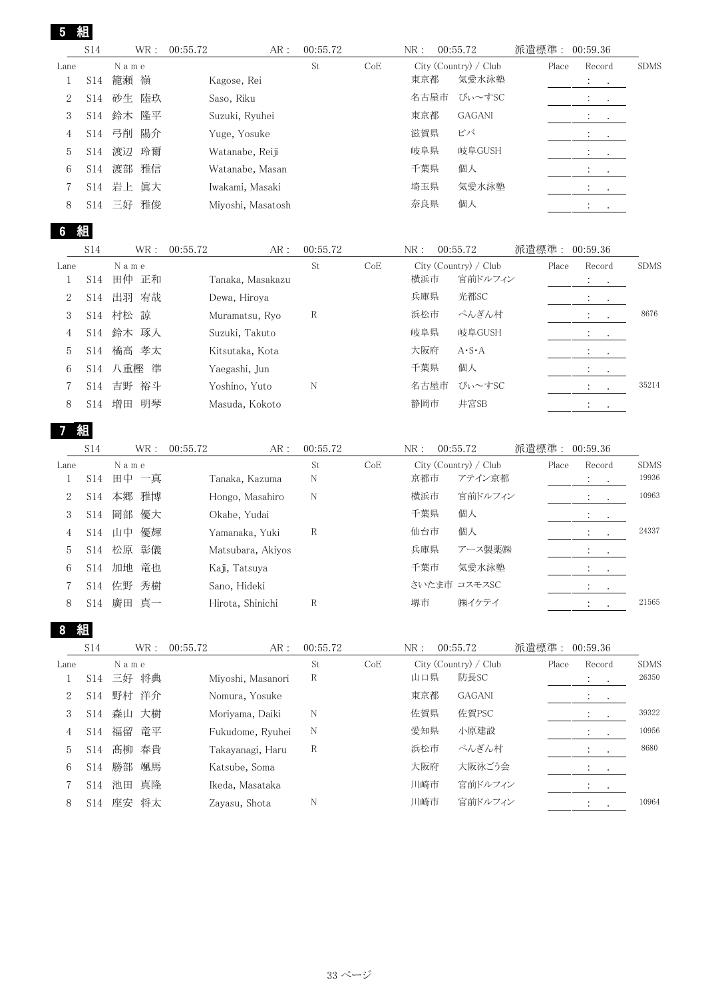| 5            | 組          |                   |                   |          |     |                            |                             |             |
|--------------|------------|-------------------|-------------------|----------|-----|----------------------------|-----------------------------|-------------|
|              | S14        | WR:               | 00:55.72<br>AR:   | 00:55.72 |     | NR:<br>00:55.72            | 派遣標準:<br>00:59.36           |             |
| Lane         |            | Name              |                   | St       | CoE | City (Country) / Club      | Place<br>Record             | <b>SDMS</b> |
| 1            | S14        | 籠瀬<br>嶺           | Kagose, Rei       |          |     | 東京都<br>気愛水泳塾               | $\ddot{\cdot}$              |             |
| 2            | S14        | 砂生<br>陸玖          | Saso, Riku        |          |     | 名古屋市<br>ぴぃ~すSC             | $\ddot{\cdot}$              |             |
| 3            | S14        | 鈴木<br>隆平          | Suzuki, Ryuhei    |          |     | 東京都<br><b>GAGANI</b>       |                             |             |
| 4            | S14        | 弓削<br>陽介          | Yuge, Yosuke      |          |     | ビバ<br>滋賀県                  |                             |             |
| 5            | S14        | 渡辺<br>玲爾          | Watanabe, Reiji   |          |     | 岐阜県<br>岐阜GUSH              |                             |             |
| 6            | S14        | 渡部<br>雅信          | Watanabe, Masan   |          |     | 個人<br>千葉県                  |                             |             |
| 7            | S14        | 岩上<br>眞大          | Iwakami, Masaki   |          |     | 気愛水泳塾<br>埼玉県               |                             |             |
| 8            | S14        | 三好<br>雅俊          | Miyoshi, Masatosh |          |     | 個人<br>奈良県                  |                             |             |
| 6            | 組          |                   |                   |          |     |                            |                             |             |
|              | S14        | WR:               | 00:55.72<br>AR:   | 00:55.72 |     | NR:<br>00:55.72            | 派遣標準:<br>00:59.36           |             |
| Lane         |            | Name              |                   | St       | CoE | City (Country) / Club      | Place<br>Record             | <b>SDMS</b> |
| 1            | S14        | 田仲<br>正和          | Tanaka, Masakazu  |          |     | 横浜市<br>宮前ドルフィン             |                             |             |
| 2            | S14        | 出羽<br>宥哉          | Dewa, Hiroya      |          |     | 光都SC<br>兵庫県                |                             |             |
| 3            | S14        | 村松<br>諒           | Muramatsu, Ryo    | R        |     | ぺんぎん村<br>浜松市               |                             | 8676        |
| 4            | S14        | 鈴木 琢人             | Suzuki, Takuto    |          |     | 岐阜GUSH<br>岐阜県              |                             |             |
| 5            | S14        | 橘高<br>孝太          | Kitsutaka, Kota   |          |     | 大阪府<br>$A \cdot S \cdot A$ | $\ddot{\cdot}$              |             |
| 6            | S14        | 八重樫 準             | Yaegashi, Jun     |          |     | 千葉県<br>個人                  |                             |             |
| 7            | S14        | 吉野<br>裕斗          | Yoshino, Yuto     | N        |     | ぴぃ~すSC<br>名古屋市             |                             | 35214       |
| 8            | S14        | 増田<br>明琴          | Masuda, Kokoto    |          |     | 静岡市<br>井宮SB                |                             |             |
|              | 組          |                   |                   |          |     |                            |                             |             |
|              | <b>S14</b> | WR:               | 00:55.72<br>AR:   | 00:55.72 |     | 00:55.72<br>NR:            | 派遣標準:<br>00:59.36           |             |
| Lane         |            | N a m e           |                   | St       | CoE | City (Country) / Club      | Record<br>Place             | <b>SDMS</b> |
| 1            | S14        | 田中 一真             | Tanaka, Kazuma    | N        |     | 京都市<br>アテイン京都              |                             | 19936       |
| 2            | S14        | 本郷<br>雅博          | Hongo, Masahiro   | N        |     | 宮前ドルフィン<br>横浜市             | $\ddot{\cdot}$              | 10963       |
| 3            | S14        | 岡部<br>優大          | Okabe, Yudai      |          |     | 個人<br>千葉県                  | $\ddot{\cdot}$              |             |
| 4            | S14        | 山中<br>優輝          | Yamanaka, Yuki    | R        |     | 個人<br>仙台市                  | $\ddot{\cdot}$              | 24337       |
| 5            | S14        | 松原<br>彰儀          | Matsubara, Akiyos |          |     | アース製薬㈱<br>兵庫県              |                             |             |
| 6            | S14        | 加地<br>竜也          | Kaji, Tatsuya     |          |     | 千葉市<br>気愛水泳塾               | $\ddot{\cdot}$              |             |
| 7            | S14        | 佐野<br>秀樹          | Sano, Hideki      |          |     | さいたま市 コスモスSC               | $\ddot{\cdot}$              |             |
| 8            | S14        | 廣田<br>真一          | Hirota, Shinichi  | R        |     | 堺市<br>㈱イケテイ                | $\ddot{\cdot}$              | 21565       |
| 8            | 組          |                   |                   |          |     |                            |                             |             |
|              | <b>S14</b> | WR :              | 00:55.72<br>AR:   | 00:55.72 |     | NR:<br>00:55.72            | 派遣標準:<br>00:59.36           |             |
| Lane         |            | $N$ a $m$ $\it e$ |                   | St       | CoE | City (Country) / Club      | Place<br>Record             | <b>SDMS</b> |
| $\mathbf{1}$ | S14        | 三好 将典             | Miyoshi, Masanori | R        |     | 山口県<br>防長SC                | $\bullet$                   | 26350       |
| 2            | S14        | 野村<br>洋介          | Nomura, Yosuke    |          |     | 東京都<br>GAGANI              |                             |             |
| 3            | S14        | 森山<br>大樹          | Moriyama, Daiki   | N        |     | 佐賀PSC<br>佐賀県               | $\ddot{\cdot}$              | 39322       |
| 4            | S14        | 福留<br>竜平          | Fukudome, Ryuhei  | N        |     | 小原建設<br>愛知県                |                             | 10956       |
| 5            | S14        | 髙柳<br>春貴          | Takayanagi, Haru  | R        |     | 浜松市<br>ぺんぎん村               |                             | 8680        |
| 6            | S14        | 勝部<br>颯馬          | Katsube, Soma     |          |     | 大阪府<br>大阪泳ごう会              |                             |             |
| 7            | S14        | 池田<br>真隆          | Ikeda, Masataka   |          |     | 川崎市<br>宮前ドルフィン             | $\ddot{\cdot}$<br>$\bullet$ |             |
| 8            | <b>S14</b> | 座安 将太             | Zayasu, Shota     | N        |     | 川崎市<br>宮前ドルフィン             |                             | 10964       |